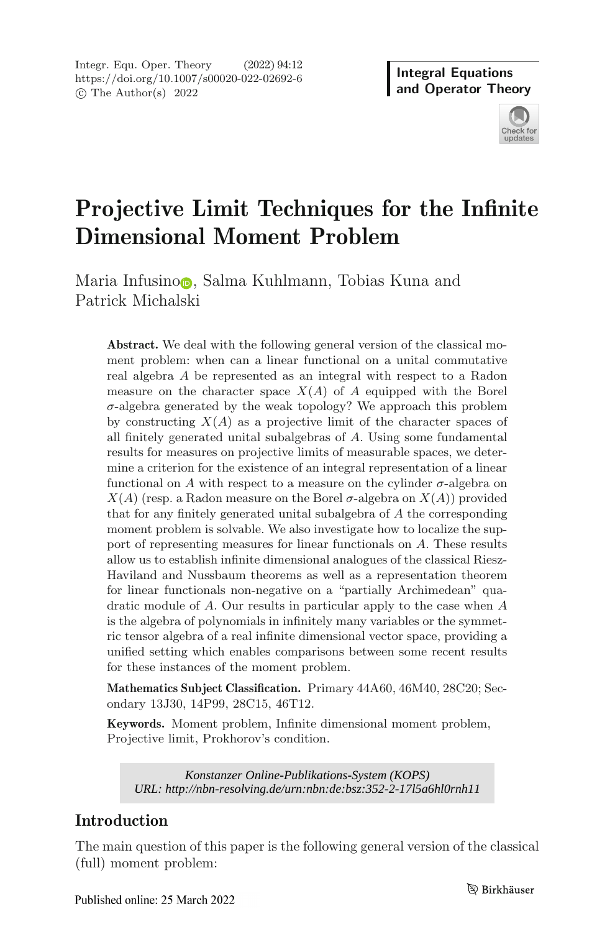Integr. Equ. Oper. Theory (2022) 94:12 https://doi.org/10.1007/s00020-022-02692-6 -c The Author(s) 2022

**Integral Equations and Operator Theory**



# **Projective Limit Techniques for the Infinite Dimensional Moment Problem**

Maria Infusino **6**, Salma Kuhlmann, Tobias Kuna and Patrick Micha[lsk](http://orcid.org/0000-0003-3438-5503)i

**Abstract.** We deal with the following general version of the classical moment problem: when can a linear functional on a unital commutative real algebra A be represented as an integral with respect to a Radon measure on the character space  $X(A)$  of A equipped with the Borel  $\sigma$ -algebra generated by the weak topology? We approach this problem by constructing  $X(A)$  as a projective limit of the character spaces of all finitely generated unital subalgebras of A. Using some fundamental results for measures on projective limits of measurable spaces, we determine a criterion for the existence of an integral representation of a linear functional on A with respect to a measure on the cylinder  $\sigma$ -algebra on  $X(A)$  (resp. a Radon measure on the Borel  $\sigma$ -algebra on  $X(A)$ ) provided that for any finitely generated unital subalgebra of A the corresponding moment problem is solvable. We also investigate how to localize the support of representing measures for linear functionals on A. These results allow us to establish infinite dimensional analogues of the classical Riesz-Haviland and Nussbaum theorems as well as a representation theorem for linear functionals non-negative on a "partially Archimedean" quadratic module of A. Our results in particular apply to the case when A is the algebra of polynomials in infinitely many variables or the symmetric tensor algebra of a real infinite dimensional vector space, providing a unified setting which enables comparisons between some recent results for these instances of the moment problem.

**Mathematics Subject Classification.** Primary 44A60, 46M40, 28C20; Secondary 13J30, 14P99, 28C15, 46T12.

**Keywords.** Moment problem, Infinite dimensional moment problem, Projective limit, Prokhorov's condition.

*URL: http://nbn-resolving.de/urn:nbn:de:bsz:352-2-17l5a6hl0rnh11*

# **Introduction**

The main question of this paper is the following general version of the classical (full) moment problem: *Konstanzer Online-Publikations-System (KOPS)*<br>://nbn-resolving.de/urn:nbn:de:bsz:352-2-1715a6<br>\of this paper is the following general vers<br>blem:<br>larch 2022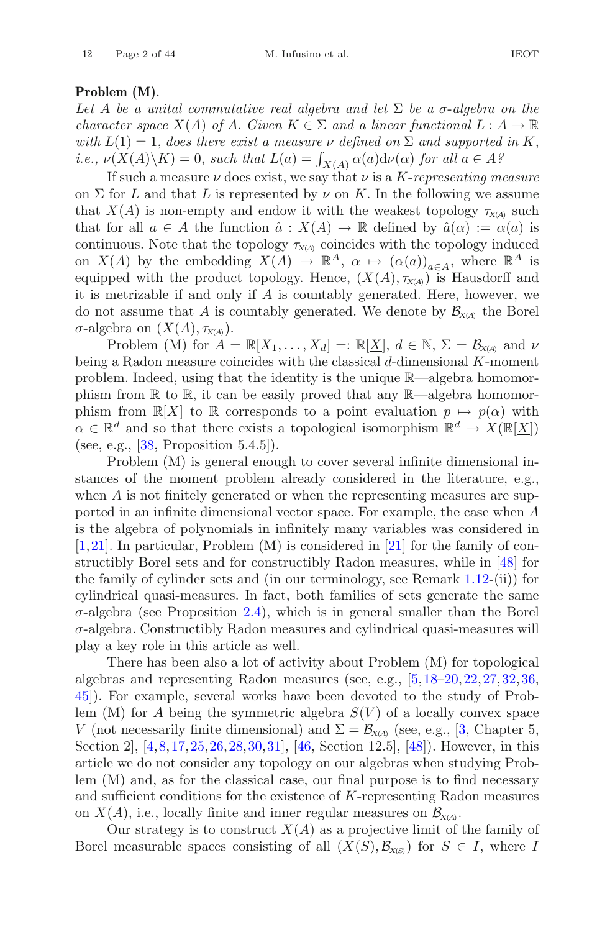# **Problem (M)**.

Let A be a unital commutative real algebra and let  $\Sigma$  be a  $\sigma$ -algebra on the *character space*  $X(A)$  *of* A. *Given*  $K \in \Sigma$  *and a linear functional*  $L : A \to \mathbb{R}$ *with*  $L(1) = 1$ , *does there exist a measure*  $\nu$  *defined on*  $\Sigma$  *and supported in* K, *i.e.,*  $\nu(X(A)\backslash K) = 0$ , *such that*  $L(a) = \int_{X(A)} \alpha(a) d\nu(\alpha)$  *for all*  $a \in A$ *?*<br>If such a measure  $\nu$  does exist, we say that  $\nu$  is a K-representing m

If such a measure  $\nu$  does exist, we say that  $\nu$  is a *K*-*representing measure* on  $\Sigma$  for L and that L is represented by  $\nu$  on K. In the following we assume that  $X(A)$  is non-empty and endow it with the weakest topology  $\tau_{X(A)}$  such that for all  $a \in A$  the function  $\hat{a} : X(A) \to \mathbb{R}$  defined by  $\hat{a}(\alpha) := \alpha(a)$  is continuous. Note that the topology  $\tau_{X(A)}$  coincides with the topology induced on  $X(A)$  by the embedding  $X(A) \to \mathbb{R}^A$ ,  $\alpha \mapsto (\alpha(a))_{a \in A}$ , where  $\mathbb{R}^A$  is equipped with the product topology. Hence,  $(X(A), \tau_{X(A)})$  is Hausdorff and it is metrizable if and only if  $A$  is countably generated. Here, however, we do not assume that A is countably generated. We denote by  $\mathcal{B}_{X(A)}$  the Borel  $\sigma$ -algebra on  $(X(A), \tau_{X(A)})$ .

Problem (M) for  $A = \mathbb{R}[X_1,\ldots,X_d] =: \mathbb{R}[\underline{X}], d \in \mathbb{N}, \Sigma = \mathcal{B}_{X(A)}$  and  $\nu$ being a Radon measure coincides with the classical d-dimensional K-moment problem. Indeed, using that the identity is the unique R—algebra homomorphism from  $\mathbb R$  to  $\mathbb R$ , it can be easily proved that any  $\mathbb R$ —algebra homomorphism from  $\mathbb{R}[X]$  to R corresponds to a point evaluation  $p \mapsto p(\alpha)$  with  $\alpha \in \mathbb{R}^d$  and so that there exists a topological isomorphism  $\mathbb{R}^d \to X(\mathbb{R}[\underline{X}])$ (see, e.g.,  $[38,$  $[38,$  Proposition 5.4.5]).

Problem (M) is general enough to cover several infinite dimensional instances of the moment problem already considered in the literature, e.g., when A is not finitely generated or when the representing measures are supported in an infinite dimensional vector space. For example, the case when A is the algebra of polynomials in infinitely many variables was considered in  $[1,21]$  $[1,21]$  $[1,21]$ . In particular, Problem  $(M)$  is considered in  $[21]$  for the family of constructibly Borel sets and for constructibly Radon measures, while in [\[48](#page-42-1)] for the family of cylinder sets and (in our terminology, see Remark [1.12-](#page-8-0)(ii)) for cylindrical quasi-measures. In fact, both families of sets generate the same  $\sigma$ -algebra (see Proposition [2.4\)](#page-21-0), which is in general smaller than the Borel  $\sigma$ -algebra. Constructibly Radon measures and cylindrical quasi-measures will play a key role in this article as well.

There has been also a lot of activity about Problem (M) for topological algebras and representing Radon measures (see, e.g., [\[5](#page-40-2),[18](#page-41-1)[–20](#page-41-2)[,22](#page-41-3)[,27](#page-41-4),[32,](#page-41-5)[36,](#page-42-2) [45\]](#page-42-3)). For example, several works have been devoted to the study of Problem (M) for A being the symmetric algebra  $S(V)$  of a locally convex space V (not necessarily finite dimensional) and  $\Sigma = \mathcal{B}_{X(A)}$  (see, e.g., [\[3,](#page-40-3) Chapter 5, Section 2, [\[4,](#page-40-4)[8](#page-40-5)[,17](#page-41-6)[,25](#page-41-7),[26,](#page-41-8)[28,](#page-41-9)[30](#page-41-10)[,31](#page-41-11)], [\[46](#page-42-4), Section 12.5], [\[48](#page-42-1)]. However, in this article we do not consider any topology on our algebras when studying Problem (M) and, as for the classical case, our final purpose is to find necessary and sufficient conditions for the existence of K-representing Radon measures on  $X(A)$ , i.e., locally finite and inner regular measures on  $\mathcal{B}_{X(A)}$ .

Our strategy is to construct  $X(A)$  as a projective limit of the family of Borel measurable spaces consisting of all  $(X(S), \mathcal{B}_{X(S)})$  for  $S \in I$ , where I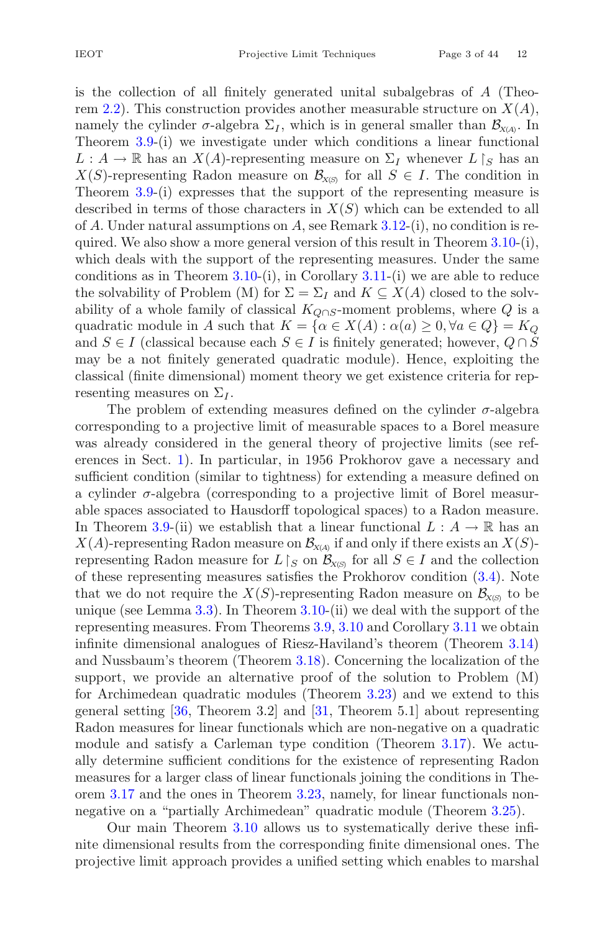is the collection of all finitely generated unital subalgebras of A (Theo-rem [2.2\)](#page-20-0). This construction provides another measurable structure on  $X(A)$ , namely the cylinder  $\sigma$ -algebra  $\Sigma_I$ , which is in general smaller than  $\mathcal{B}_{X(A)}$ . In Theorem [3.9-](#page-28-0)(i) we investigate under which conditions a linear functional  $L : A \to \mathbb{R}$  has an  $X(A)$ -representing measure on  $\Sigma_I$  whenever  $L \upharpoonright_S$  has an  $X(S)$ -representing Radon measure on  $\mathcal{B}_{X(S)}$  for all  $S \in I$ . The condition in Theorem [3.9-](#page-28-0)(i) expresses that the support of the representing measure is described in terms of those characters in  $X(S)$  which can be extended to all of A. Under natural assumptions on A, see Remark  $3.12$ -(i), no condition is required. We also show a more general version of this result in Theorem  $3.10\text{-}$ (i), which deals with the support of the representing measures. Under the same conditions as in Theorem  $3.10-(i)$  $3.10-(i)$ , in Corollary  $3.11-(i)$  $3.11-(i)$  we are able to reduce the solvability of Problem (M) for  $\Sigma = \Sigma_I$  and  $K \subseteq X(A)$  closed to the solvability of a whole family of classical  $K_{Q\cap S}$ -moment problems, where Q is a quadratic module in A such that  $K = {\alpha \in X(A) : \alpha(a) \geq 0, \forall a \in Q} = K_Q$ and  $S \in I$  (classical because each  $S \in I$  is finitely generated; however,  $Q \cap S$ may be a not finitely generated quadratic module). Hence, exploiting the classical (finite dimensional) moment theory we get existence criteria for representing measures on  $\Sigma_I$ .

The problem of extending measures defined on the cylinder  $\sigma$ -algebra corresponding to a projective limit of measurable spaces to a Borel measure was already considered in the general theory of projective limits (see references in Sect. [1\)](#page-3-0). In particular, in 1956 Prokhorov gave a necessary and sufficient condition (similar to tightness) for extending a measure defined on a cylinder  $\sigma$ -algebra (corresponding to a projective limit of Borel measurable spaces associated to Hausdorff topological spaces) to a Radon measure. In Theorem [3.9-](#page-28-0)(ii) we establish that a linear functional  $L : A \to \mathbb{R}$  has an  $X(A)$ -representing Radon measure on  $\mathcal{B}_{X(A)}$  if and only if there exists an  $X(S)$ representing Radon measure for  $L \upharpoonright_S$  on  $\mathcal{B}_{X(S)}$  for all  $S \in I$  and the collection of these representing measures satisfies the Prokhorov condition [\(3.4\)](#page-25-0). Note that we do not require the  $X(S)$ -representing Radon measure on  $\mathcal{B}_{X(S)}$  to be unique (see Lemma [3.3\)](#page-25-1). In Theorem [3.10-](#page-28-1)(ii) we deal with the support of the representing measures. From Theorems [3.9,](#page-28-0) [3.10](#page-28-1) and Corollary [3.11](#page-29-1) we obtain infinite dimensional analogues of Riesz-Haviland's theorem (Theorem [3.14\)](#page-30-0) and Nussbaum's theorem (Theorem [3.18\)](#page-33-0). Concerning the localization of the support, we provide an alternative proof of the solution to Problem (M) for Archimedean quadratic modules (Theorem [3.23\)](#page-36-0) and we extend to this general setting [\[36](#page-42-2), Theorem 3.2] and [\[31](#page-41-11), Theorem 5.1] about representing Radon measures for linear functionals which are non-negative on a quadratic module and satisfy a Carleman type condition (Theorem [3.17\)](#page-33-1). We actually determine sufficient conditions for the existence of representing Radon measures for a larger class of linear functionals joining the conditions in Theorem [3.17](#page-33-1) and the ones in Theorem [3.23,](#page-36-0) namely, for linear functionals nonnegative on a "partially Archimedean" quadratic module (Theorem [3.25\)](#page-37-0).

Our main Theorem [3.10](#page-28-1) allows us to systematically derive these infinite dimensional results from the corresponding finite dimensional ones. The projective limit approach provides a unified setting which enables to marshal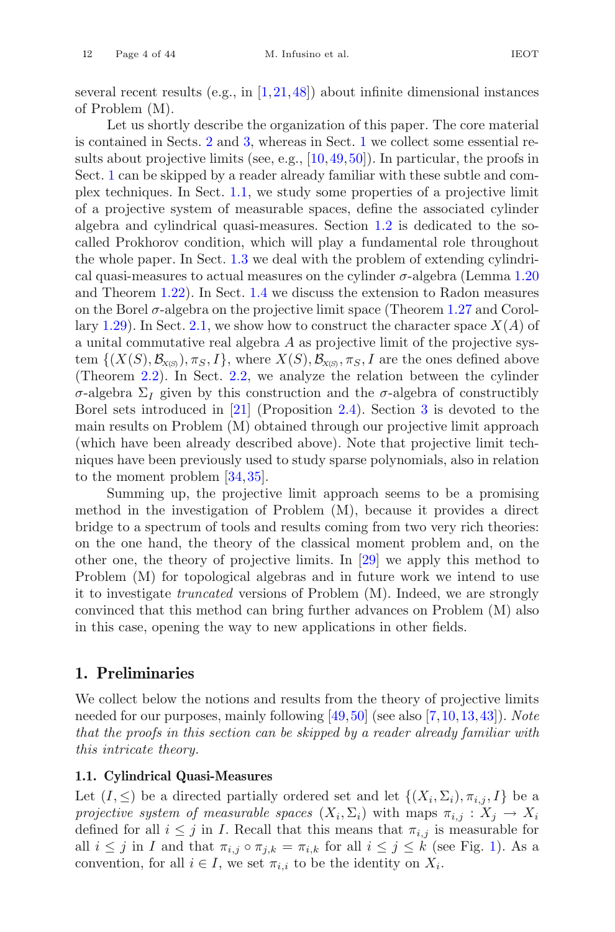Let us shortly describe the organization of this paper. The core material is contained in Sects. [2](#page-19-0) and [3,](#page-22-0) whereas in Sect. [1](#page-3-0) we collect some essential results about projective limits (see, e.g.,  $[10, 49, 50]$  $[10, 49, 50]$  $[10, 49, 50]$  $[10, 49, 50]$ ). In particular, the proofs in Sect. [1](#page-3-0) can be skipped by a reader already familiar with these subtle and complex techniques. In Sect. [1.1,](#page-3-1) we study some properties of a projective limit of a projective system of measurable spaces, define the associated cylinder algebra and cylindrical quasi-measures. Section [1.2](#page-9-0) is dedicated to the socalled Prokhorov condition, which will play a fundamental role throughout the whole paper. In Sect. [1.3](#page-11-0) we deal with the problem of extending cylindrical quasi-measures to actual measures on the cylinder  $\sigma$ -algebra (Lemma [1.20](#page-11-1)) and Theorem [1.22\)](#page-13-0). In Sect. [1.4](#page-15-0) we discuss the extension to Radon measures on the Borel  $\sigma$ -algebra on the projective limit space (Theorem [1.27](#page-15-1) and Corol-lary [1.29\)](#page-16-0). In Sect. [2.1,](#page-19-1) we show how to construct the character space  $X(A)$  of a unital commutative real algebra A as projective limit of the projective system  $\{(X(S), \mathcal{B}_{X(S)}, \pi_S, I\},\$  where  $X(S), \mathcal{B}_{X(S)}, \pi_S, I$  are the ones defined above (Theorem [2.2\)](#page-20-0). In Sect. [2.2,](#page-20-1) we analyze the relation between the cylinder σ-algebra  $\Sigma_I$  given by this construction and the σ-algebra of constructibly Borel sets introduced in [\[21\]](#page-41-0) (Proposition [2.4\)](#page-21-0). Section [3](#page-22-0) is devoted to the main results on Problem (M) obtained through our projective limit approach (which have been already described above). Note that projective limit techniques have been previously used to study sparse polynomials, also in relation to the moment problem [\[34](#page-41-12),[35\]](#page-42-7).

Summing up, the projective limit approach seems to be a promising method in the investigation of Problem (M), because it provides a direct bridge to a spectrum of tools and results coming from two very rich theories: on the one hand, the theory of the classical moment problem and, on the other one, the theory of projective limits. In [\[29\]](#page-41-13) we apply this method to Problem (M) for topological algebras and in future work we intend to use it to investigate *truncated* versions of Problem (M). Indeed, we are strongly convinced that this method can bring further advances on Problem (M) also in this case, opening the way to new applications in other fields.

# <span id="page-3-0"></span>**1. Preliminaries**

We collect below the notions and results from the theory of projective limits needed for our purposes, mainly following [\[49,](#page-42-5)[50\]](#page-42-6) (see also [\[7,](#page-40-7)[10](#page-40-6)[,13](#page-40-8)[,43](#page-42-8)]). *Note that the proofs in this section can be skipped by a reader already familiar with this intricate theory.*

#### <span id="page-3-1"></span>**1.1. Cylindrical Quasi-Measures**

<span id="page-3-2"></span>Let  $(I, \leq)$  be a directed partially ordered set and let  $\{(X_i, \Sigma_i), \pi_{i,j}, I\}$  be a *projective system of measurable spaces*  $(X_i, \Sigma_i)$  with maps  $\pi_{i,j} : X_j \to X_i$ defined for all  $i \leq j$  in *I*. Recall that this means that  $\pi_{i,j}$  is measurable for all  $i \leq j$  in I and that  $\pi_{i,j} \circ \pi_{j,k} = \pi_{i,k}$  for all  $i \leq j \leq k$  (see Fig. [1\)](#page-4-0). As a convention, for all  $i \in I$ , we set  $\pi_{i,i}$  to be the identity on  $X_i$ .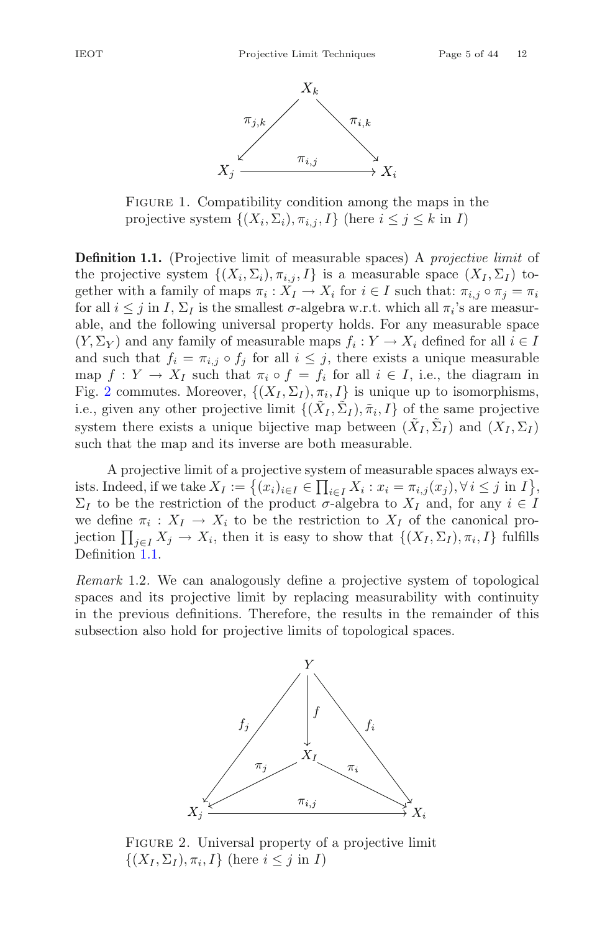

<span id="page-4-0"></span>FIGURE 1. Compatibility condition among the maps in the projective system  $\{(X_i, \Sigma_i), \pi_{i,j}, I\}$  (here  $i \leq j \leq k$  in I)

**Definition 1.1.** (Projective limit of measurable spaces) A *projective limit* of the projective system  $\{(X_i, \Sigma_i), \pi_{i,j}, I\}$  is a measurable space  $(X_I, \Sigma_I)$  together with a family of maps  $\pi_i : X_I \to X_i$  for  $i \in I$  such that:  $\pi_{i,j} \circ \pi_j = \pi_i$ for all  $i \leq j$  in I,  $\Sigma_I$  is the smallest  $\sigma$ -algebra w.r.t. which all  $\pi_i$ 's are measurable, and the following universal property holds. For any measurable space  $(Y, \Sigma_Y)$  and any family of measurable maps  $f_i : Y \to X_i$  defined for all  $i \in I$ and such that  $f_i = \pi_{i,j} \circ f_j$  for all  $i \leq j$ , there exists a unique measurable map  $f: Y \to X_I$  such that  $\pi_i \circ f = f_i$  for all  $i \in I$ , i.e., the diagram in Fig. [2](#page-4-1) commutes. Moreover,  $\{(X_I, \Sigma_I), \pi_i, I\}$  is unique up to isomorphisms, i.e., given any other projective limit  $\{(\tilde{X}_I, \tilde{\Sigma}_I), \tilde{\pi}_i, I\}$  of the same projective system there exists a unique bijective map between  $(X_I, \Sigma_I)$  and  $(X_I, \Sigma_I)$ such that the map and its inverse are both measurable.

A projective limit of a projective system of measurable spaces always exists. Indeed, if we take  $X_I := \left\{ (x_i)_{i \in I} \in \prod_{i \in I} X_i : x_i = \pi_{i,j}(x_j), \forall i \le j \text{ in } I \right\},\$  $\Sigma_I$  to be the restriction of the product  $\sigma$ -algebra to  $X_I$  and, for any  $i \in I$ we define  $\pi_i : X_I \to X_i$  to be the restriction to  $X_I$  of the canonical projection  $\prod_{j\in I} X_j \to X_i$ , then it is easy to show that  $\{(X_I, \Sigma_I), \pi_i, I\}$  fulfills Definition [1.1.](#page-3-2)

<span id="page-4-2"></span>*Remark* 1.2*.* We can analogously define a projective system of topological spaces and its projective limit by replacing measurability with continuity in the previous definitions. Therefore, the results in the remainder of this subsection also hold for projective limits of topological spaces.



<span id="page-4-1"></span>Figure 2. Universal property of a projective limit  $\{(X_I, \Sigma_I), \pi_i, I\}$  (here  $i \leq j$  in I)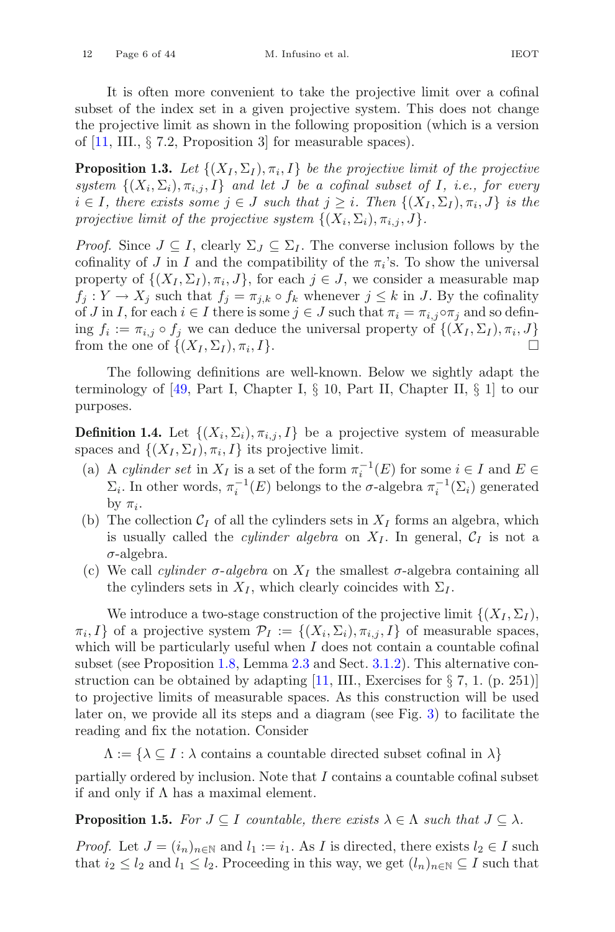It is often more convenient to take the projective limit over a cofinal subset of the index set in a given projective system. This does not change the projective limit as shown in the following proposition (which is a version of [\[11,](#page-40-9) III., § 7.2, Proposition 3] for measurable spaces).

<span id="page-5-1"></span>**Proposition 1.3.** Let  $\{(X_I, \Sigma_I), \pi_i, I\}$  be the projective limit of the projective *system*  $\{(X_i, \Sigma_i), \pi_{i,j}, I\}$  *and let J be a cofinal subset of I, i.e., for every*  $i \in I$ , there exists some  $j \in J$  such that  $j \geq i$ . Then  $\{(X_I, \Sigma_I), \pi_i, J\}$  is the *projective limit of the projective system*  $\{(X_i, \Sigma_i), \pi_{i,j}, J\}.$ 

*Proof.* Since  $J \subseteq I$ , clearly  $\Sigma_J \subseteq \Sigma_I$ . The converse inclusion follows by the cofinality of J in I and the compatibility of the  $\pi_i$ 's. To show the universal property of  $\{(X_I, \Sigma_I), \pi_i, J\}$ , for each  $j \in J$ , we consider a measurable map  $f_j: Y \to X_j$  such that  $f_j = \pi_{j,k} \circ f_k$  whenever  $j \leq k$  in J. By the cofinality of J in I, for each  $i \in I$  there is some  $j \in J$  such that  $\pi_i = \pi_{i,j} \circ \pi_j$  and so defining  $f_i := \pi_{i,j} \circ f_j$  we can deduce the universal property of  $\{(X_I, \Sigma_I), \pi_i, J\}$ <br>from the one of  $\{(X_I, \Sigma_I), \pi_i, I\}$ from the one of  $\{(X_I,\Sigma_I),\pi_i,I\}.$ 

The following definitions are well-known. Below we sightly adapt the terminology of  $[49, Part I, Chapter I, § 10, Part II, Chapter II, § 1]$  $[49, Part I, Chapter I, § 10, Part II, Chapter II, § 1]$  to our purposes.

**Definition 1.4.** Let  $\{(X_i, \Sigma_i), \pi_{i,j}, I\}$  be a projective system of measurable spaces and  $\{(X_I, \Sigma_I), \pi_i, I\}$  its projective limit.

- (a) A *cylinder set* in  $X_I$  is a set of the form  $\pi_i^{-1}(E)$  for some  $i \in I$  and  $E \in$  $\Sigma_i$ . In other words,  $\pi_i^{-1}(E)$  belongs to the  $\sigma$ -algebra  $\pi_i^{-1}(\Sigma_i)$  generated by  $\pi_i$ .
- (b) The collection  $C_I$  of all the cylinders sets in  $X_I$  forms an algebra, which is usually called the *cylinder algebra* on  $X_I$ . In general,  $C_I$  is not a  $\sigma$ -algebra.
- (c) We call *cylinder*  $\sigma$ -*algebra* on  $X_I$  the smallest  $\sigma$ -algebra containing all the cylinders sets in  $X_I$ , which clearly coincides with  $\Sigma_I$ .

We introduce a two-stage construction of the projective limit  $\{(X_I,\Sigma_I),\}$  $\pi_i, I$  of a projective system  $\mathcal{P}_I := \{(X_i, \Sigma_i), \pi_{i,j}, I\}$  of measurable spaces, which will be particularly useful when  $I$  does not contain a countable cofinal subset (see Proposition [1.8,](#page-7-0) Lemma [2.3](#page-20-2) and Sect. [3.1.2\)](#page-27-0). This alternative construction can be obtained by adapting  $[11, III]$  $[11, III]$ . Exercises for  $\S 7, 1$ . (p. 251)] to projective limits of measurable spaces. As this construction will be used later on, we provide all its steps and a diagram (see Fig. [3\)](#page-6-0) to facilitate the reading and fix the notation. Consider

 $\Lambda := \{ \lambda \subseteq I : \lambda$  contains a countable directed subset cofinal in  $\lambda \}$ 

<span id="page-5-0"></span>partially ordered by inclusion. Note that I contains a countable cofinal subset if and only if  $\Lambda$  has a maximal element.

**Proposition 1.5.** *For*  $J \subseteq I$  *countable, there exists*  $\lambda \in \Lambda$  *such that*  $J \subseteq \lambda$ *.* 

*Proof.* Let  $J = (i_n)_{n \in \mathbb{N}}$  and  $l_1 := i_1$ . As I is directed, there exists  $l_2 \in I$  such that  $i_2 \leq l_2$  and  $l_1 \leq l_2$ . Proceeding in this way, we get  $(l_n)_{n \in \mathbb{N}} \subseteq I$  such that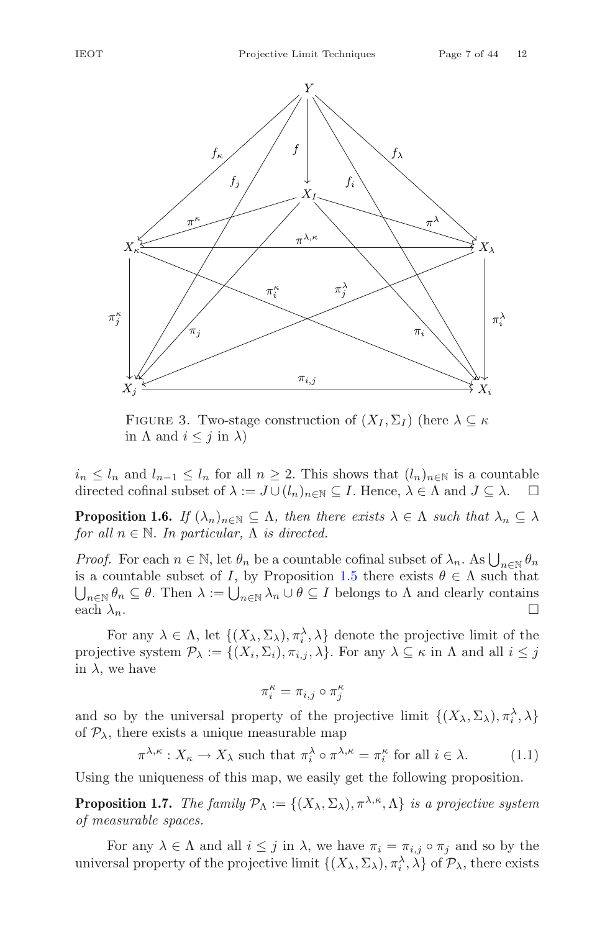



<span id="page-6-0"></span>FIGURE 3. Two-stage construction of  $(X_I, \Sigma_I)$  (here  $\lambda \subseteq \kappa$ in  $\Lambda$  and  $i \leq j$  in  $\lambda$ )

 $i_n \leq l_n$  and  $l_{n-1} \leq l_n$  for all  $n \geq 2$ . This shows that  $(l_n)_{n \in \mathbb{N}}$  is a countable directed cofinal subset of  $\lambda := J \cup (l_n)_{n \in \mathbb{N}} \subseteq I$ . Hence,  $\lambda \in \Lambda$  and  $J \subseteq \lambda$ .  $\Box$ directed cofinal subset of  $\lambda := J \cup (l_n)_{n \in \mathbb{N}} \subseteq I$ . Hence,  $\lambda \in \Lambda$  and  $J \subseteq \lambda$ .

<span id="page-6-1"></span>**Proposition 1.6.** *If*  $(\lambda_n)_{n \in \mathbb{N}} \subseteq \Lambda$ *, then there exists*  $\lambda \in \Lambda$  *such that*  $\lambda_n \subseteq \lambda$ *for all*  $n \in \mathbb{N}$ *. In particular,*  $\Lambda$  *is directed.* 

*Proof.* For each  $n \in \mathbb{N}$ , let  $\theta_n$  be a countable cofinal subset of  $\lambda_n$ . As  $\bigcup_{n \in \mathbb{N}} \theta_n$ is a countable subset of I, by Proposition [1.5](#page-5-0) there exists  $\theta \in \Lambda$  such that  $\bigcup_{n\in\mathbb{N}}\theta_n\subseteq\theta.$  Then  $\lambda:=\bigcup_{n\in\mathbb{N}}\lambda_n\cup\theta\subseteq I$  belongs to  $\Lambda$  and clearly contains each  $\lambda_n$ .

For any  $\lambda \in \Lambda$ , let  $\{(X_{\lambda}, \Sigma_{\lambda}), \pi_i^{\lambda}, \lambda\}$  denote the projective limit of the projective system  $\mathcal{P}_{\lambda} := \{(X_i, \Sigma_i), \pi_{i,j}, \lambda\}$ . For any  $\lambda \subseteq \kappa$  in  $\Lambda$  and all  $i \leq j$ in  $\lambda$ , we have

$$
\pi_i^\kappa = \pi_{i,j} \circ \pi_j^\kappa
$$

and so by the universal property of the projective limit  $\{(X_\lambda, \Sigma_\lambda), \pi_i^\lambda, \lambda\}$ of  $P_{\lambda}$ , there exists a unique measurable map

<span id="page-6-2"></span>
$$
\pi^{\lambda,\kappa}: X_{\kappa} \to X_{\lambda} \text{ such that } \pi_i^{\lambda} \circ \pi^{\lambda,\kappa} = \pi_i^{\kappa} \text{ for all } i \in \lambda. \tag{1.1}
$$

<span id="page-6-3"></span>Using the uniqueness of this map, we easily get the following proposition.

**Proposition 1.7.** *The family*  $\mathcal{P}_{\Lambda} := \{(X_{\lambda}, \Sigma_{\lambda}), \pi^{\lambda,\kappa}, \Lambda\}$  *is a projective system of measurable spaces.*

For any  $\lambda \in \Lambda$  and all  $i \leq j$  in  $\lambda$ , we have  $\pi_i = \pi_{i,j} \circ \pi_j$  and so by the universal property of the projective limit  $\{(X_\lambda, \Sigma_\lambda), \pi_i^\lambda, \lambda\}$  of  $\mathcal{P}_\lambda$ , there exists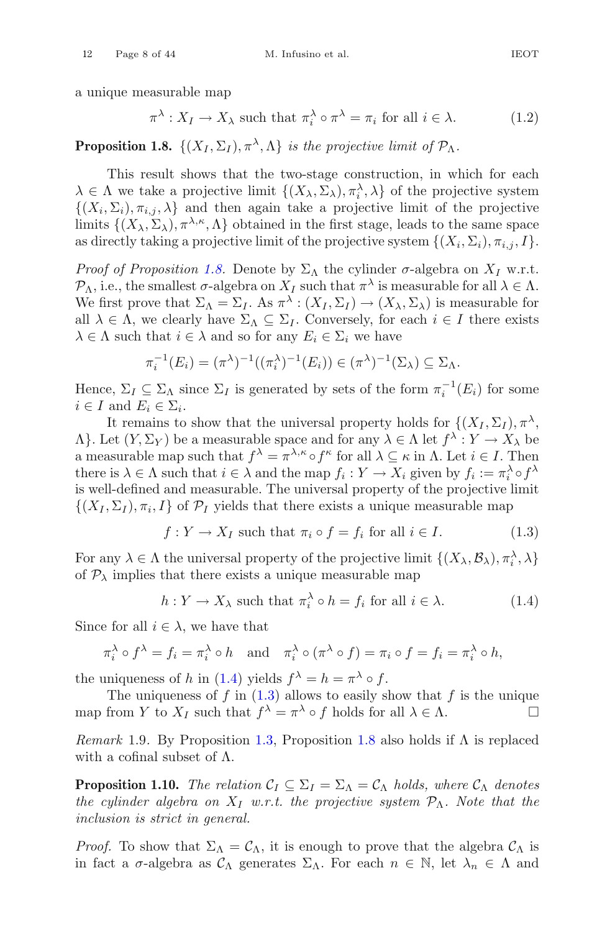a unique measurable map

<span id="page-7-4"></span>
$$
\pi^{\lambda}: X_I \to X_{\lambda} \text{ such that } \pi_i^{\lambda} \circ \pi^{\lambda} = \pi_i \text{ for all } i \in \lambda. \tag{1.2}
$$

<span id="page-7-0"></span>**Proposition 1.8.**  $\{(X_I, \Sigma_I), \pi^\lambda, \Lambda\}$  *is the projective limit of*  $\mathcal{P}_\Lambda$ *.* 

This result shows that the two-stage construction, in which for each  $\lambda \in \Lambda$  we take a projective limit  $\{(X_{\lambda}, \Sigma_{\lambda}), \pi_i^{\lambda}, \lambda\}$  of the projective system  $\{(X_i, \Sigma_i), \pi_{i,j}, \lambda\}$  and then again take a projective limit of the projective limits  $\{(X_\lambda, \Sigma_\lambda), \pi^{\lambda,\kappa}, \Lambda\}$  obtained in the first stage, leads to the same space as directly taking a projective limit of the projective system  $\{(X_i, \Sigma_i), \pi_{i,j}, I\}.$ 

*Proof of Proposition [1.8.](#page-7-0)* Denote by  $\Sigma_{\Lambda}$  the cylinder  $\sigma$ -algebra on  $X_I$  w.r.t.  $\mathcal{P}_{\Lambda}$ , i.e., the smallest  $\sigma$ -algebra on  $X_I$  such that  $\pi^{\lambda}$  is measurable for all  $\lambda \in \Lambda$ . We first prove that  $\Sigma_{\Lambda} = \Sigma_I$ . As  $\pi^{\lambda} : (X_I, \Sigma_I) \to (X_{\lambda}, \Sigma_{\lambda})$  is measurable for all  $\lambda \in \Lambda$ , we clearly have  $\Sigma_{\Lambda} \subseteq \Sigma_I$ . Conversely, for each  $i \in I$  there exists  $\lambda \in \Lambda$  such that  $i \in \lambda$  and so for any  $E_i \in \Sigma_i$  we have

$$
\pi_i^{-1}(E_i) = (\pi^{\lambda})^{-1}((\pi_i^{\lambda})^{-1}(E_i)) \in (\pi^{\lambda})^{-1}(\Sigma_{\lambda}) \subseteq \Sigma_{\Lambda}.
$$

Hence,  $\Sigma_I \subseteq \Sigma_{\Lambda}$  since  $\Sigma_I$  is generated by sets of the form  $\pi_i^{-1}(E_i)$  for some i.e. I and  $E \subseteq \Sigma$ .  $i \in I$  and  $E_i \in \Sigma_i$ .

It remains to show that the universal property holds for  $\{(X_I, \Sigma_I), \pi^{\lambda},\pi^{\lambda}\}$  $\Lambda$ . Let  $(Y, \Sigma_Y)$  be a measurable space and for any  $\lambda \in \Lambda$  let  $f^{\lambda}: Y \to X_{\lambda}$  be a measurable map such that  $f^{\lambda} = \pi^{\lambda, \kappa} \circ f^{\kappa}$  for all  $\lambda \subseteq \kappa$  in  $\Lambda$ . Let  $i \in I$ . Then there is  $\lambda \in \Lambda$  such that  $i \in \lambda$  and the map  $f_i : Y \to X_i$  given by  $f_i := \pi_i^{\lambda} \circ f^{\lambda}$ is well-defined and measurable. The universal property of the projective limit  $\{(X_I,\Sigma_I),\pi_i,I\}$  of  $\mathcal{P}_I$  yields that there exists a unique measurable map

<span id="page-7-2"></span>
$$
f: Y \to X_I \text{ such that } \pi_i \circ f = f_i \text{ for all } i \in I. \tag{1.3}
$$

For any  $\lambda \in \Lambda$  the universal property of the projective limit  $\{(X_{\lambda}, \mathcal{B}_{\lambda}), \pi_i^{\lambda}, \lambda\}$ of  $P_{\lambda}$  implies that there exists a unique measurable map

<span id="page-7-1"></span>
$$
h: Y \to X_{\lambda} \text{ such that } \pi_i^{\lambda} \circ h = f_i \text{ for all } i \in \lambda. \tag{1.4}
$$

Since for all  $i \in \lambda$ , we have that

$$
\pi_i^{\lambda} \circ f^{\lambda} = f_i = \pi_i^{\lambda} \circ h \quad \text{and} \quad \pi_i^{\lambda} \circ (\pi^{\lambda} \circ f) = \pi_i \circ f = f_i = \pi_i^{\lambda} \circ h,
$$

the uniqueness of h in [\(1.4\)](#page-7-1) yields  $f^{\lambda} = h = \pi^{\lambda} \circ f$ .

The uniqueness of  $f$  in  $(1.3)$  allows to easily show that  $f$  is the unique map from Y to  $X_I$  such that  $f^{\lambda} = \pi^{\lambda} \circ f$  holds for all  $\lambda \in \Lambda$ .

<span id="page-7-5"></span>*Remark* 1.9*.* By Proposition [1.3,](#page-5-1) Proposition [1.8](#page-7-0) also holds if Λ is replaced with a cofinal subset of  $\Lambda$ .

<span id="page-7-3"></span>**Proposition 1.10.** *The relation*  $C_I \subseteq \Sigma_I = \Sigma_{\Lambda} = C_{\Lambda}$  *holds, where*  $C_{\Lambda}$  *denotes the cylinder algebra on*  $X_I$  *w.r.t. the projective system*  $\mathcal{P}_\Lambda$ *. Note that the inclusion is strict in general.*

*Proof.* To show that  $\Sigma_{\Lambda} = C_{\Lambda}$ , it is enough to prove that the algebra  $C_{\Lambda}$  is in fact a  $\sigma$ -algebra as  $\mathcal{C}_{\Lambda}$  generates  $\Sigma_{\Lambda}$ . For each  $n \in \mathbb{N}$ , let  $\lambda_n \in \Lambda$  and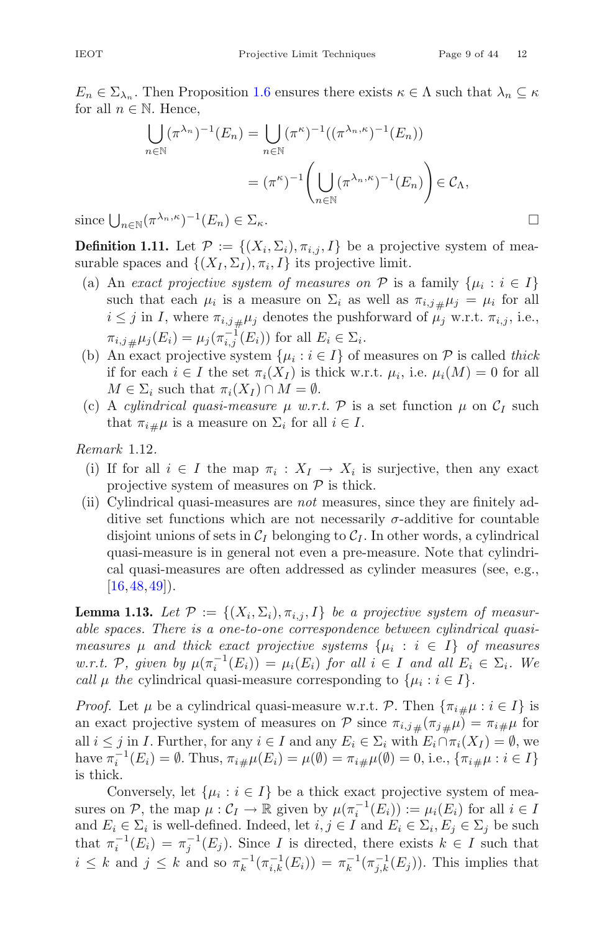$E_n \in \Sigma_{\lambda_n}$ . Then Proposition [1.6](#page-6-1) ensures there exists  $\kappa \in \Lambda$  such that  $\lambda_n \subseteq \kappa$ for all  $n \in \mathbb{N}$ . Hence,

$$
\bigcup_{n \in \mathbb{N}} (\pi^{\lambda_n})^{-1}(E_n) = \bigcup_{n \in \mathbb{N}} (\pi^{\kappa})^{-1}((\pi^{\lambda_n,\kappa})^{-1}(E_n))
$$

$$
= (\pi^{\kappa})^{-1} \left( \bigcup_{n \in \mathbb{N}} (\pi^{\lambda_n,\kappa})^{-1}(E_n) \right) \in \mathcal{C}_{\Lambda},
$$

$$
\mathbb{Q}(\pi^{\lambda_n,\kappa})^{-1}(E_n) \in \Sigma_{\kappa}.
$$

since  $\bigcup_{n\in\mathbb{N}}(\pi)$ 

**Definition 1.11.** Let  $\mathcal{P} := \{(X_i, \Sigma_i), \pi_{i,j}, I\}$  be a projective system of measurable spaces and  $\{(X_I, \Sigma_I), \pi_i, I\}$  its projective limit.

- (a) An *exact projective system of measures on*  $P$  is a family  $\{\mu_i : i \in I\}$ such that each  $\mu_i$  is a measure on  $\Sigma_i$  as well as  $\pi_{i,j\#}\mu_j = \mu_i$  for all  $i \leq i$  in  $I$ , where  $\pi_{i,j}$   $\mu_i$  denotes the pushforward of  $\mu_j$ , w.r.t.  $\pi_{i,j}$  i.e.  $i \leq j$  in I, where  $\pi_{i,j\,\#\mu_j}$  denotes the pushforward of  $\mu_j$  w.r.t.  $\pi_{i,j}$ , i.e.,  $\pi_{i,j\,\,\,\mu} \mu_j(E_i) = \mu_j(\pi_{i,j}^{-1}(E_i))$  for all  $E_i \in \Sigma_i$ .<br>An exact projective system  $\{\mu_i : i \in I\}$  of
- (b) An exact projective system  $\{\mu_i : i \in I\}$  of measures on  $\mathcal P$  is called *thick* if for each  $i \in I$  the set  $\pi_i(X_I)$  is thick w.r.t.  $\mu_i$ , i.e.  $\mu_i(M) = 0$  for all  $M \in \Sigma_i$  such that  $\pi_i(X_I) \cap M = \emptyset$ .
- (c) A *cylindrical quasi-measure*  $\mu$  *w.r.t.* P is a set function  $\mu$  on  $C_I$  such that  $\pi_{i\#}\mu$  is a measure on  $\Sigma_i$  for all  $i \in I$ .

<span id="page-8-0"></span>*Remark* 1.12*.*

- (i) If for all  $i \in I$  the map  $\pi_i : X_I \to X_i$  is surjective, then any exact projective system of measures on  $P$  is thick.
- (ii) Cylindrical quasi-measures are *not* measures, since they are finitely additive set functions which are not necessarily  $\sigma$ -additive for countable disjoint unions of sets in  $\mathcal{C}_I$  belonging to  $\mathcal{C}_I$ . In other words, a cylindrical quasi-measure is in general not even a pre-measure. Note that cylindrical quasi-measures are often addressed as cylinder measures (see, e.g.,  $[16, 48, 49]$  $[16, 48, 49]$  $[16, 48, 49]$  $[16, 48, 49]$  $[16, 48, 49]$ .

<span id="page-8-1"></span>**Lemma 1.13.** Let  $\mathcal{P} := \{(X_i, \Sigma_i), \pi_{i,j}, I\}$  be a projective system of measur*able spaces. There is a one-to-one correspondence between cylindrical quasimeasures*  $\mu$  *and thick exact projective systems*  $\{\mu_i : i \in I\}$  *of measures w.r.t.* P, given by  $\mu(\pi_i^{-1}(E_i)) = \mu_i(E_i)$  for all  $i \in I$  and all  $E_i \in \Sigma_i$ *. We call*  $\mu$  *the* cylindrical quasi-measure corresponding to  $\{\mu_i : i \in I\}$ .

*Proof.* Let  $\mu$  be a cylindrical quasi-measure w.r.t. P. Then  $\{\pi_{i\#}\mu : i \in I\}$  is an exact projective system of measures on P since  $\pi_{i,j\,\mu}(\pi_{j\,\mu}\mu) = \pi_{i\,\mu}\mu$  for all  $i \leq j$  in I. Further, for any  $i \in I$  and any  $E_i \in \Sigma_i$  with  $E_i \cap \pi_i(X_I) = \emptyset$ , we have  $\pi_i^{-1}(E_i) = \emptyset$ . Thus,  $\pi_{i\#}\mu(E_i) = \mu(\emptyset) = \pi_{i\#}\mu(\emptyset) = 0$ , i.e.,  $\{\pi_{i\#}\mu : i \in I\}$ is thick.

Conversely, let  $\{\mu_i : i \in I\}$  be a thick exact projective system of measures on P, the map  $\mu: \mathcal{C}_I \to \mathbb{R}$  given by  $\mu(\pi_i^{-1}(E_i)) := \mu_i(E_i)$  for all  $i \in I$ and  $E_i \in \Sigma_i$  is well-defined. Indeed, let  $i, j \in I$  and  $E_i \in \Sigma_i, E_j \in \Sigma_j$  be such that  $\pi_i^{-1}(E_i) = \pi_j^{-1}(E_j)$ . Since I is directed, there exists  $k \in I$  such that  $i \leq k$  and  $j \leq k$  and so  $\pi_k^{-1}(\pi_{i,k}^{-1}(E_i)) = \pi_k^{-1}(\pi_{j,k}^{-1}(E_j)).$  This implies that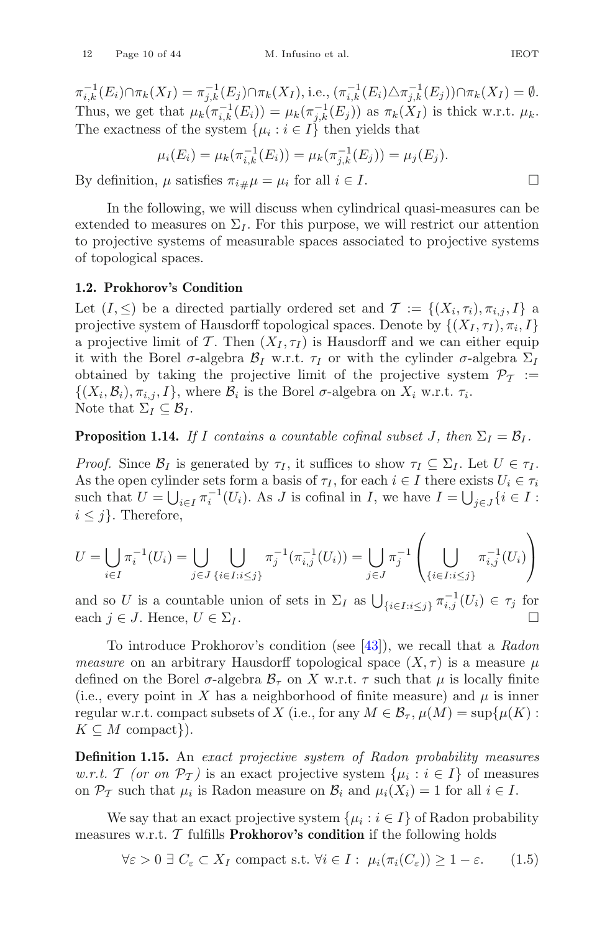$\pi_{i,k}^{-1}(E_i) \cap \pi_k(X_I) = \pi_{j,k}^{-1}(E_j) \cap \pi_k(X_I),$  i.e.,  $(\pi_{i,k}^{-1}(E_i) \triangle \pi_{j,k}^{-1}(E_j)) \cap \pi_k(X_I) = \emptyset$ . Thus, we get that  $\mu_k(\pi_{i,k}^{-1}(E_i)) = \mu_k(\pi_{j,k}^{-1}(E_j))$  as  $\pi_k(X_I)$  is thick w.r.t.  $\mu_k$ . The exactness of the system  $\{\mu_i : i \in I\}$  then yields that

$$
\mu_i(E_i) = \mu_k(\pi_{i,k}^{-1}(E_i)) = \mu_k(\pi_{j,k}^{-1}(E_j)) = \mu_j(E_j).
$$

By definition,  $\mu$  satisfies  $\pi_{i\#}\mu = \mu_i$  for all  $i \in I$ .

In the following, we will discuss when cylindrical quasi-measures can be extended to measures on  $\Sigma_I$ . For this purpose, we will restrict our attention to projective systems of measurable spaces associated to projective systems of topological spaces.

# <span id="page-9-0"></span>**1.2. Prokhorov's Condition**

Let  $(I, \leq)$  be a directed partially ordered set and  $\mathcal{T} := \{(X_i, \tau_i), \pi_{i,i}, I\}$  a projective system of Hausdorff topological spaces. Denote by  $\{(X_I, \tau_I), \pi_i, I\}$ a projective limit of T. Then  $(X_I, \tau_I)$  is Hausdorff and we can either equip it with the Borel  $\sigma$ -algebra  $\mathcal{B}_I$  w.r.t.  $\tau_I$  or with the cylinder  $\sigma$ -algebra  $\Sigma_I$ obtained by taking the projective limit of the projective system  $\mathcal{P}_{\mathcal{T}}$  :=  $\{(X_i,\mathcal{B}_i), \pi_{i,j}, I\}$ , where  $\mathcal{B}_i$  is the Borel  $\sigma$ -algebra on  $X_i$  w.r.t.  $\tau_i$ . Note that  $\Sigma_I \subseteq \mathcal{B}_I$ .

<span id="page-9-3"></span>**Proposition 1.14.** *If* I contains a countable cofinal subset J, then  $\Sigma_I = \mathcal{B}_I$ .

*Proof.* Since  $\mathcal{B}_I$  is generated by  $\tau_I$ , it suffices to show  $\tau_I \subseteq \Sigma_I$ . Let  $U \in \tau_I$ . As the open cylinder sets form a basis of  $\tau_I$ , for each  $i \in I$  there exists  $U_i \in \tau_i$ such that  $U = \bigcup_{i \in I} \pi_i^{-1}(U_i)$ . As J is cofinal in I, we have  $I = \bigcup_{j \in J} \{i \in I :$  $i \leq j$ . Therefore,

$$
U = \bigcup_{i \in I} \pi_i^{-1}(U_i) = \bigcup_{j \in J} \bigcup_{\{i \in I : i \le j\}} \pi_j^{-1}(\pi_{i,j}^{-1}(U_i)) = \bigcup_{j \in J} \pi_j^{-1}\left(\bigcup_{\{i \in I : i \le j\}} \pi_{i,j}^{-1}(U_i)\right)
$$

and so U is a countable union of sets in  $\Sigma_I$  as  $\bigcup_{\{i \in I : i \leq j\}} \pi_{i,j}^{-1}(U_i) \in \tau_j$  for each  $j \in J$ . Hence,  $U \in \Sigma_I$ .

To introduce Prokhorov's condition (see [\[43](#page-42-8)]), we recall that a *Radon measure* on an arbitrary Hausdorff topological space  $(X, \tau)$  is a measure  $\mu$ defined on the Borel  $\sigma$ -algebra  $\mathcal{B}_{\tau}$  on X w.r.t.  $\tau$  such that  $\mu$  is locally finite (i.e., every point in X has a neighborhood of finite measure) and  $\mu$  is inner regular w.r.t. compact subsets of X (i.e., for any  $M \in \mathcal{B}_{\tau}$ ,  $\mu(M) = \sup \{ \mu(K) :$  $K \subseteq M$  compact}).

**Definition 1.15.** An *exact projective system of Radon probability measures w.r.t.* T *(or on*  $\mathcal{P}_{\mathcal{T}}$ ) is an exact projective system  $\{\mu_i : i \in I\}$  of measures on  $\mathcal{P}_{\mathcal{T}}$  such that  $\mu_i$  is Radon measure on  $\mathcal{B}_i$  and  $\mu_i(X_i) = 1$  for all  $i \in I$ .

We say that an exact projective system  $\{\mu_i : i \in I\}$  of Radon probability measures w.r.t.  $\mathcal T$  fulfills **Prokhorov's condition** if the following holds

<span id="page-9-2"></span><span id="page-9-1"></span>
$$
\forall \varepsilon > 0 \; \exists \; C_{\varepsilon} \subset X_I \text{ compact s.t. } \forall i \in I : \; \mu_i(\pi_i(C_{\varepsilon})) \ge 1 - \varepsilon. \tag{1.5}
$$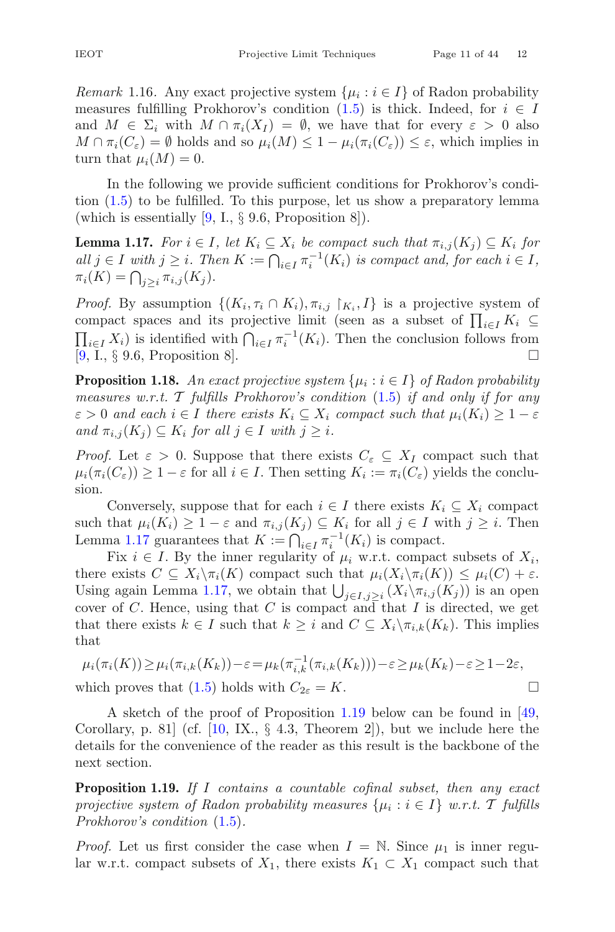measures fulfilling Prokhorov's condition [\(1.5\)](#page-9-1) is thick. Indeed, for  $i \in I$ and  $M \in \Sigma_i$  with  $M \cap \pi_i(X_I) = \emptyset$ , we have that for every  $\varepsilon > 0$  also  $M \cap \pi_i(C_\varepsilon) = \emptyset$  holds and so  $\mu_i(M) \leq 1 - \mu_i(\pi_i(C_\varepsilon)) \leq \varepsilon$ , which implies in turn that  $\mu_i(M) = 0$ .

In the following we provide sufficient conditions for Prokhorov's condition [\(1.5\)](#page-9-1) to be fulfilled. To this purpose, let us show a preparatory lemma (which is essentially  $[9, I., \S 9.6,$  $[9, I., \S 9.6,$  Proposition 8]).

<span id="page-10-0"></span>**Lemma 1.17.** *For*  $i \in I$ *, let*  $K_i \subseteq X_i$  *be compact such that*  $\pi_{i,j}(K_i) \subseteq K_i$  *for*  $all \ j \in I \ with \ j \geq i.$  Then  $K := \bigcap_{i \in I} \pi_i^{-1}(K_i)$  is compact and, for each  $i \in I$ ,  $\pi_i(K) = \bigcap_{j \geq i} \pi_{i,j}(K_j).$ 

*Proof.* By assumption  $\{(K_i, \tau_i \cap K_i), \pi_{i,j} \mid K_i, I\}$  is a projective system of compact spaces and its projective limit (seen as a subset of  $\prod_{i\in I} K_i \subseteq$  $\prod_{i\in I} X_i$ ) is identified with  $\bigcap_{i\in I} \pi_i^{-1}(K_i)$ . Then the conclusion follows from [\[9](#page-40-11), I., § 9.6, Proposition 8].

<span id="page-10-2"></span>**Proposition 1.18.** An exact projective system  $\{\mu_i : i \in I\}$  of Radon probability *measures w.r.t.* T *fulfills Prokhorov's condition* [\(1.5\)](#page-9-1) *if and only if for any*  $\varepsilon > 0$  and each  $i \in I$  there exists  $K_i \subseteq X_i$  compact such that  $\mu_i(K_i) \geq 1 - \varepsilon$  $\text{and } \pi_{i,j}(K_j) \subseteq K_i \text{ for all } j \in I \text{ with } j \geq i.$ 

*Proof.* Let  $\varepsilon > 0$ . Suppose that there exists  $C_{\varepsilon} \subseteq X_I$  compact such that  $\mu_i(\pi_i(C_{\varepsilon})) \geq 1 - \varepsilon$  for all  $i \in I$ . Then setting  $K_i := \pi_i(C_{\varepsilon})$  yields the conclusion.

Conversely, suppose that for each  $i \in I$  there exists  $K_i \subseteq X_i$  compact such that  $\mu_i(K_i) \geq 1 - \varepsilon$  and  $\pi_{i,j}(K_j) \subseteq K_i$  for all  $j \in I$  with  $j \geq i$ . Then Lemma [1.17](#page-10-0) guarantees that  $K := \bigcap_{i \in I} \pi_i^{-1}(K_i)$  is compact.

Fix  $i \in I$ . By the inner regularity of  $\mu_i$  w.r.t. compact subsets of  $X_i$ , there exists  $C \subseteq X_i \setminus \pi_i(K)$  compact such that  $\mu_i(X_i \setminus \pi_i(K)) \leq \mu_i(C) + \varepsilon$ . Using again Lemma [1.17,](#page-10-0) we obtain that  $\bigcup_{j\in I,j\geq i} (X_i\setminus \pi_{i,j}(K_j))$  is an open cover of C. Hence, using that C is compact and that I is directed, we get that there exists  $k \in I$  such that  $k \geq i$  and  $C \subseteq X_i \backslash \pi_{i,k}(K_k)$ . This implies that

$$
\mu_i(\pi_i(K)) \ge \mu_i(\pi_{i,k}(K_k)) - \varepsilon = \mu_k(\pi_{i,k}^{-1}(\pi_{i,k}(K_k))) - \varepsilon \ge \mu_k(K_k) - \varepsilon \ge 1 - 2\varepsilon,
$$
  
which proves that (1.5) holds with  $C_{2\varepsilon} = K$ .

A sketch of the proof of Proposition [1.19](#page-10-1) below can be found in [\[49,](#page-42-5) Corollary, p. 81 (cf.  $[10, \text{IX}, \S 4.3, \text{Theorem 2}]$  $[10, \text{IX}, \S 4.3, \text{Theorem 2}]$ ), but we include here the details for the convenience of the reader as this result is the backbone of the

**Proposition 1.19.** *If* I *contains a countable cofinal subset, then any exact projective system of Radon probability measures*  $\{\mu_i : i \in I\}$  *w.r.t.* T *fulfills Prokhorov's condition* [\(1.5\)](#page-9-1)*.*

*Proof.* Let us first consider the case when  $I = \mathbb{N}$ . Since  $\mu_1$  is inner regular w.r.t. compact subsets of  $X_1$ , there exists  $K_1 \subset X_1$  compact such that

<span id="page-10-1"></span>next section.

$$
\Box
$$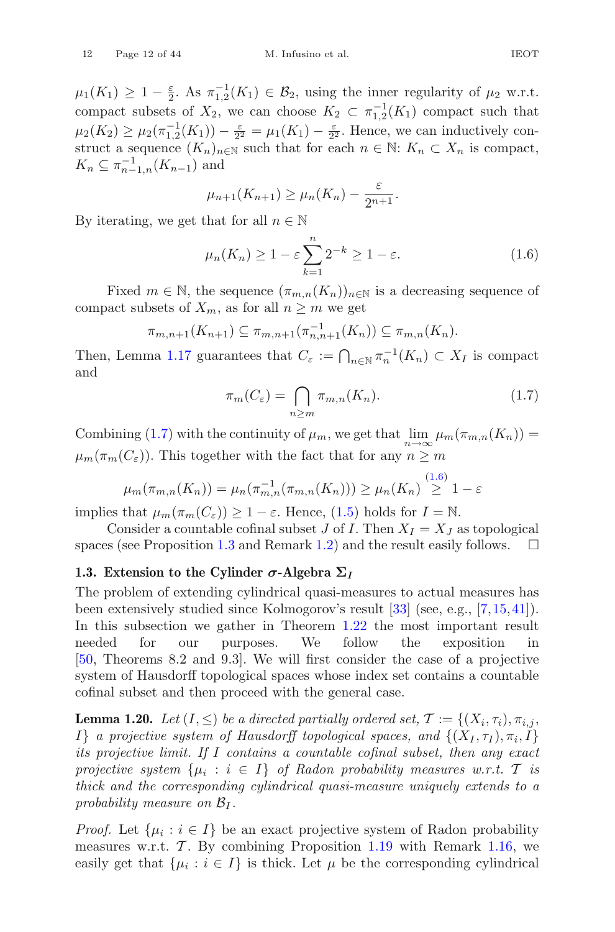$\mu_1(K_1) \geq 1 - \frac{\varepsilon}{2}$ . As  $\pi_{1,2}^{-1}(K_1) \in \mathcal{B}_2$ , using the inner regularity of  $\mu_2$  w.r.t.<br>compact subsets of  $Y_2$ , we can choose  $K_2 \subset \pi^{-1}(K_2)$  compact such that compact subsets of  $X_2$ , we can choose  $K_2 \subset \pi_{1,2}^{-1}(K_1)$  compact such that  $\pi_{1,2}(K_1) \times \pi_{1,2}(K_1) \times \pi_{2,2}$ .  $\mu_2(K_2) \geq \mu_2(\pi_{1,2}^{-1}(K_1)) - \frac{\varepsilon}{2^2} = \mu_1(K_1) - \frac{\varepsilon}{2^2}$ . Hence, we can inductively construct a sequence  $(K_1)$  can such that for each  $n \in \mathbb{N}$ .  $K_1 \subset X_2$  is compact. struct a sequence  $(K_n)_{n\in\mathbb{N}}$  such that for each  $n\in\mathbb{N}$ :  $K_n\subset X_n$  is compact,  $K_n \subseteq \pi_{n-1,n}^{-1}(K_{n-1})$  and

$$
\mu_{n+1}(K_{n+1}) \ge \mu_n(K_n) - \frac{\varepsilon}{2^{n+1}}.
$$

By iterating, we get that for all  $n \in \mathbb{N}$ 

<span id="page-11-3"></span>
$$
\mu_n(K_n) \ge 1 - \varepsilon \sum_{k=1}^n 2^{-k} \ge 1 - \varepsilon. \tag{1.6}
$$

Fixed  $m \in \mathbb{N}$ , the sequence  $(\pi_{m,n}(K_n))_{n \in \mathbb{N}}$  is a decreasing sequence of compact subsets of  $X_m$ , as for all  $n \geq m$  we get

$$
\pi_{m,n+1}(K_{n+1}) \subseteq \pi_{m,n+1}(\pi_{n,n+1}^{-1}(K_n)) \subseteq \pi_{m,n}(K_n).
$$

Then, Lemma [1.17](#page-10-0) guarantees that  $C_{\varepsilon} := \bigcap_{n \in \mathbb{N}} \pi_n^{-1}(K_n) \subset X_I$  is compact and

<span id="page-11-2"></span>
$$
\pi_m(C_{\varepsilon}) = \bigcap_{n \ge m} \pi_{m,n}(K_n). \tag{1.7}
$$

Combining [\(1.7\)](#page-11-2) with the continuity of  $\mu_m$ , we get that  $\lim_{n\to\infty} \mu_m(\pi_{m,n}(K_n)) =$  $\mu_m(\pi_m(C_{\varepsilon}))$ . This together with the fact that for any  $n \geq m$ 

$$
\mu_m(\pi_{m,n}(K_n)) = \mu_n(\pi_{m,n}^{-1}(\pi_{m,n}(K_n))) \ge \mu_n(K_n) \stackrel{(1.6)}{\ge} 1 - \varepsilon
$$

implies that  $\mu_m(\pi_m(C_\varepsilon)) \geq 1 - \varepsilon$ . Hence, [\(1.5\)](#page-9-1) holds for  $I = \mathbb{N}$ .

Consider a countable cofinal subset J of I. Then  $X_I = X_J$  as topological spaces (see Proposition [1.3](#page-5-1) and Remark [1.2\)](#page-4-2) and the result easily follows.  $\square$ 

#### <span id="page-11-0"></span>1.3. Extension to the Cylinder  $\sigma$ -Algebra  $\Sigma_I$

The problem of extending cylindrical quasi-measures to actual measures has been extensively studied since Kolmogorov's result [\[33\]](#page-41-14) (see, e.g., [\[7](#page-40-7)[,15](#page-40-12)[,41\]](#page-42-9)). In this subsection we gather in Theorem [1.22](#page-13-0) the most important result needed for our purposes. We follow the exposition in [\[50](#page-42-6), Theorems 8.2 and 9.3]. We will first consider the case of a projective system of Hausdorff topological spaces whose index set contains a countable cofinal subset and then proceed with the general case.

<span id="page-11-1"></span>**Lemma 1.20.** *Let*  $(I, \leq)$  *be a directed partially ordered set,*  $\mathcal{T} := \{(X_i, \tau_i), \pi_{i,j},\}$ If *a projective system of Hausdorff topological spaces, and*  $\{(X_I, \tau_I), \pi_i, I\}$ *its projective limit. If* I *contains a countable cofinal subset, then any exact projective system*  $\{\mu_i : i \in I\}$  *of Radon probability measures w.r.t.* T *is thick and the corresponding cylindrical quasi-measure uniquely extends to a probability measure on*  $B_I$ .

*Proof.* Let  $\{\mu_i : i \in I\}$  be an exact projective system of Radon probability measures w.r.t.  $\mathcal{T}$ . By combining Proposition [1.19](#page-10-1) with Remark [1.16,](#page-9-2) we easily get that  $\{\mu_i : i \in I\}$  is thick. Let  $\mu$  be the corresponding cylindrical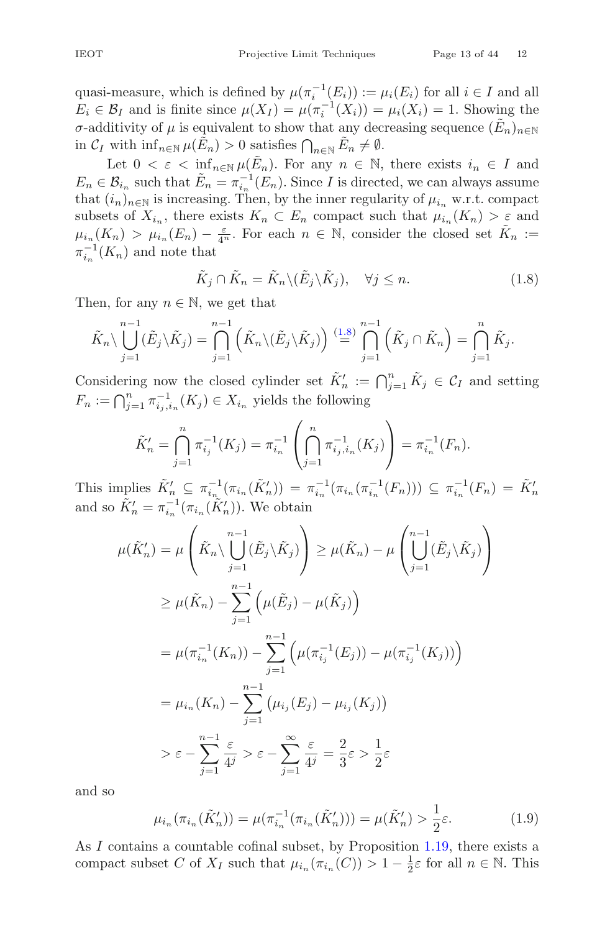quasi-measure, which is defined by  $\mu(\pi_i^{-1}(E_i)) := \mu_i(E_i)$  for all  $i \in I$  and all  $E_i \in \mathcal{B}_I$  and is finite since  $\mu(X_I) = \mu(\pi_i^{-1}(X_i)) = \mu_i(X_i) = 1$ . Showing the σ-additivity of μ is equivalent to show that any decreasing sequence  $(E_n)_{n\in\mathbb{N}}$ in  $C_I$  with  $\inf_{n \in \mathbb{N}} \mu(\tilde{E}_n) > 0$  satisfies  $\bigcap_{n \in \mathbb{N}} \tilde{E}_n \neq \emptyset$ .

Let  $0 < \varepsilon < \inf_{n \in \mathbb{N}} \mu(\tilde{E}_n)$ . For any  $n \in \mathbb{N}$ , there exists  $i_n \in I$  and  $E_n \in \mathcal{B}_{i_n}$  such that  $\tilde{E}_n = \pi_{i_n}^{-1}(E_n)$ . Since I is directed, we can always assume that  $(i_n)_{n\in\mathbb{N}}$  is increasing. Then, by the inner regularity of  $\mu_{i_n}$  w.r.t. compact subsets of  $X_{i_n}$ , there exists  $K_n \subset E_n$  compact such that  $\mu_{i_n}(K_n) > \varepsilon$  and  $\mu_{i_n}(K_n) > \mu_{i_n}(E_n) - \frac{\varepsilon}{4^n}$ . For each  $n \in \mathbb{N}$ , consider the closed set  $\tilde{K}_n :=$ <br> $\pi^{-1}(K_n)$  and note that  $\pi_{i_n}^{-1}(K_n)$  and note that

<span id="page-12-0"></span>
$$
\tilde{K}_j \cap \tilde{K}_n = \tilde{K}_n \setminus (\tilde{E}_j \setminus \tilde{K}_j), \quad \forall j \le n.
$$
\n(1.8)

Then, for any  $n \in \mathbb{N}$ , we get that

$$
\tilde{K}_n \setminus \bigcup_{j=1}^{n-1} (\tilde{E}_j \setminus \tilde{K}_j) = \bigcap_{j=1}^{n-1} \left( \tilde{K}_n \setminus (\tilde{E}_j \setminus \tilde{K}_j) \right) \stackrel{(1.8)}{=} \bigcap_{j=1}^{n-1} \left( \tilde{K}_j \cap \tilde{K}_n \right) = \bigcap_{j=1}^{n} \tilde{K}_j.
$$

Considering now the closed cylinder set  $\tilde{K}'_n := \bigcap_{j=1}^n \tilde{K}_j \in \mathcal{C}_I$  and setting  $F_n : \bigcap_{j=1}^n (K) \subset Y$  suide the following  $F_n := \bigcap_{j=1}^n \pi_{i_j,i_n}^{-1}(K_j) \in X_{i_n}$  yields the following

$$
\tilde{K}'_n = \bigcap_{j=1}^n \pi_{i_j}^{-1}(K_j) = \pi_{i_n}^{-1}\left(\bigcap_{j=1}^n \pi_{i_j,i_n}^{-1}(K_j)\right) = \pi_{i_n}^{-1}(F_n).
$$

This implies  $\tilde{K}'_n \subseteq \pi_{i_n}^{-1}(\pi_{i_n}(\tilde{K}'_n)) = \pi_{i_n}^{-1}(\pi_{i_n}(\pi_{i_n}^{-1}(F_n))) \subseteq \pi_{i_n}^{-1}(F_n) = \tilde{K}'_n$ <br>and so  $\tilde{K}'_n = \pi_{i_n}^{-1}(\pi_{i_n}(\tilde{K}'_n))$ . We obtain

$$
\mu(\tilde{K}'_n) = \mu\left(\tilde{K}_n \setminus \bigcup_{j=1}^{n-1} (\tilde{E}_j \setminus \tilde{K}_j)\right) \ge \mu(\tilde{K}_n) - \mu\left(\bigcup_{j=1}^{n-1} (\tilde{E}_j \setminus \tilde{K}_j)\right)
$$
  
\n
$$
\ge \mu(\tilde{K}_n) - \sum_{j=1}^{n-1} \left(\mu(\tilde{E}_j) - \mu(\tilde{K}_j)\right)
$$
  
\n
$$
= \mu(\pi_{i_n}^{-1}(K_n)) - \sum_{j=1}^{n-1} \left(\mu(\pi_{i_j}^{-1}(E_j)) - \mu(\pi_{i_j}^{-1}(K_j))\right)
$$
  
\n
$$
= \mu_{i_n}(K_n) - \sum_{j=1}^{n-1} \left(\mu_{i_j}(E_j) - \mu_{i_j}(K_j)\right)
$$
  
\n
$$
> \varepsilon - \sum_{j=1}^{n-1} \frac{\varepsilon}{4^j} > \varepsilon - \sum_{j=1}^{\infty} \frac{\varepsilon}{4^j} = \frac{2}{3}\varepsilon > \frac{1}{2}\varepsilon
$$

and so

<span id="page-12-1"></span>
$$
\mu_{i_n}(\pi_{i_n}(\tilde{K}'_n)) = \mu(\pi_{i_n}^{-1}(\pi_{i_n}(\tilde{K}'_n))) = \mu(\tilde{K}'_n) > \frac{1}{2}\varepsilon.
$$
\n(1.9)

As I contains a countable cofinal subset, by Proposition [1.19,](#page-10-1) there exists a compact subset C of  $X_I$  such that  $\mu_{i_n}(\pi_{i_n}(C)) > 1 - \frac{1}{2}\varepsilon$  for all  $n \in \mathbb{N}$ . This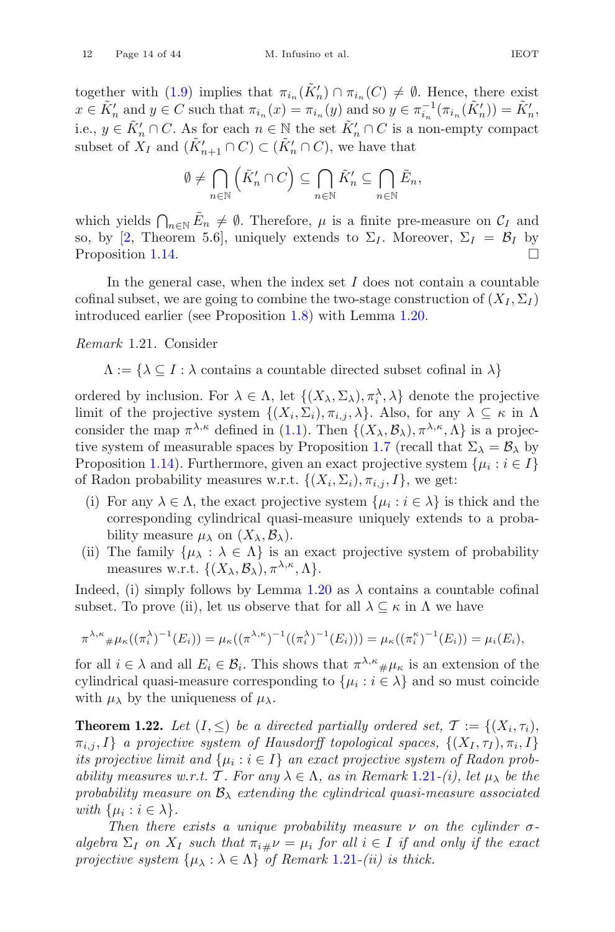together with [\(1.9\)](#page-12-1) implies that  $\pi_{i_n}(\tilde{K}'_n) \cap \pi_{i_n}(C) \neq \emptyset$ . Hence, there exist  $x \in \tilde{K}'_n$  and  $y \in C$  such that  $\pi_{i_n}(x) = \pi_{i_n}(y)$  and so  $y \in \pi_{i_n}^{-1}(\pi_{i_n}(\tilde{K}'_n)) = \tilde{K}'_n$ , i.e.,  $y \in \tilde{K}'_n \cap C$ . As for each  $n \in \mathbb{N}$  the set  $\tilde{K}'_n \cap C$  is a non-empty compact subset of  $X_I$  and  $(\tilde{K}'_{n+1} \cap C) \subset (\tilde{K}'_n \cap C)$ , we have that

$$
\emptyset \neq \bigcap_{n \in \mathbb{N}} \left( \tilde{K}'_n \cap C \right) \subseteq \bigcap_{n \in \mathbb{N}} \tilde{K}'_n \subseteq \bigcap_{n \in \mathbb{N}} \tilde{E}_n,
$$

which yields  $\bigcap_{n\in\mathbb{N}}\tilde{E}_n\neq\emptyset$ . Therefore,  $\mu$  is a finite pre-measure on  $\mathcal{C}_I$  and so, by [\[2](#page-40-13), Theorem 5.6], uniquely extends to  $\Sigma_I$ . Moreover,  $\Sigma_I = \mathcal{B}_I$  by Proposition 1.14. Proposition [1.14.](#page-9-3)

In the general case, when the index set  $I$  does not contain a countable cofinal subset, we are going to combine the two-stage construction of  $(X_I, \Sigma_I)$ introduced earlier (see Proposition [1.8\)](#page-7-0) with Lemma [1.20.](#page-11-1)

#### <span id="page-13-1"></span>*Remark* 1.21*.* Consider

 $\Lambda := {\lambda \subseteq I : \lambda \text{ contains a countable directed subset cofinal in } \lambda}$ 

ordered by inclusion. For  $\lambda \in \Lambda$ , let  $\{(X_{\lambda}, \Sigma_{\lambda}), \pi_{i}^{\lambda}, \lambda\}$  denote the projective limit of the projective system  $\{(X_i, \Sigma_i), \pi_{i,j}, \lambda\}$ . Also, for any  $\lambda \subseteq \kappa$  in  $\Lambda$ consider the map  $\pi^{\lambda,\kappa}$  defined in [\(1.1\)](#page-6-2). Then  $\{(X_{\lambda}, \mathcal{B}_{\lambda}), \pi^{\lambda,\kappa}, \Lambda\}$  is a projec-tive system of measurable spaces by Proposition [1.7](#page-6-3) (recall that  $\Sigma_{\lambda} = \mathcal{B}_{\lambda}$  by Proposition [1.14\)](#page-9-3). Furthermore, given an exact projective system  $\{\mu_i : i \in I\}$ of Radon probability measures w.r.t.  $\{(X_i, \Sigma_i), \pi_{i,j}, I\}$ , we get:

- (i) For any  $\lambda \in \Lambda$ , the exact projective system  $\{\mu_i : i \in \lambda\}$  is thick and the corresponding cylindrical quasi-measure uniquely extends to a probability measure  $\mu_{\lambda}$  on  $(X_{\lambda}, \mathcal{B}_{\lambda})$ .
- (ii) The family  $\{\mu_{\lambda} : \lambda \in \Lambda\}$  is an exact projective system of probability measures w.r.t.  $\{(X_{\lambda}, \mathcal{B}_{\lambda}), \pi^{\lambda,\kappa}, \Lambda\}.$

Indeed, (i) simply follows by Lemma [1.20](#page-11-1) as  $\lambda$  contains a countable cofinal subset. To prove (ii), let us observe that for all  $\lambda \subseteq \kappa$  in  $\Lambda$  we have

$$
\pi^{\lambda,\kappa} \# \mu_{\kappa}((\pi_i^{\lambda})^{-1}(E_i)) = \mu_{\kappa}((\pi^{\lambda,\kappa})^{-1}((\pi_i^{\lambda})^{-1}(E_i))) = \mu_{\kappa}((\pi_i^{\kappa})^{-1}(E_i)) = \mu_i(E_i),
$$

for all  $i \in \lambda$  and all  $E_i \in \mathcal{B}_i$ . This shows that  $\pi^{\lambda,\kappa} \# \mu_{\kappa}$  is an extension of the cylindrical quasi-measure corresponding to  $\{\mu_i : i \in \lambda\}$  and so must coincide with  $\mu_{\lambda}$  by the uniqueness of  $\mu_{\lambda}$ .

<span id="page-13-0"></span>**Theorem 1.22.** Let  $(I, \leq)$  be a directed partially ordered set,  $\mathcal{T} := \{(X_i, \tau_i),$  $\{\pi_{i,j}, I\}$  *a projective system of Hausdorff topological spaces,*  $\{(X_I, \tau_I), \pi_i, I\}$ *its projective limit and*  $\{\mu_i : i \in I\}$  *an exact projective system of Radon probability measures w.r.t.* T. For any  $\lambda \in \Lambda$ , as in Remark [1.21](#page-13-1)*-(i)*, let  $\mu_{\lambda}$  be the *probability measure on*  $B_{\lambda}$  *extending the cylindrical quasi-measure associated with*  $\{ \mu_i : i \in \lambda \}.$ 

*Then there exists a unique probability measure*  $\nu$  *on the cylinder*  $\sigma$ *algebra*  $\Sigma_I$  *on*  $X_I$  *such that*  $\pi_{i\#} \nu = \mu_i$  *for all*  $i \in I$  *if and only if the exact projective system*  $\{\mu_{\lambda} : \lambda \in \Lambda\}$  *of Remark* [1.21](#page-13-1)*-(ii) is thick.*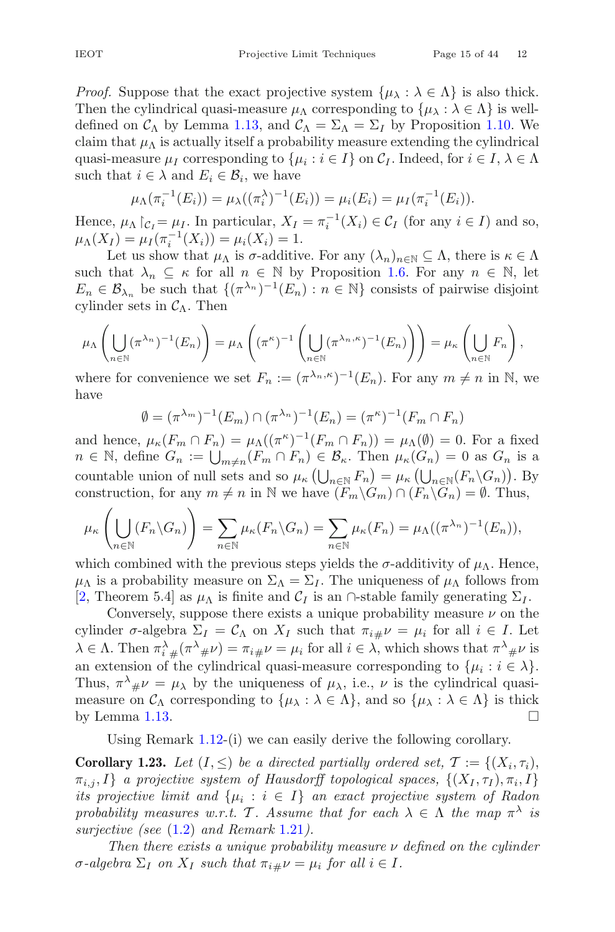*Proof.* Suppose that the exact projective system  $\{\mu_{\lambda} : \lambda \in \Lambda\}$  is also thick. Then the cylindrical quasi-measure  $\mu_{\Lambda}$  corresponding to  $\{\mu_{\lambda} : \lambda \in \Lambda\}$  is welldefined on  $\mathcal{C}_{\Lambda}$  by Lemma [1.13,](#page-8-1) and  $\mathcal{C}_{\Lambda} = \Sigma_{\Lambda} = \Sigma_{I}$  by Proposition [1.10.](#page-7-3) We claim that  $\mu_{\Lambda}$  is actually itself a probability measure extending the cylindrical quasi-measure  $\mu_I$  corresponding to  $\{\mu_i : i \in I\}$  on  $\mathcal{C}_I$ . Indeed, for  $i \in I, \lambda \in \Lambda$ such that  $i \in \lambda$  and  $E_i \in \mathcal{B}_i$ , we have

$$
\mu_{\Lambda}(\pi_i^{-1}(E_i)) = \mu_{\lambda}((\pi_i^{\lambda})^{-1}(E_i)) = \mu_i(E_i) = \mu_I(\pi_i^{-1}(E_i)).
$$

Hence,  $\mu_{\Lambda} \upharpoonright_{C_I} = \mu_I$ . In particular,  $X_I = \pi_i^{-1}(X_i) \in C_I$  (for any  $i \in I$ ) and so,  $\mu_{\Lambda}(X_I) = \mu_I(\pi_i^{-1}(X_i)) = \mu_i(X_i) = 1.$ <br>Let us show that  $\mu_i$  is a additive

Let us show that  $\mu_{\Lambda}$  is  $\sigma$ -additive. For any  $(\lambda_n)_{n\in\mathbb{N}}\subseteq\Lambda$ , there is  $\kappa\in\Lambda$ such that  $\lambda_n \subseteq \kappa$  for all  $n \in \mathbb{N}$  by Proposition [1.6.](#page-6-1) For any  $n \in \mathbb{N}$ , let  $E_n \in \mathcal{B}_{\lambda_n}$  be such that  $\{(\pi^{\lambda_n})^{-1}(E_n) : n \in \mathbb{N}\}\)$  consists of pairwise disjoint cylinder sets in  $\mathcal{C}_{\Lambda}$ . Then

$$
\mu_{\Lambda}\left(\bigcup_{n\in\mathbb{N}}(\pi^{\lambda_n})^{-1}(E_n)\right)=\mu_{\Lambda}\left((\pi^{\kappa})^{-1}\left(\bigcup_{n\in\mathbb{N}}(\pi^{\lambda_n,\kappa})^{-1}(E_n)\right)\right)=\mu_{\kappa}\left(\bigcup_{n\in\mathbb{N}}F_n\right),
$$

where for convenience we set  $F_n := (\pi^{\lambda_n,\kappa})^{-1}(E_n)$ . For any  $m \neq n$  in N, we have

$$
\emptyset = (\pi^{\lambda_m})^{-1}(E_m) \cap (\pi^{\lambda_n})^{-1}(E_n) = (\pi^{\kappa})^{-1}(F_m \cap F_n)
$$

and hence,  $\mu_{\kappa}(F_m \cap F_n) = \mu_{\Lambda}((\pi^{\kappa})^{-1}(F_m \cap F_n)) = \mu_{\Lambda}(\emptyset) = 0$ . For a fixed  $n \in \mathbb{N}$ , define  $G_n := \bigcup_{m \neq n} (F_m \cap F_n) \in \mathcal{B}_{\kappa}$ . Then  $\mu_{\kappa}(G_n) = 0$  as  $G_n$  is a countable union of pull other and as  $\mu_{\kappa}(1 - F_n) = \mu_{\kappa}(1 - (F_n)G_n)$ . countable union of null sets and so  $\mu_{\kappa} \left( \bigcup_{n \in \mathbb{N}} F_n \right) = \mu_{\kappa} \left( \bigcup_{n \in \mathbb{N}} (F_n \setminus G_n) \right)$ . By construction, for any  $m \neq n$  in N we have  $(F_m \backslash G_m) \cap (F_n \backslash G_n) = \emptyset$ . Thus,

$$
\mu_{\kappa}\left(\bigcup_{n\in\mathbb{N}}(F_n\backslash G_n)\right)=\sum_{n\in\mathbb{N}}\mu_{\kappa}(F_n\backslash G_n)=\sum_{n\in\mathbb{N}}\mu_{\kappa}(F_n)=\mu_{\Lambda}((\pi^{\lambda_n})^{-1}(E_n)),
$$

which combined with the previous steps yields the  $\sigma$ -additivity of  $\mu_{\Lambda}$ . Hence,  $\mu_{\Lambda}$  is a probability measure on  $\Sigma_{\Lambda} = \Sigma_{I}$ . The uniqueness of  $\mu_{\Lambda}$  follows from [\[2](#page-40-13), Theorem 5.4] as  $\mu_{\Lambda}$  is finite and  $\mathcal{C}_I$  is an  $\cap$ -stable family generating  $\Sigma_I$ .

Conversely, suppose there exists a unique probability measure  $\nu$  on the cylinder  $\sigma$ -algebra  $\Sigma_I = \mathcal{C}_{\Lambda}$  on  $X_I$  such that  $\pi_{i\#}\nu = \mu_i$  for all  $i \in I$ . Let  $\lambda \in \Lambda$ . Then  $\pi_i^{\lambda} \# (\pi^{\lambda} \# \nu) = \pi_i \# \nu = \mu_i$  for all  $i \in \lambda$ , which shows that  $\pi^{\lambda} \# \nu$  is<br>an extension of the cylindrical cussi measure corresponding to  $\{\mu_i : i \in \Lambda\}$ an extension of the cylindrical quasi-measure corresponding to  $\{\mu_i : i \in \lambda\}.$ Thus,  $\pi^{\lambda} \# \nu = \mu_{\lambda}$  by the uniqueness of  $\mu_{\lambda}$ , i.e.,  $\nu$  is the cylindrical quasi-<br>measure on  $C$ , corresponding to  $\{\mu_{\lambda}, \lambda \in \Lambda\}$  and so  $\{\mu_{\lambda}, \lambda \in \Lambda\}$  is thick measure on  $\mathcal{C}_{\Lambda}$  corresponding to  $\{\mu_{\lambda} : \lambda \in \Lambda\}$ , and so  $\{\mu_{\lambda} : \lambda \in \Lambda\}$  is thick by Lemma 1.13. by Lemma [1.13.](#page-8-1)

Using Remark [1.12-](#page-8-0)(i) we can easily derive the following corollary.

**Corollary 1.23.** Let  $(I, \leq)$  be a directed partially ordered set,  $\mathcal{T} := \{(X_i, \tau_i),$  $\{\pi_{i,j},I\}$  *a projective system of Hausdorff topological spaces,*  $\{(X_I,\tau_I),\pi_i,I\}$ *its projective limit and*  $\{\mu_i : i \in I\}$  *an exact projective system of Radon probability measures w.r.t.* T. Assume that for each  $\lambda \in \Lambda$  the map  $\pi^{\lambda}$  *is surjective (see* [\(1.2\)](#page-7-4) *and Remark* [1.21](#page-13-1)*).*

*Then there exists a unique probability measure* ν *defined on the cylinder*  $\sigma$ -algebra  $\Sigma_I$  on  $X_I$  such that  $\pi_{i\#}\nu = \mu_i$  for all  $i \in I$ .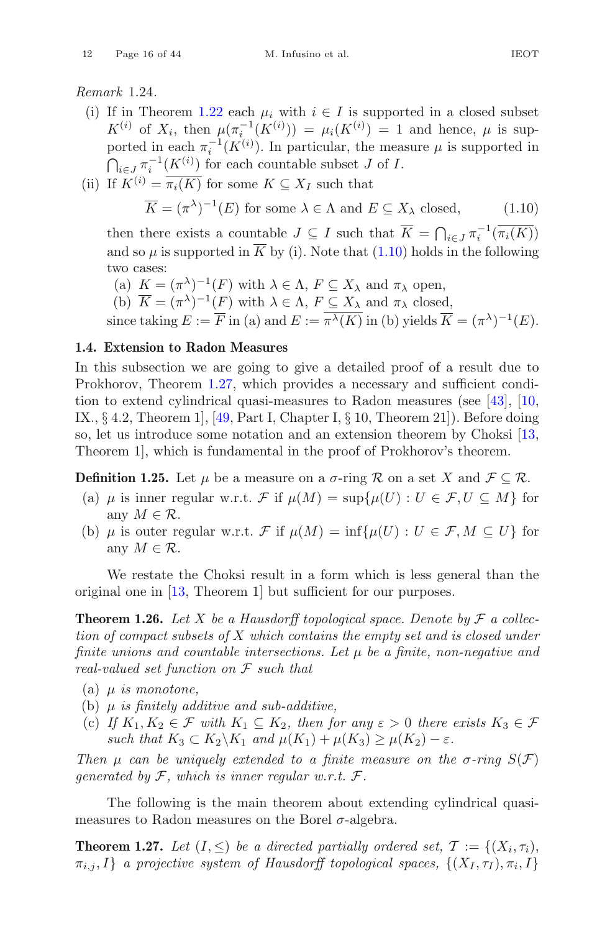<span id="page-15-4"></span>*Remark* 1.24*.*

- (i) If in Theorem [1.22](#page-13-0) each  $\mu_i$  with  $i \in I$  is supported in a closed subset  $K^{(i)}$  of  $X_i$ , then  $\mu(\pi_{i}^{-1}(K^{(i)})) = \mu_i(K^{(i)}) = 1$  and hence,  $\mu$  is supported in each  $\pi_i^{-1}(K^{(i)})$ . In particular, the measure  $\mu$  is supported in  $\bigcap_{i\in J}\pi_i^{-1}(\underline{K}^{(i)})$  for each countable subset J of I.
- (ii) If  $K^{(i)} = \overline{\pi_i(K)}$  for some  $K \subseteq X_I$  such that

<span id="page-15-2"></span>
$$
\overline{K} = (\pi^{\lambda})^{-1}(E) \text{ for some } \lambda \in \Lambda \text{ and } E \subseteq X_{\lambda} \text{ closed},
$$
 (1.10)

then there exists a countable  $J \subseteq I$  such that  $K = \bigcap_{i \in J} \pi_i^{-1}(\pi_i(K))$ and so  $\mu$  is supported in  $\overline{K}$  by (i). Note that [\(1.10\)](#page-15-2) holds in the following two cases:

(a)  $K = (\pi^{\lambda})^{-1}(F)$  with  $\lambda \in \Lambda$ ,  $F \subseteq X_{\lambda}$  and  $\pi_{\lambda}$  open,

(b)  $\overline{K} = (\pi^{\lambda})^{-1}(F)$  with  $\lambda \in \Lambda$ ,  $F \subseteq X_{\lambda}$  and  $\pi_{\lambda}$  closed,

since taking  $E := \overline{F}$  in (a) and  $E := \overline{\pi^{\lambda}(K)}$  in (b) yields  $\overline{K} = (\pi^{\lambda})^{-1}(E)$ .

# <span id="page-15-0"></span>**1.4. Extension to Radon Measures**

In this subsection we are going to give a detailed proof of a result due to Prokhorov, Theorem [1.27,](#page-15-1) which provides a necessary and sufficient condition to extend cylindrical quasi-measures to Radon measures (see [\[43](#page-42-8)], [\[10,](#page-40-6) IX.,  $\S 4.2$ , Theorem 1, [\[49](#page-42-5), Part I, Chapter I,  $\S 10$ , Theorem 21]). Before doing so, let us introduce some notation and an extension theorem by Choksi [\[13,](#page-40-8) Theorem 1], which is fundamental in the proof of Prokhorov's theorem.

**Definition 1.25.** Let  $\mu$  be a measure on a  $\sigma$ -ring R on a set X and  $\mathcal{F} \subset \mathcal{R}$ .

- (a)  $\mu$  is inner regular w.r.t. F if  $\mu(M) = \sup \{ \mu(U) : U \in \mathcal{F}, U \subseteq M \}$  for any  $M \in \mathcal{R}$ .
- (b)  $\mu$  is outer regular w.r.t. F if  $\mu(M) = \inf \{ \mu(U) : U \in \mathcal{F}, M \subseteq U \}$  for any  $M \in \mathcal{R}$ .

<span id="page-15-3"></span>We restate the Choksi result in a form which is less general than the original one in [\[13](#page-40-8), Theorem 1] but sufficient for our purposes.

**Theorem 1.26.** Let X be a Hausdorff topological space. Denote by  $\mathcal F$  a collec*tion of compact subsets of* X *which contains the empty set and is closed under finite unions and countable intersections. Let* μ *be a finite, non-negative and real-valued set function on* F *such that*

- (a) μ *is monotone,*
- (b) μ *is finitely additive and sub-additive,*
- (c) *If*  $K_1, K_2 \in \mathcal{F}$  *with*  $K_1 \subseteq K_2$ *, then for any*  $\varepsilon > 0$  *there exists*  $K_3 \in \mathcal{F}$ *such that*  $K_3 \subset K_2 \backslash K_1$  *and*  $\mu(K_1) + \mu(K_3) \geq \mu(K_2) - \varepsilon$ *.*

*Then*  $\mu$  *can be uniquely extended to a finite measure on the*  $\sigma$ *-ring*  $S(\mathcal{F})$ *generated by* F*, which is inner regular w.r.t.* F*.*

<span id="page-15-1"></span>The following is the main theorem about extending cylindrical quasimeasures to Radon measures on the Borel  $\sigma$ -algebra.

**Theorem 1.27.** *Let*  $(I, \leq)$  *be a directed partially ordered set,*  $\mathcal{T} := \{(X_i, \tau_i),\}$  $\{\pi_{i,j}, I\}$  *a projective system of Hausdorff topological spaces,*  $\{(X_I, \tau_I), \pi_i, I\}$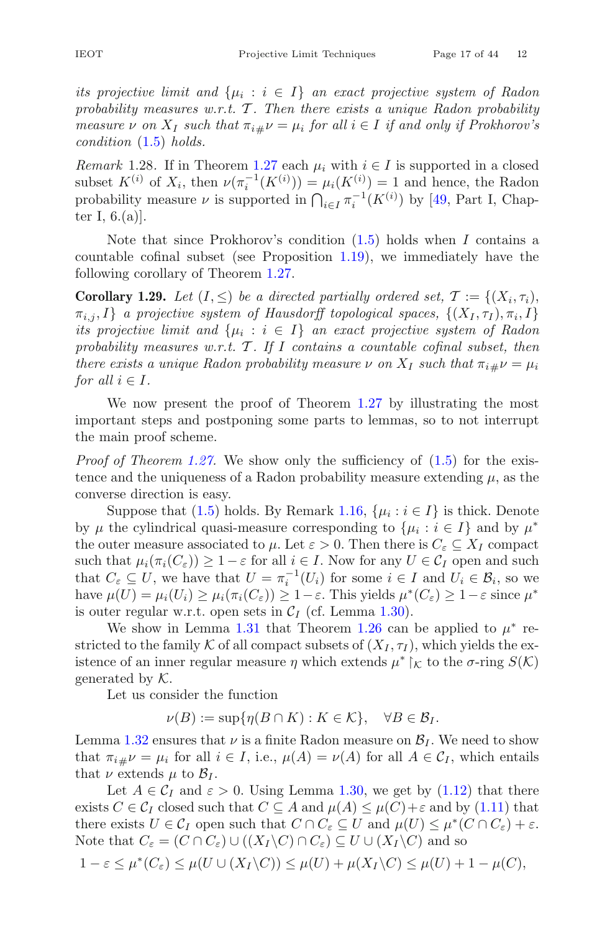*its projective limit and*  $\{\mu_i : i \in I\}$  *an exact projective system of Radon* probability measures w.r.t. T. Then there exists a unique Radon probability *measure*  $\nu$  *on*  $X_I$  *such that*  $\pi_{i\#}\nu = \mu_i$  *for all*  $i \in I$  *if and only if Prokhorov's condition* [\(1.5\)](#page-9-1) *holds.*

<span id="page-16-1"></span>*Remark* 1.28. If in Theorem [1.27](#page-15-1) each  $\mu_i$  with  $i \in I$  is supported in a closed subset  $K^{(i)}$  of  $X_i$ , then  $\nu(\pi_i^{-1}(K^{(i)})) = \mu_i(K^{(i)}) = 1$  and hence, the Radon probability measure  $\nu$  is supported in  $\bigcap_{i\in I}\pi_i^{-1}(K^{(i)})$  by [\[49](#page-42-5), Part I, Chapter I,  $6.(a)$ .

Note that since Prokhorov's condition  $(1.5)$  holds when I contains a countable cofinal subset (see Proposition [1.19\)](#page-10-1), we immediately have the following corollary of Theorem [1.27.](#page-15-1)

<span id="page-16-0"></span>**Corollary 1.29.** *Let*  $(I, \leq)$  *be a directed partially ordered set,*  $\mathcal{T} := \{(X_i, \tau_i),\}$  $\{\pi_{i,j}, I\}$  *a projective system of Hausdorff topological spaces,*  $\{(X_I, \tau_I), \pi_i, I\}$ *its projective limit and*  $\{\mu_i : i \in I\}$  *an exact projective system of Radon probability measures w.r.t.* T. If I contains a countable cofinal subset, then *there exists a unique Radon probability measure*  $\nu$  *on*  $X_I$  *such that*  $\pi_{i\#}\nu = \mu_i$ *for all*  $i \in I$ *.* 

We now present the proof of Theorem [1.27](#page-15-1) by illustrating the most important steps and postponing some parts to lemmas, so to not interrupt the main proof scheme.

*Proof of Theorem [1.27.](#page-15-1)* We show only the sufficiency of [\(1.5\)](#page-9-1) for the existence and the uniqueness of a Radon probability measure extending  $\mu$ , as the converse direction is easy.

Suppose that [\(1.5\)](#page-9-1) holds. By Remark [1.16,](#page-9-2)  $\{\mu_i : i \in I\}$  is thick. Denote by  $\mu$  the cylindrical quasi-measure corresponding to  $\{\mu_i : i \in I\}$  and by  $\mu^*$ the outer measure associated to  $\mu$ . Let  $\varepsilon > 0$ . Then there is  $C_{\varepsilon} \subseteq X_I$  compact such that  $\mu_i(\pi_i(C_\varepsilon)) \geq 1 - \varepsilon$  for all  $i \in I$ . Now for any  $U \in C_I$  open and such that  $C_{\varepsilon} \subseteq U$ , we have that  $U = \pi_i^{-1}(U_i)$  for some  $i \in I$  and  $U_i \in \mathcal{B}_i$ , so we have  $\mu(U) = \mu_i(U_i) \geq \mu_i(\pi_i(C_{\varepsilon})) \geq 1 - \varepsilon$ . This yields  $\mu^*(C_{\varepsilon}) \geq 1 - \varepsilon$  since  $\mu^*$ is outer regular w.r.t. open sets in  $C_I$  (cf. Lemma [1.30\)](#page-17-0).

We show in Lemma [1.31](#page-17-1) that Theorem [1.26](#page-15-3) can be applied to  $\mu^*$  restricted to the family K of all compact subsets of  $(X_I, \tau_I)$ , which yields the existence of an inner regular measure  $\eta$  which extends  $\mu^* \upharpoonright_{\mathcal{K}}$  to the  $\sigma$ -ring  $S(\mathcal{K})$ generated by  $K$ .

Let us consider the function

$$
\nu(B) := \sup \{ \eta(B \cap K) : K \in \mathcal{K} \}, \quad \forall B \in \mathcal{B}_I.
$$

Lemma [1.32](#page-18-0) ensures that  $\nu$  is a finite Radon measure on  $\mathcal{B}_I$ . We need to show that  $\pi_{i\mu} \nu = \mu_i$  for all  $i \in I$ , i.e.,  $\mu(A) = \nu(A)$  for all  $A \in C_I$ , which entails that  $\nu$  extends  $\mu$  to  $\mathcal{B}_I$ .

Let  $A \in \mathcal{C}_I$  and  $\varepsilon > 0$ . Using Lemma [1.30,](#page-17-0) we get by [\(1.12\)](#page-17-2) that there exists  $C \in \mathcal{C}_I$  closed such that  $C \subseteq A$  and  $\mu(A) \leq \mu(C) + \varepsilon$  and by [\(1.11\)](#page-17-3) that there exists  $U \in \mathcal{C}_I$  open such that  $C \cap C_{\varepsilon} \subseteq U$  and  $\mu(U) \leq \mu^*(C \cap C_{\varepsilon}) + \varepsilon$ . Note that  $C_{\varepsilon} = (C \cap C_{\varepsilon}) \cup ((X_I \backslash C) \cap C_{\varepsilon}) \subseteq U \cup (X_I \backslash C)$  and so

$$
1 - \varepsilon \le \mu^*(C_{\varepsilon}) \le \mu(U \cup (X_I \setminus C)) \le \mu(U) + \mu(X_I \setminus C) \le \mu(U) + 1 - \mu(C),
$$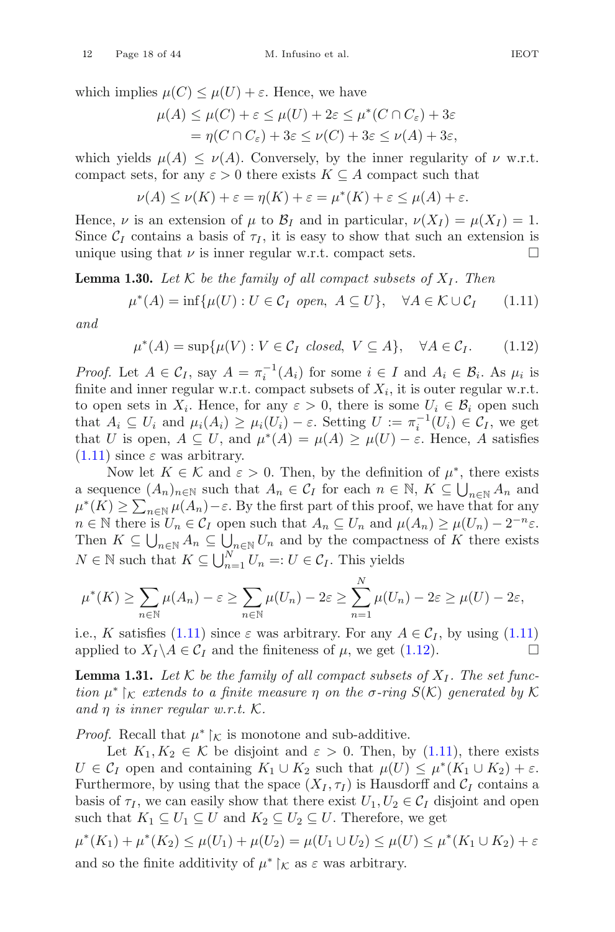which implies  $\mu(C) \leq \mu(U) + \varepsilon$ . Hence, we have

$$
\mu(A) \le \mu(C) + \varepsilon \le \mu(U) + 2\varepsilon \le \mu^*(C \cap C_{\varepsilon}) + 3\varepsilon
$$
  
=  $\eta(C \cap C_{\varepsilon}) + 3\varepsilon \le \nu(C) + 3\varepsilon \le \nu(A) + 3\varepsilon$ ,

which yields  $\mu(A) \leq \nu(A)$ . Conversely, by the inner regularity of  $\nu$  w.r.t. compact sets, for any  $\varepsilon > 0$  there exists  $K \subseteq A$  compact such that

$$
\nu(A) \le \nu(K) + \varepsilon = \eta(K) + \varepsilon = \mu^*(K) + \varepsilon \le \mu(A) + \varepsilon.
$$

Hence,  $\nu$  is an extension of  $\mu$  to  $\mathcal{B}_I$  and in particular,  $\nu(X_I) = \mu(X_I) = 1$ . Since  $C_I$  contains a basis of  $\tau_I$ , it is easy to show that such an extension is unique using that  $\nu$  is inner regular w.r.t. compact sets. unique using that  $\nu$  is inner regular w.r.t. compact sets.

<span id="page-17-0"></span>**Lemma 1.30.** Let  $K$  be the family of all compact subsets of  $X_I$ . Then

<span id="page-17-3"></span>
$$
\mu^*(A) = \inf \{ \mu(U) : U \in \mathcal{C}_I \text{ open}, A \subseteq U \}, \quad \forall A \in \mathcal{K} \cup \mathcal{C}_I \tag{1.11}
$$

*and*

<span id="page-17-2"></span>
$$
\mu^*(A) = \sup \{ \mu(V) : V \in \mathcal{C}_I \text{ closed}, V \subseteq A \}, \quad \forall A \in \mathcal{C}_I. \tag{1.12}
$$

*Proof.* Let  $A \in \mathcal{C}_I$ , say  $A = \pi_i^{-1}(A_i)$  for some  $i \in I$  and  $A_i \in \mathcal{B}_i$ . As  $\mu_i$  is finite and inner regular w.r.t. compact subsets of  $X_i$ , it is outer regular w.r.t. to open sets in  $X_i$ . Hence, for any  $\varepsilon > 0$ , there is some  $U_i \in \mathcal{B}_i$  open such that  $A_i \subseteq U_i$  and  $\mu_i(A_i) \geq \mu_i(U_i) - \varepsilon$ . Setting  $U := \pi_i^{-1}(U_i) \in \mathcal{C}_I$ , we get that U is open,  $A \subseteq U$ , and  $\mu^*(A) = \mu(A) \geq \mu(U) - \varepsilon$ . Hence, A satisfies  $(1.11)$  since  $\varepsilon$  was arbitrary.

Now let  $K \in \mathcal{K}$  and  $\varepsilon > 0$ . Then, by the definition of  $\mu^*$ , there exists a sequence  $(A_n)_{n \in \mathbb{N}}$  such that  $A_n \in \mathcal{C}_I$  for each  $n \in \mathbb{N}$ ,  $K \subseteq \bigcup_{n \in \mathbb{N}} A_n$  and  $\mu^*(K) \geq \sum_{n \in \mathbb{N}} \mu(A_n) - \varepsilon$ . By the first part of this proof, we have that for any  $n \in \mathbb{N}$  there is  $U_n \in \mathcal{C}_I$  open such that  $A_n \subseteq U_n$  and  $\mu(A_n) \geq \mu(U_n) - 2^{-n} \varepsilon$ . Then  $K \subseteq \bigcup_{n\in\mathbb{N}} A_n \subseteq \bigcup_{n\in\mathbb{N}} U_n$  and by the compactness of K there exists  $N \in \mathbb{N}$  such that  $K \subseteq \bigcup_{n=1}^{N} U_n =: U \in \mathcal{C}_I$ . This yields

$$
\mu^*(K) \ge \sum_{n \in \mathbb{N}} \mu(A_n) - \varepsilon \ge \sum_{n \in \mathbb{N}} \mu(U_n) - 2\varepsilon \ge \sum_{n=1}^N \mu(U_n) - 2\varepsilon \ge \mu(U) - 2\varepsilon,
$$

i.e., K satisfies [\(1.11\)](#page-17-3) since  $\varepsilon$  was arbitrary. For any  $A \in C_I$ , by using (1.11) applied to  $X_I \setminus A \in C_I$  and the finiteness of  $\mu$ , we get (1.12). applied to  $X_I \backslash A \in \mathcal{C}_I$  and the finiteness of  $\mu$ , we get [\(1.12\)](#page-17-2).

<span id="page-17-1"></span>**Lemma 1.31.** Let  $K$  be the family of all compact subsets of  $X_I$ . The set func- $\mathcal{L}$  *tion*  $\mu^*$   $\upharpoonright_{\mathcal{K}}$  *extends to a finite measure*  $\eta$  *on the*  $\sigma$ *-ring*  $S(\mathcal{K})$  *generated by*  $\mathcal{K}$ *and* η *is inner regular w.r.t.* K*.*

*Proof.* Recall that  $\mu^*$  | $\kappa$  is monotone and sub-additive.

Let  $K_1, K_2 \in \mathcal{K}$  be disjoint and  $\varepsilon > 0$ . Then, by [\(1.11\)](#page-17-3), there exists  $U \in \mathcal{C}_I$  open and containing  $K_1 \cup K_2$  such that  $\mu(U) \leq \mu^*(K_1 \cup K_2) + \varepsilon$ . Furthermore, by using that the space  $(X_I, \tau_I)$  is Hausdorff and  $\mathcal{C}_I$  contains a basis of  $\tau_I$ , we can easily show that there exist  $U_1, U_2 \in C_I$  disjoint and open such that  $K_1 \subseteq U_1 \subseteq U$  and  $K_2 \subseteq U_2 \subseteq U$ . Therefore, we get

$$
\mu^*(K_1) + \mu^*(K_2) \le \mu(U_1) + \mu(U_2) = \mu(U_1 \cup U_2) \le \mu(U) \le \mu^*(K_1 \cup K_2) + \varepsilon
$$
  
and so the finite additivity of  $\mu^*|_{\mathcal{K}}$  as  $\varepsilon$  was arbitrary.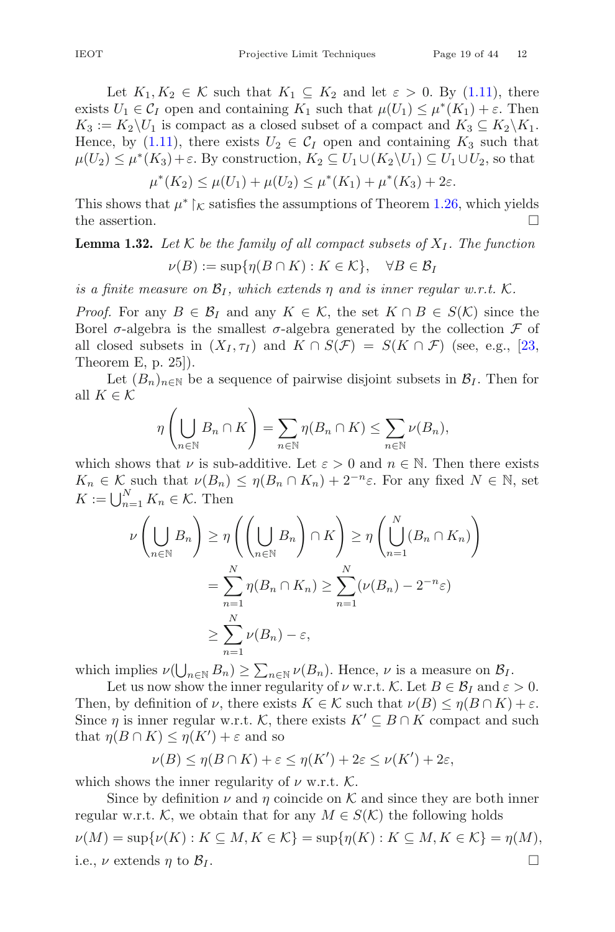Let  $K_1, K_2 \in \mathcal{K}$  such that  $K_1 \subseteq K_2$  and let  $\varepsilon > 0$ . By [\(1.11\)](#page-17-3), there exists  $U_1 \in \mathcal{C}_I$  open and containing  $K_1$  such that  $\mu(U_1) \leq \mu^*(K_1) + \varepsilon$ . Then  $K_3 := K_2 \backslash U_1$  is compact as a closed subset of a compact and  $K_3 \subseteq K_2 \backslash K_1$ . Hence, by [\(1.11\)](#page-17-3), there exists  $U_2 \in C_I$  open and containing  $K_3$  such that  $\mu(U_2) \leq \mu^*(K_3) + \varepsilon$ . By construction,  $K_2 \subseteq U_1 \cup (K_2 \backslash U_1) \subseteq U_1 \cup U_2$ , so that

$$
\mu^*(K_2) \le \mu(U_1) + \mu(U_2) \le \mu^*(K_1) + \mu^*(K_3) + 2\varepsilon.
$$

This shows that  $\mu^* \upharpoonright_{\mathcal{K}}$  satisfies the assumptions of Theorem [1.26,](#page-15-3) which yields the assertion.  $\Box$ 

# <span id="page-18-0"></span>**Lemma 1.32.** Let  $K$  be the family of all compact subsets of  $X_I$ . The function  $\nu(B) := \sup \{ \eta(B \cap K) : K \in \mathcal{K} \}, \quad \forall B \in \mathcal{B}_I$

*is a finite measure on*  $\mathcal{B}_I$ *, which extends*  $\eta$  *and is inner regular w.r.t.* K.

*Proof.* For any  $B \in \mathcal{B}_I$  and any  $K \in \mathcal{K}$ , the set  $K \cap B \in S(\mathcal{K})$  since the Borel  $\sigma$ -algebra is the smallest  $\sigma$ -algebra generated by the collection  $\mathcal F$  of all closed subsets in  $(X_I, \tau_I)$  and  $K \cap S(\mathcal{F}) = S(K \cap \mathcal{F})$  (see, e.g., [\[23,](#page-41-15) Theorem E, p. 25]).

Let  $(B_n)_{n\in\mathbb{N}}$  be a sequence of pairwise disjoint subsets in  $\mathcal{B}_I$ . Then for all  $K \in \mathcal{K}$ 

$$
\eta\left(\bigcup_{n\in\mathbb{N}}B_n\cap K\right)=\sum_{n\in\mathbb{N}}\eta(B_n\cap K)\leq\sum_{n\in\mathbb{N}}\nu(B_n),
$$

which shows that  $\nu$  is sub-additive. Let  $\varepsilon > 0$  and  $n \in \mathbb{N}$ . Then there exists  $K_n \in \mathcal{K}$  such that  $\nu(B_n) \leq \eta(B_n \cap K_n) + 2^{-n}\varepsilon$ . For any fixed  $N \in \mathbb{N}$ , set  $K := \bigcup_{n=1}^{N} K_n \in \mathcal{K}$ . Then

$$
\nu\left(\bigcup_{n\in\mathbb{N}}B_n\right) \geq \eta\left(\left(\bigcup_{n\in\mathbb{N}}B_n\right)\cap K\right) \geq \eta\left(\bigcup_{n=1}^N(B_n\cap K_n)\right)
$$

$$
=\sum_{n=1}^N \eta(B_n\cap K_n) \geq \sum_{n=1}^N (\nu(B_n) - 2^{-n}\varepsilon)
$$

$$
\geq \sum_{n=1}^N \nu(B_n) - \varepsilon,
$$

which implies  $\nu(\bigcup_{n\in\mathbb{N}}B_n)\geq \sum_{n\in\mathbb{N}}\nu(B_n)$ . Hence,  $\nu$  is a measure on  $\mathcal{B}_I$ .

Let us now show the inner regularity of  $\nu$  w.r.t. K. Let  $B \in \mathcal{B}_I$  and  $\varepsilon > 0$ . Then, by definition of  $\nu$ , there exists  $K \in \mathcal{K}$  such that  $\nu(B) \leq \eta(B \cap K) + \varepsilon$ . Since  $\eta$  is inner regular w.r.t. K, there exists  $K' \subseteq B \cap K$  compact and such that  $\eta(B \cap K) \leq \eta(K') + \varepsilon$  and so

$$
\nu(B) \le \eta(B \cap K) + \varepsilon \le \eta(K') + 2\varepsilon \le \nu(K') + 2\varepsilon,
$$

which shows the inner regularity of  $\nu$  w.r.t. K.

Since by definition  $\nu$  and  $\eta$  coincide on K and since they are both inner regular w.r.t. K, we obtain that for any  $M \in S(\mathcal{K})$  the following holds  $\nu(M) = \sup \{ \nu(K) : K \subseteq M, K \in \mathcal{K} \} = \sup \{ \eta(K) : K \subseteq M, K \in \mathcal{K} \} = \eta(M),$ i.e.,  $\nu$  extends  $\eta$  to  $\mathcal{B}_I$ .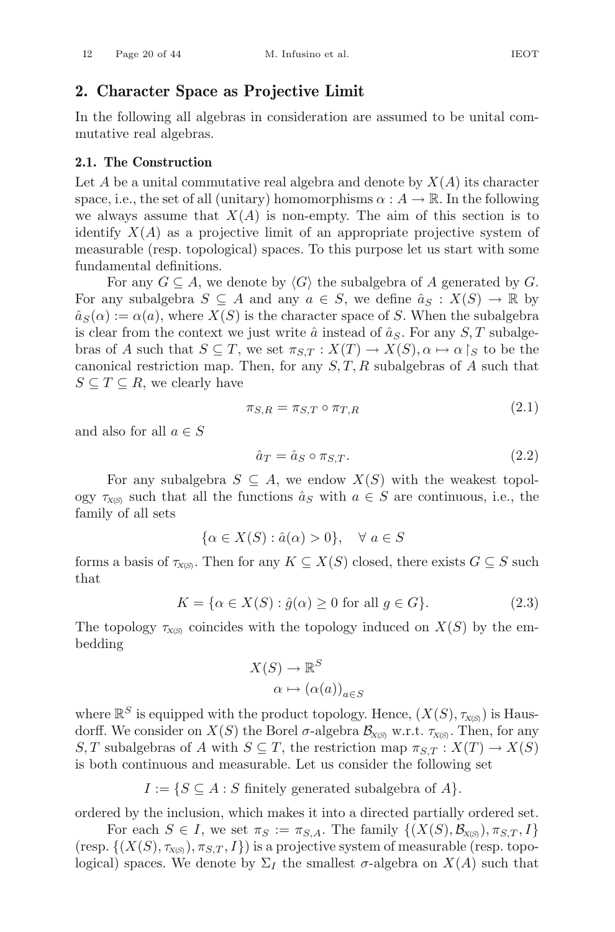# <span id="page-19-0"></span>**2. Character Space as Projective Limit**

In the following all algebras in consideration are assumed to be unital commutative real algebras.

#### <span id="page-19-1"></span>**2.1. The Construction**

Let A be a unital commutative real algebra and denote by  $X(A)$  its character space, i.e., the set of all (unitary) homomorphisms  $\alpha : A \to \mathbb{R}$ . In the following we always assume that  $X(A)$  is non-empty. The aim of this section is to identify  $X(A)$  as a projective limit of an appropriate projective system of measurable (resp. topological) spaces. To this purpose let us start with some fundamental definitions.

For any  $G \subseteq A$ , we denote by  $\langle G \rangle$  the subalgebra of A generated by G. For any subalgebra  $S \subseteq A$  and any  $a \in S$ , we define  $\hat{a}_S : X(S) \to \mathbb{R}$  by  $\hat{a}_S(\alpha) := \alpha(a)$ , where  $X(S)$  is the character space of S. When the subalgebra is clear from the context we just write  $\hat{a}$  instead of  $\hat{a}_S$ . For any  $S, T$  subalgebras of A such that  $S \subseteq T$ , we set  $\pi_{S,T} : X(T) \to X(S)$ ,  $\alpha \mapsto \alpha |_{S}$  to be the canonical restriction map. Then, for any  $S, T, R$  subalgebras of A such that  $S \subseteq T \subseteq R$ , we clearly have

<span id="page-19-2"></span>
$$
\pi_{S,R} = \pi_{S,T} \circ \pi_{T,R} \tag{2.1}
$$

and also for all  $a \in S$ 

<span id="page-19-3"></span>
$$
\hat{a}_T = \hat{a}_S \circ \pi_{S,T}.\tag{2.2}
$$

For any subalgebra  $S \subseteq A$ , we endow  $X(S)$  with the weakest topology  $\tau_{X(S)}$  such that all the functions  $\hat{a}_S$  with  $a \in S$  are continuous, i.e., the family of all sets

$$
\{\alpha \in X(S) : \hat{a}(\alpha) > 0\}, \quad \forall \ a \in S
$$

forms a basis of  $\tau_{X(S)}$ . Then for any  $K \subseteq X(S)$  closed, there exists  $G \subseteq S$  such that

<span id="page-19-4"></span>
$$
K = \{ \alpha \in X(S) : \hat{g}(\alpha) \ge 0 \text{ for all } g \in G \}. \tag{2.3}
$$

The topology  $\tau_{X(S)}$  coincides with the topology induced on  $X(S)$  by the embedding

$$
X(S) \to \mathbb{R}^S
$$

$$
\alpha \mapsto (\alpha(a))_{a \in S}
$$

where  $\mathbb{R}^S$  is equipped with the product topology. Hence,  $(X(S), \tau_{X(S)})$  is Hausdorff. We consider on  $X(S)$  the Borel  $\sigma$ -algebra  $\mathcal{B}_{X(S)}$  w.r.t.  $\tau_{X(S)}$ . Then, for any S, T subalgebras of A with  $S \subseteq T$ , the restriction map  $\pi_{S,T} : X(T) \to X(S)$ is both continuous and measurable. Let us consider the following set

 $I := \{ S \subseteq A : S \text{ finitely generated subalgebra of } A \}.$ 

ordered by the inclusion, which makes it into a directed partially ordered set.

For each  $S \in I$ , we set  $\pi_S := \pi_{S,A}$ . The family  $\{(X(S), \mathcal{B}_{X(S)})$ ,  $\pi_{S,T}, I\}$  $({\rm resp.}\ \{(X(S), \tau_{X(S)}) , \pi_{S,T}, I\})$  is a projective system of measurable (resp. topological) spaces. We denote by  $\Sigma_I$  the smallest  $\sigma$ -algebra on  $X(A)$  such that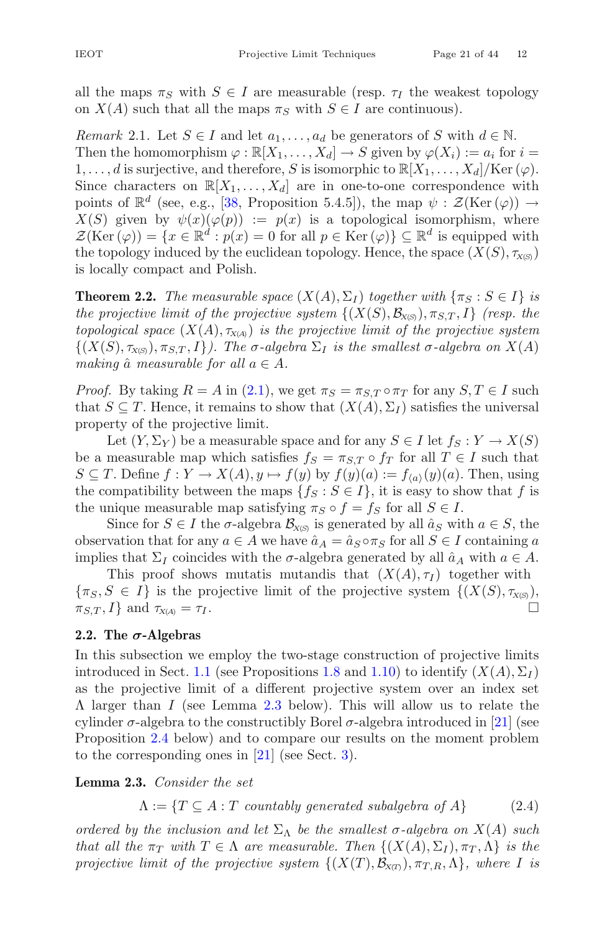<span id="page-20-4"></span>all the maps  $\pi_S$  with  $S \in I$  are measurable (resp.  $\tau_I$  the weakest topology on  $X(A)$  such that all the maps  $\pi_S$  with  $S \in I$  are continuous).

*Remark* 2.1. Let  $S \in I$  and let  $a_1, \ldots, a_d$  be generators of S with  $d \in \mathbb{N}$ . Then the homomorphism  $\varphi : \mathbb{R}[X_1,\ldots,X_d] \to S$  given by  $\varphi(X_i) := a_i$  for  $i =$  $1,\ldots,d$  is surjective, and therefore, S is isomorphic to  $\mathbb{R}[X_1,\ldots,X_d]/\text{Ker }(\varphi)$ . Since characters on  $\mathbb{R}[X_1,\ldots,X_d]$  are in one-to-one correspondence with points of  $\mathbb{R}^d$  (see, e.g., [\[38](#page-42-0), Proposition 5.4.5]), the map  $\psi : \mathcal{Z}(\text{Ker }(\varphi)) \to$  $X(S)$  given by  $\psi(x)(\varphi(p)) := p(x)$  is a topological isomorphism, where  $\mathcal{Z}(\text{Ker}(\varphi)) = \{x \in \mathbb{R}^d : p(x) = 0 \text{ for all } p \in \text{Ker}(\varphi)\} \subseteq \mathbb{R}^d$  is equipped with the topology induced by the euclidean topology. Hence, the space  $(X(S), \tau_{X(S)})$ is locally compact and Polish.

<span id="page-20-0"></span>**Theorem 2.2.** *The measurable space*  $(X(A), \Sigma_I)$  *together with*  $\{\pi_S : S \in I\}$  *is the projective limit of the projective system*  $\{(X(S), \mathcal{B}_{X(S)})$ ,  $\pi_{S,T}, I\}$  *(resp. the topological space*  $(X(A), \tau_{X(A)})$  *is the projective limit of the projective system*  $\{(X(S), \tau_{X(S)}, \tau_{S,T}, I\})$ . The  $\sigma$ -algebra  $\Sigma_I$  is the smallest  $\sigma$ -algebra on  $X(A)$ *making*  $\hat{a}$  *measurable for all*  $a \in A$ *.* 

*Proof.* By taking  $R = A$  in [\(2.1\)](#page-19-2), we get  $\pi_S = \pi_{S,T} \circ \pi_T$  for any  $S, T \in I$  such that  $S \subseteq T$ . Hence, it remains to show that  $(X(A), \Sigma_I)$  satisfies the universal property of the projective limit.

Let  $(Y, \Sigma_Y)$  be a measurable space and for any  $S \in I$  let  $f_S : Y \to X(S)$ be a measurable map which satisfies  $f_S = \pi_{S,T} \circ f_T$  for all  $T \in I$  such that  $S \subseteq T$ . Define  $f: Y \to X(A), y \mapsto f(y)$  by  $f(y)(a) := f_{\langle a \rangle}(y)(a)$ . Then, using the compatibility between the maps  $\{f_S : S \in I\}$ , it is easy to show that f is the unique measurable map satisfying  $\pi_S \circ f = f_S$  for all  $S \in I$ .

Since for  $S \in I$  the  $\sigma$ -algebra  $\mathcal{B}_{X(S)}$  is generated by all  $\hat{a}_S$  with  $a \in S$ , the observation that for any  $a \in A$  we have  $\hat{a}_A = \hat{a}_S \circ \pi_S$  for all  $S \in I$  containing a implies that  $\Sigma_I$  coincides with the  $\sigma$ -algebra generated by all  $\hat{a}_A$  with  $a \in A$ .

This proof shows mutatis mutandis that  $(X(A), \tau_I)$  together with  $\{\pi_S, S \in I\}$  is the projective limit of the projective system  $\{(X(S), \tau_{X(S)})\}$ ,  $\pi_{S(T)} I$  and  $\tau_{X(S)} = \tau_I$  $\pi_{S,T}, I$ } and  $\tau_{X(A)} = \tau_I$ .

# <span id="page-20-1"></span>**2.2. The** *σ***-Algebras**

In this subsection we employ the two-stage construction of projective limits introduced in Sect. [1.1](#page-3-1) (see Propositions [1.8](#page-7-0) and [1.10\)](#page-7-3) to identify  $(X(A), \Sigma_I)$ as the projective limit of a different projective system over an index set Λ larger than I (see Lemma [2.3](#page-20-2) below). This will allow us to relate the cylinder  $\sigma$ -algebra to the constructibly Borel  $\sigma$ -algebra introduced in [\[21](#page-41-0)] (see Proposition [2.4](#page-21-0) below) and to compare our results on the moment problem to the corresponding ones in [\[21\]](#page-41-0) (see Sect. [3\)](#page-22-0).

<span id="page-20-2"></span>**Lemma 2.3.** *Consider the set*

<span id="page-20-3"></span>
$$
\Lambda := \{ T \subseteq A : T \text{ countably generated subalgebra of } A \}
$$
 (2.4)

*ordered by the inclusion and let*  $\Sigma_{\Lambda}$  *be the smallest*  $\sigma$ -*algebra on*  $X(A)$  *such that all the*  $\pi_T$  *with*  $T \in \Lambda$  *are measurable. Then*  $\{(X(A), \Sigma_I), \pi_T, \Lambda\}$  *is the projective limit of the projective system*  $\{(X(T), \mathcal{B}_{X(T)}), \pi_{T,R}, \Lambda\}$ *, where* I *is*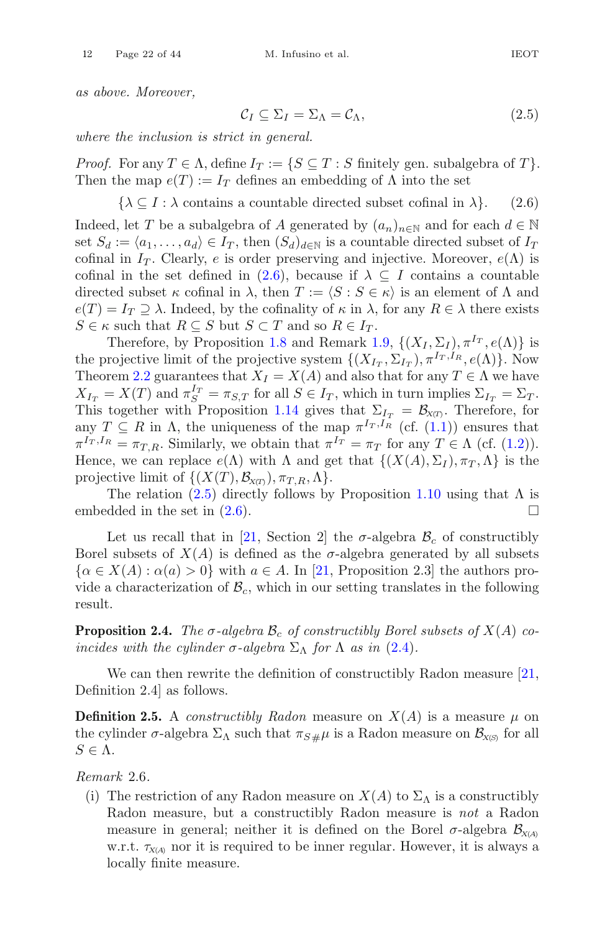*as above. Moreover,*

<span id="page-21-2"></span>
$$
\mathcal{C}_I \subseteq \Sigma_I = \Sigma_\Lambda = \mathcal{C}_\Lambda,\tag{2.5}
$$

*where the inclusion is strict in general.*

*Proof.* For any  $T \in \Lambda$ , define  $I_T := \{ S \subseteq T : S \text{ finitely gen. subalgebra of } T \}.$ Then the map  $e(T) := I_T$  defines an embedding of  $\Lambda$  into the set

<span id="page-21-1"></span> $\{\lambda \subseteq I : \lambda \text{ contains a countable directed subset cofinal in } \lambda\}.$  (2.6)

Indeed, let T be a subalgebra of A generated by  $(a_n)_{n\in\mathbb{N}}$  and for each  $d \in \mathbb{N}$ set  $S_d := \langle a_1, \ldots, a_d \rangle \in I_T$ , then  $(S_d)_{d \in \mathbb{N}}$  is a countable directed subset of  $I_T$ cofinal in  $I_T$ . Clearly, e is order preserving and injective. Moreover,  $e(\Lambda)$  is cofinal in the set defined in [\(2.6\)](#page-21-1), because if  $\lambda \subseteq I$  contains a countable directed subset  $\kappa$  cofinal in  $\lambda$ , then  $T := \langle S : S \in \kappa \rangle$  is an element of  $\Lambda$  and  $e(T) = I_T \supseteq \lambda$ . Indeed, by the cofinality of  $\kappa$  in  $\lambda$ , for any  $R \in \lambda$  there exists  $S \in \kappa$  such that  $R \subseteq S$  but  $S \subset T$  and so  $R \in I_T$ .

Therefore, by Proposition [1.8](#page-7-0) and Remark [1.9,](#page-7-5)  $\{(X_I, \Sigma_I), \pi^{I_T}, e(\Lambda)\}\$ is the projective limit of the projective system  $\{(X_{I_T}, \Sigma_{I_T}), \pi^{I_T, I_R}, e(\Lambda)\}\)$ . Now Theorem [2.2](#page-20-0) guarantees that  $X_I = X(A)$  and also that for any  $T \in \Lambda$  we have  $X_{I_T} = X(T)$  and  $\pi_S^{I_T} = \pi_{S,T}$  for all  $S \in I_T$ , which in turn implies  $\Sigma_{I_T} = \Sigma_T$ . This together with Proposition [1.14](#page-9-3) gives that  $\Sigma_{I_T} = \mathcal{B}_{X(T)}$ . Therefore, for any  $T \subseteq R$  in  $\Lambda$ , the uniqueness of the map  $\pi^{I_T,I_R}$  (cf. [\(1.1\)](#page-6-2)) ensures that  $\pi^{I_T, I_R} = \pi_{T, R}$ . Similarly, we obtain that  $\pi^{I_T} = \pi_T$  for any  $T \in \Lambda$  (cf. [\(1.2\)](#page-7-4)). Hence, we can replace  $e(\Lambda)$  with  $\Lambda$  and get that  $\{(X(A), \Sigma_I), \pi_T, \Lambda\}$  is the projective limit of  $\{(X(T), \mathcal{B}_{X(T)}), \pi_{T,R}, \Lambda\}.$ 

The relation  $(2.5)$  directly follows by Proposition [1.10](#page-7-3) using that  $\Lambda$  is embedded in the set in  $(2.6)$ .

Let us recall that in [\[21,](#page-41-0) Section 2] the  $\sigma$ -algebra  $\mathcal{B}_c$  of constructibly Borel subsets of  $X(A)$  is defined as the  $\sigma$ -algebra generated by all subsets  $\{\alpha \in X(A): \alpha(a) > 0\}$  with  $a \in A$ . In [\[21,](#page-41-0) Proposition 2.3] the authors provide a characterization of  $\mathcal{B}_c$ , which in our setting translates in the following result.

<span id="page-21-0"></span>**Proposition 2.4.** *The*  $\sigma$ -algebra  $\mathcal{B}_c$  of constructibly Borel subsets of  $X(A)$  co*incides with the cylinder*  $\sigma$ -algebra  $\Sigma_{\Lambda}$  for  $\Lambda$  *as in* [\(2.4\)](#page-20-3)*.* 

We can then rewrite the definition of constructibly Radon measure [\[21,](#page-41-0) Definition 2.4] as follows.

**Definition 2.5.** A *constructibly Radon* measure on  $X(A)$  is a measure  $\mu$  on the cylinder  $\sigma$ -algebra  $\Sigma_{\Lambda}$  such that  $\pi_{S\#}\mu$  is a Radon measure on  $\mathcal{B}_{X(S)}$  for all  $S \in \Lambda$ .

<span id="page-21-3"></span>*Remark* 2.6*.*

(i) The restriction of any Radon measure on  $X(A)$  to  $\Sigma_A$  is a constructibly Radon measure, but a constructibly Radon measure is *not* a Radon measure in general; neither it is defined on the Borel  $\sigma$ -algebra  $\mathcal{B}_{X(A)}$ w.r.t.  $\tau_{X(A)}$  nor it is required to be inner regular. However, it is always a locally finite measure.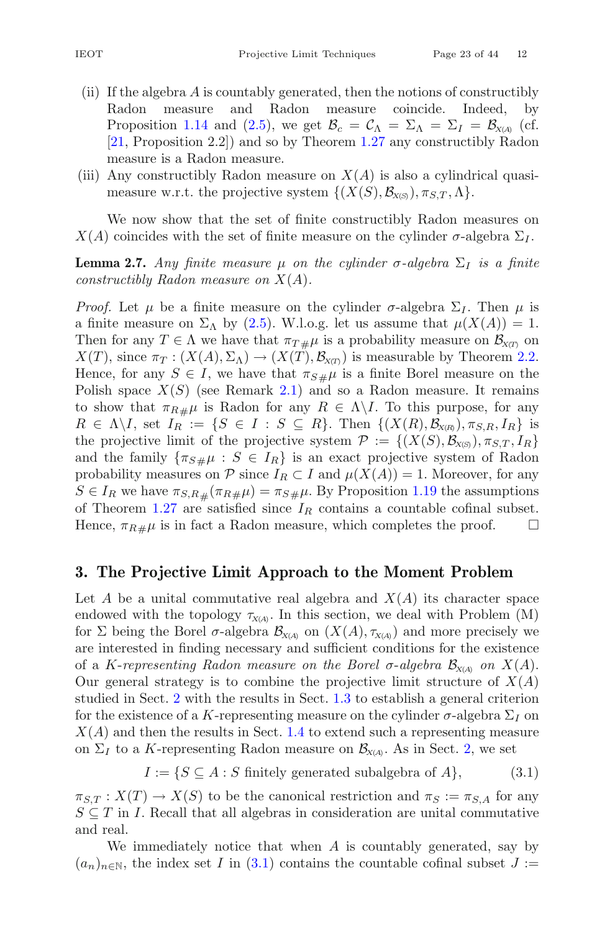- (ii) If the algebra A is countably generated, then the notions of constructibly Radon measure and Radon measure coincide. Indeed, by Proposition [1.14](#page-9-3) and [\(2.5\)](#page-21-2), we get  $\mathcal{B}_c = \mathcal{C}_{\Lambda} = \Sigma_{\Lambda} = \Sigma_I = \mathcal{B}_{X(A)}$  (cf. [\[21](#page-41-0), Proposition 2.2]) and so by Theorem [1.27](#page-15-1) any constructibly Radon measure is a Radon measure.
- (iii) Any constructibly Radon measure on  $X(A)$  is also a cylindrical quasimeasure w.r.t. the projective system  $\{(X(S), \mathcal{B}_{X(S)})$ ,  $\pi_{S,T}, \Lambda\}.$

<span id="page-22-2"></span>We now show that the set of finite constructibly Radon measures on  $X(A)$  coincides with the set of finite measure on the cylinder  $\sigma$ -algebra  $\Sigma_I$ .

**Lemma 2.7.** *Any finite measure* μ *on the cylinder*  $\sigma$ -*algebra*  $\Sigma$ <sub>*I*</sub> *is a finite constructibly Radon measure on* X(A)*.*

*Proof.* Let  $\mu$  be a finite measure on the cylinder  $\sigma$ -algebra  $\Sigma_I$ . Then  $\mu$  is a finite measure on  $\Sigma_{\Lambda}$  by [\(2.5\)](#page-21-2). W.l.o.g. let us assume that  $\mu(X(A)) = 1$ . Then for any  $T \in \Lambda$  we have that  $\pi_{T\#}\mu$  is a probability measure on  $\mathcal{B}_{X(T)}$  on  $X(T)$ , since  $\pi_T : (X(A), \Sigma_\Lambda) \to (X(T), \mathcal{B}_{X(T)})$  is measurable by Theorem [2.2.](#page-20-0) Hence, for any  $S \in I$ , we have that  $\pi_{S \#} \mu$  is a finite Borel measure on the Polish space  $X(S)$  (see Remark [2.1\)](#page-20-4) and so a Radon measure. It remains to show that  $\pi_{R\#}\mu$  is Radon for any  $R \in \Lambda\backslash I$ . To this purpose, for any  $R \in \Lambda \backslash I$ , set  $I_R := \{ S \in I : S \subseteq R \}$ . Then  $\{ (X(R), B_{X(R)})$ ,  $\pi_{S,R}, I_R \}$  is the projective limit of the projective system  $\mathcal{P} := \{(X(S), \mathcal{B}_{X(S)})$ ,  $\pi_{S,T}, I_R\}$ and the family  $\{\pi_{S\#}\mu : S \in I_R\}$  is an exact projective system of Radon probability measures on  $P$  since  $I_R \subset I$  and  $\mu(X(A)) = 1$ . Moreover, for any  $S \in I_R$  we have  $\pi_{S,R\#}(\pi_{R\#}\mu) = \pi_{S\#}\mu$ . By Proposition [1.19](#page-10-1) the assumptions of Theorem [1.27](#page-15-1) are satisfied since  $I_R$  contains a countable cofinal subset. Hence,  $\pi_{R\#}\mu$  is in fact a Radon measure, which completes the proof.  $\Box$ 

# <span id="page-22-0"></span>**3. The Projective Limit Approach to the Moment Problem**

Let A be a unital commutative real algebra and  $X(A)$  its character space endowed with the topology  $\tau_{X(A)}$ . In this section, we deal with Problem (M) for  $\Sigma$  being the Borel  $\sigma$ -algebra  $\mathcal{B}_{X(A)}$  on  $(X(A), \tau_{X(A)})$  and more precisely we are interested in finding necessary and sufficient conditions for the existence of a K-representing Radon measure on the Borel  $\sigma$ -algebra  $\mathcal{B}_{X(A)}$  on  $X(A)$ . Our general strategy is to combine the projective limit structure of  $X(A)$ studied in Sect. [2](#page-19-0) with the results in Sect. [1.3](#page-11-0) to establish a general criterion for the existence of a K-representing measure on the cylinder  $\sigma$ -algebra  $\Sigma_I$  on  $X(A)$  and then the results in Sect. [1.4](#page-15-0) to extend such a representing measure on  $\Sigma_I$  to a K-representing Radon measure on  $\mathcal{B}_{X(A)}$ . As in Sect. [2,](#page-19-0) we set

<span id="page-22-1"></span>
$$
I := \{ S \subseteq A : S \text{ finitely generated subalgebra of } A \}, \tag{3.1}
$$

 $\pi_{S,T}: X(T) \to X(S)$  to be the canonical restriction and  $\pi_S := \pi_{S,A}$  for any  $S \subseteq T$  in I. Recall that all algebras in consideration are unital commutative and real.

We immediately notice that when A is countably generated, say by  $(a_n)_{n\in\mathbb{N}}$ , the index set I in [\(3.1\)](#page-22-1) contains the countable cofinal subset  $J :=$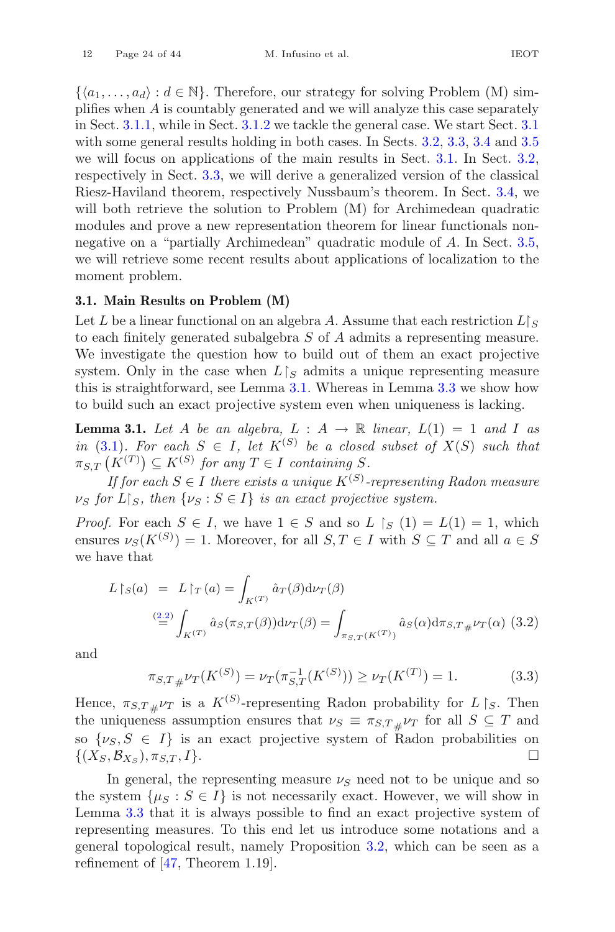$\{\langle a_1,\ldots,a_d\rangle : d \in \mathbb{N}\}.$  Therefore, our strategy for solving Problem (M) simplifies when A is countably generated and we will analyze this case separately in Sect. [3.1.1,](#page-26-0) while in Sect. [3.1.2](#page-27-0) we tackle the general case. We start Sect. [3.1](#page-23-0) with some general results holding in both cases. In Sects. [3.2,](#page-30-1) [3.3,](#page-32-0) [3.4](#page-36-1) and [3.5](#page-38-0) we will focus on applications of the main results in Sect. [3.1.](#page-23-0) In Sect. [3.2,](#page-30-1) respectively in Sect. [3.3,](#page-32-0) we will derive a generalized version of the classical Riesz-Haviland theorem, respectively Nussbaum's theorem. In Sect. [3.4,](#page-36-1) we will both retrieve the solution to Problem  $(M)$  for Archimedean quadratic modules and prove a new representation theorem for linear functionals nonnegative on a "partially Archimedean" quadratic module of A. In Sect. [3.5,](#page-38-0) we will retrieve some recent results about applications of localization to the moment problem.

#### <span id="page-23-0"></span>**3.1. Main Results on Problem (M)**

Let L be a linear functional on an algebra A. Assume that each restriction  $L\mathcal{L}$ to each finitely generated subalgebra S of A admits a representing measure. We investigate the question how to build out of them an exact projective system. Only in the case when  $L \upharpoonright_S$  admits a unique representing measure this is straightforward, see Lemma [3.1.](#page-23-1) Whereas in Lemma [3.3](#page-25-1) we show how to build such an exact projective system even when uniqueness is lacking.

<span id="page-23-1"></span>**Lemma 3.1.** Let A be an algebra,  $L : A \rightarrow \mathbb{R}$  linear,  $L(1) = 1$  and I as *in* [\(3.1\)](#page-22-1)*. For each*  $S \in I$ *, let*  $K^{(S)}$  *be a closed subset of*  $X(S)$  *such that*  $\pi_{S,T}\left(K^{(T)}\right) \subseteq K^{(S)}$  for any  $T \in I$  containing S.

*If for each*  $S \in I$  *there exists a unique*  $K^{(S)}$ -representing Radon measure  $\nu_S$  for  $L \upharpoonright_S$ , then  $\{\nu_S : S \in I\}$  *is an exact projective system.* 

*Proof.* For each  $S \in I$ , we have  $1 \in S$  and so  $L \restriction_S (1) = L(1) = 1$ , which ensures  $\nu_S(K^{(S)}) = 1$ . Moreover, for all  $S, T \in I$  with  $S \subseteq T$  and all  $a \in S$ we have that

<span id="page-23-2"></span>
$$
L\upharpoonright_{S}(a) = L\upharpoonright_{T}(a) = \int_{K^{(T)}} \hat{a}_{T}(\beta) d\nu_{T}(\beta)
$$

$$
\stackrel{(2.2)}{=} \int_{K^{(T)}} \hat{a}_{S}(\pi_{S,T}(\beta)) d\nu_{T}(\beta) = \int_{\pi_{S,T}(K^{(T)})} \hat{a}_{S}(\alpha) d\pi_{S,T\#} \nu_{T}(\alpha) \tag{3.2}
$$

and

<span id="page-23-3"></span>
$$
\pi_{S,T\#} \nu_T(K^{(S)}) = \nu_T(\pi_{S,T}^{-1}(K^{(S)})) \ge \nu_T(K^{(T)}) = 1.
$$
\n(3.3)

Hence,  $\pi_{S,T_\#}\nu_T$  is a  $K^{(S)}$ -representing Radon probability for  $L\upharpoonright_S$ . Then<br>the uniqueness assumption ensures that  $\mu_S = \pi_{S,T_\#}\nu_T$  for all  $S \subseteq T$  and the uniqueness assumption ensures that  $\nu_S \equiv \pi_{S,T\mu} \nu_T$  for all  $S \subseteq T$  and so  $\{\nu_S, S \in I\}$  is an exact projective system of Radon probabilities on  $\{(X_S, \mathcal{B}_{X_S}), \pi_{S,T}, I\}$ .  $\{(X_S,\mathcal{B}_{X_{\mathcal{S}}}), \pi_{S,T}, I\}.$ 

In general, the representing measure  $\nu_s$  need not to be unique and so the system  $\{\mu_S : S \in I\}$  is not necessarily exact. However, we will show in Lemma [3.3](#page-25-1) that it is always possible to find an exact projective system of representing measures. To this end let us introduce some notations and a general topological result, namely Proposition [3.2,](#page-24-0) which can be seen as a refinement of  $[47,$  Theorem 1.19.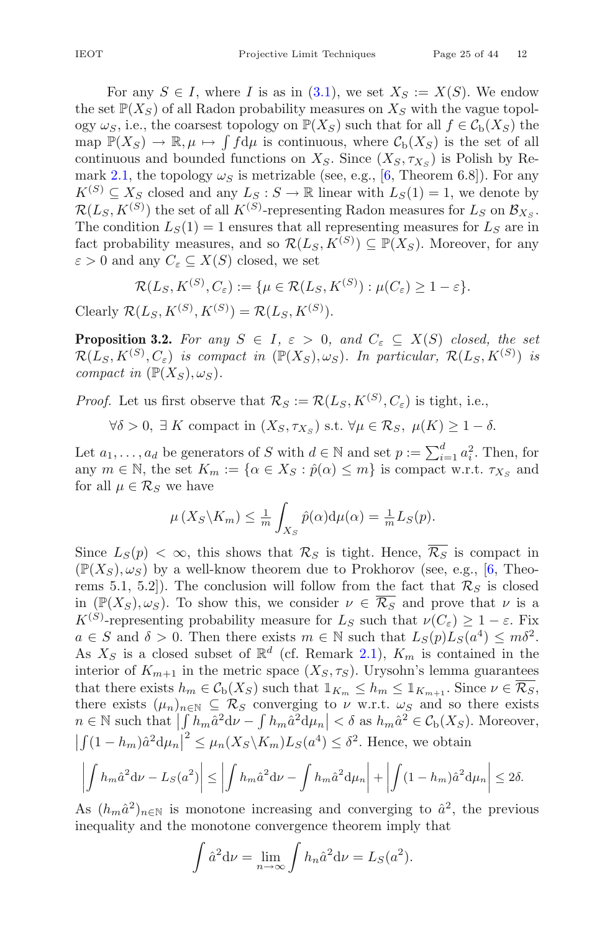For any  $S \in I$ , where I is as in [\(3.1\)](#page-22-1), we set  $X_S := X(S)$ . We endow the set  $\mathbb{P}(X_S)$  of all Radon probability measures on  $X_S$  with the vague topology  $\omega_S$ , i.e., the coarsest topology on  $\mathbb{P}(X_S)$  such that for all  $f \in \mathcal{C}_{\mathrm{b}}(X_S)$  the map  $\mathbb{P}(X_S) \to \mathbb{R}, \mu \mapsto \int f d\mu$  is continuous, where  $\mathcal{C}_b(X_S)$  is the set of all<br>continuous and bounded functions on  $X_{\sigma}$ . Since  $(X_{\sigma}, \tau_{\sigma})$  is Polish by Po continuous and bounded functions on  $X_S$ . Since  $(X_S, \tau_{X_S})$  is Polish by Re-mark [2.1,](#page-20-4) the topology  $\omega_s$  is metrizable (see, e.g., [\[6](#page-40-14), Theorem 6.8]). For any  $K^{(S)} \subseteq X_S$  closed and any  $L_S : S \to \mathbb{R}$  linear with  $L_S(1) = 1$ , we denote by  $\mathcal{R}(L_S, K^{(S)})$  the set of all  $K^{(S)}$ -representing Radon measures for  $L_S$  on  $\mathcal{B}_{X_S}$ . The condition  $L_S(1) = 1$  ensures that all representing measures for  $L_S$  are in fact probability measures, and so  $\mathcal{R}(L_S, K^{(S)}) \subseteq \mathbb{P}(X_S)$ . Moreover, for any  $\varepsilon > 0$  and any  $C_{\varepsilon} \subseteq X(S)$  closed, we set

$$
\mathcal{R}(L_S, K^{(S)}, C_{\varepsilon}) := \{ \mu \in \mathcal{R}(L_S, K^{(S)}) : \mu(C_{\varepsilon}) \geq 1 - \varepsilon \}.
$$

<span id="page-24-0"></span>Clearly  $\mathcal{R}(L_S, K^{(S)}, K^{(S)}) = \mathcal{R}(L_S, K^{(S)}).$ 

**Proposition 3.2.** For any  $S \in I$ ,  $\varepsilon > 0$ , and  $C_{\varepsilon} \subseteq X(S)$  closed, the set  $\mathcal{R}(L_S, K^{(S)}, C_{\varepsilon})$  *is compact in*  $(\mathbb{P}(X_S), \omega_S)$ *. In particular,*  $\mathcal{R}(L_S, K^{(S)})$  *is compact in*  $(\mathbb{P}(X_S), \omega_S)$ *.* 

*Proof.* Let us first observe that  $\mathcal{R}_S := \mathcal{R}(L_S, K^{(S)}, C_\varepsilon)$  is tight, i.e.,

 $\forall \delta > 0, \exists K$  compact in  $(X_S, \tau_{X_S})$  s.t.  $\forall \mu \in \mathcal{R}_S, \mu(K) \geq 1 - \delta$ .

Let  $a_1, \ldots, a_d$  be generators of S with  $d \in \mathbb{N}$  and set  $p := \sum_{i=1}^d a_i^2$ . Then, for any  $m \in \mathbb{N}$  the set  $K \to \{ \alpha \in X_G : \hat{p}(\alpha) \leq m \}$  is compact w.r.t.  $\tau_X$  and any  $m \in \mathbb{N}$ , the set  $K_m := \{ \alpha \in X_S : \hat{p}(\alpha) \leq m \}$  is compact w.r.t.  $\tau_{X_S}$  and for all  $\mu \in \mathcal{R}_S$  we have

$$
\mu(X_S \backslash K_m) \leq \frac{1}{m} \int_{X_S} \hat{p}(\alpha) d\mu(\alpha) = \frac{1}{m} L_S(p).
$$

Since  $L_S(p) < \infty$ , this shows that  $\mathcal{R}_S$  is tight. Hence,  $\overline{\mathcal{R}_S}$  is compact in  $(\mathbb{P}(X_S), \omega_S)$  by a well-know theorem due to Prokhorov (see, e.g., [\[6](#page-40-14), Theorems 5.1, 5.2]). The conclusion will follow from the fact that  $\mathcal{R}_S$  is closed in  $(\mathbb{P}(X_S), \omega_S)$ . To show this, we consider  $\nu \in \overline{\mathcal{R}_S}$  and prove that  $\nu$  is a  $K^{(S)}$ -representing probability measure for  $L_S$  such that  $\nu(C_{\varepsilon}) \geq 1 - \varepsilon$ . Fix  $a \in S$  and  $\delta > 0$ . Then there exists  $m \in \mathbb{N}$  such that  $L_S(p)L_S(a^4) \leq m\delta^2$ . As  $X_S$  is a closed subset of  $\mathbb{R}^d$  (cf. Remark [2.1\)](#page-20-4),  $K_m$  is contained in the interior of  $K_{m+1}$  in the metric space  $(X_S, \tau_S)$ . Urysohn's lemma guarantees that there exists  $h_m \in C_b(X_S)$  such that  $1_{K_m} \leq h_m \leq 1_{K_{m+1}}$ . Since  $\nu \in \overline{\mathcal{R}_S}$ , there exists  $(\mu_n)_{n\in\mathbb{N}}\subseteq \mathcal{R}_S$  converging to  $\nu$  w.r.t.  $\omega_S$  and so there exists  $n \in \mathbb{N}$  such that  $\left| \int h_m \hat{a}^2 d\nu - \int h_m \hat{a}^2 d\mu_n \right| < \delta$  as  $h_m \hat{a}^2 \in C_{\rm b}(X_S)$ . Moreover,  $\mid$  $\left| \int (1 - h_m) \hat{a}^2 d\mu_n \right|^2 \leq \mu_n(X_S \backslash K_m) L_S(a^4) \leq \delta^2$ . Hence, we obtain

$$
\left| \int h_m \hat{a}^2 \mathrm{d} \nu - L_S(a^2) \right| \le \left| \int h_m \hat{a}^2 \mathrm{d} \nu - \int h_m \hat{a}^2 \mathrm{d} \mu_n \right| + \left| \int (1 - h_m) \hat{a}^2 \mathrm{d} \mu_n \right| \le 2\delta.
$$

As  $(h_m \hat{a}^2)_{n \in \mathbb{N}}$  is monotone increasing and converging to  $\hat{a}^2$ , the previous inequality and the monotone convergence theorem imply that

$$
\int \hat{a}^2 d\nu = \lim_{n \to \infty} \int h_n \hat{a}^2 d\nu = L_S(a^2).
$$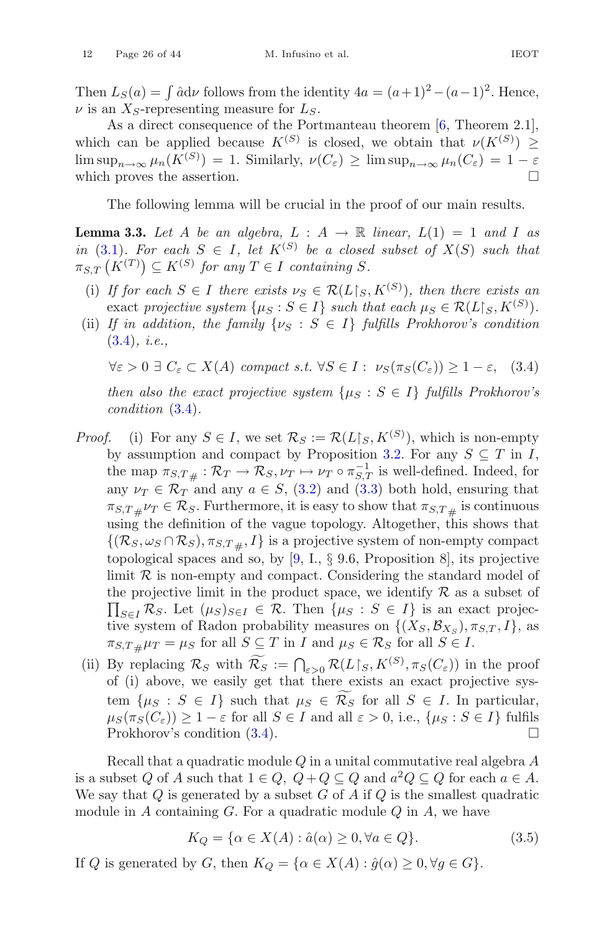Then  $L_S(a) = \int \hat{a} \mathrm{d} \nu$  follows from the identity  $4a = (a+1)^2 - (a-1)^2$ . Hence,  $\nu$  is an  $X_S$ -representing measure for  $L_S$ .

As a direct consequence of the Portmanteau theorem [\[6,](#page-40-14) Theorem 2.1], which can be applied because  $K^{(S)}$  is closed, we obtain that  $\nu(K^{(S)}) \geq$  $\limsup_{n\to\infty}\mu_n(K^{(S)})=1.$  Similarly,  $\nu(C_{\varepsilon})\geq \limsup_{n\to\infty}\mu_n(C_{\varepsilon})=1-\varepsilon$ which proves the assertion.

The following lemma will be crucial in the proof of our main results.

<span id="page-25-1"></span>**Lemma 3.3.** Let A be an algebra,  $L : A \rightarrow \mathbb{R}$  linear,  $L(1) = 1$  and I as *in* [\(3.1\)](#page-22-1)*. For each*  $S \in I$ *, let*  $K^{(S)}$  *be a closed subset of*  $X(S)$  *such that*  $\pi_{S,T}\left(K^{(T)}\right) \subseteq K^{(S)}$  for any  $T \in I$  containing S.

- (i) *If for each*  $S \in I$  *there exists*  $\nu_S \in \mathcal{R}(L\vert_S, K^{(S)})$ *, then there exists an* exact projective system  $\{\mu_S : S \in I\}$  such that each  $\mu_S \in \mathcal{R}(L \mid_S, K^{(S)})$ .
- (ii) *If in addition, the family*  $\{v_S : S \in I\}$  *fulfills Prokhorov's condition* [\(3.4\)](#page-25-0)*, i.e.,*

<span id="page-25-0"></span> $\forall \varepsilon > 0 \ \exists \ C_{\varepsilon} \subset X(A)$  *compact s.t.*  $\forall S \in I : \ \nu_S(\pi_S(C_{\varepsilon})) \geq 1 - \varepsilon$ , (3.4)

*then also the exact projective system*  $\{\mu_S : S \in I\}$  *fulfills Prokhorov's condition* [\(3.4\)](#page-25-0)*.*

- *Proof.* (i) For any  $S \in I$ , we set  $\mathcal{R}_S := \mathcal{R}(L|_S, K^{(S)})$ , which is non-empty by assumption and compact by Proposition [3.2.](#page-24-0) For any  $S \subseteq T$  in I, the map  $\pi_{S,T\#}: \mathcal{R}_T \to \mathcal{R}_S, \nu_T \mapsto \nu_T \circ \pi_{S,T}^{-1}$  is well-defined. Indeed, for<br>any  $\nu_T \in \mathcal{R}_T$  and any  $a \in S$  (3.2) and (3.3) both hold, opening that any  $\nu_T \in \mathcal{R}_T$  and any  $a \in S$ , [\(3.2\)](#page-23-2) and [\(3.3\)](#page-23-3) both hold, ensuring that  $\pi_{S,T\#} \nu_T \in \mathcal{R}_S$ . Furthermore, it is easy to show that  $\pi_{S,T\#}$  is continuous<br>using the definition of the vague topology. Altogether, this shows that using the definition of the vague topology. Altogether, this shows that  $\{(\mathcal{R}_S, \omega_S \cap \mathcal{R}_S), \pi_{S,T} \}$  is a projective system of non-empty compact topological spaces and so, by  $[9, I., \S 9.6,$  $[9, I., \S 9.6,$  Proposition 8, its projective limit  $R$  is non-empty and compact. Considering the standard model of  $\prod_{S\in I} \mathcal{R}_S$ . Let  $(\mu_S)_{S\in I} \in \mathcal{R}$ . Then  $\{\mu_S : S \in I\}$  is an exact projecthe projective limit in the product space, we identify  $\mathcal R$  as a subset of tive system of Radon probability measures on  $\{(X_S, \mathcal{B}_{X_S}), \pi_{S,T}, I\}$ , as  $\pi_{S,T\#}\mu_T = \mu_S$  for all  $S \subseteq T$  in I and  $\mu_S \in \mathcal{R}_S$  for all  $S \in I$ .
- (ii) By replacing  $\mathcal{R}_S$  with  $\mathcal{R}_S := \bigcap_{\varepsilon > 0} \mathcal{R}(L\mathcal{L}|_S, K^{(S)}, \pi_S(\mathcal{C}_{\varepsilon}))$  in the proof of (i) shows we easily get that there exists an exact projective sysof (i) above, we easily get that there exists an exact projective system  $\{\mu_S : S \in I\}$  such that  $\mu_S \in \mathcal{R}_S$  for all  $S \in I$ . In particular,  $\mu_S(\pi_S(C_{\varepsilon})) \ge 1 - \varepsilon$  for all  $S \in I$  and all  $\varepsilon > 0$ , i.e.,  $\{\mu_S : S \in I\}$  fulfils Prokhorov's condition (3.4). Prokhorov's condition [\(3.4\)](#page-25-0).

Recall that a quadratic module  $Q$  in a unital commutative real algebra  $A$ is a subset Q of A such that  $1 \in Q$ ,  $Q + Q \subseteq Q$  and  $a^2Q \subseteq Q$  for each  $a \in A$ . We say that  $Q$  is generated by a subset  $G$  of  $A$  if  $Q$  is the smallest quadratic module in  $A$  containing  $G$ . For a quadratic module  $Q$  in  $A$ , we have

<span id="page-25-2"></span>
$$
K_Q = \{ \alpha \in X(A) : \hat{a}(\alpha) \ge 0, \forall a \in Q \}. \tag{3.5}
$$

If  $Q$  is generated by  $G$ , then  $K_Q = \{ \alpha \in X(A) : \hat{g}(\alpha) \geq 0, \forall g \in G \}.$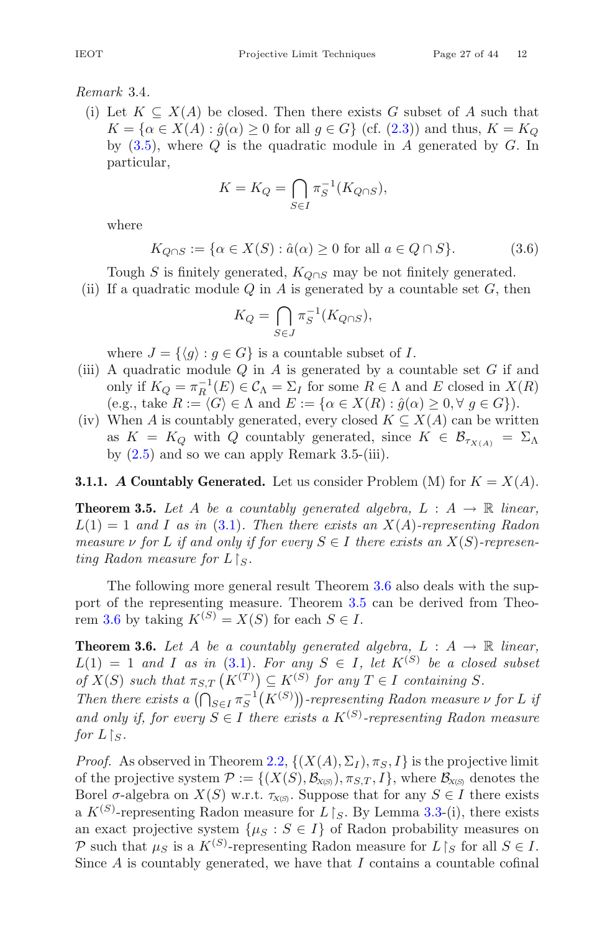# <span id="page-26-3"></span>*Remark* 3.4*.*

(i) Let  $K \subseteq X(A)$  be closed. Then there exists G subset of A such that  $K = \{\alpha \in X(A) : \hat{g}(\alpha) \geq 0 \text{ for all } g \in G\}$  (cf. [\(2.3\)](#page-19-4)) and thus,  $K = K_O$ by  $(3.5)$ , where Q is the quadratic module in A generated by G. In particular,

$$
K = K_Q = \bigcap_{S \in I} \pi_S^{-1}(K_{Q \cap S}),
$$

where

<span id="page-26-4"></span>
$$
K_{Q \cap S} := \{ \alpha \in X(S) : \hat{a}(\alpha) \ge 0 \text{ for all } a \in Q \cap S \}. \tag{3.6}
$$

Tough S is finitely generated,  $K_{Q\cap S}$  may be not finitely generated.

(ii) If a quadratic module  $Q$  in  $A$  is generated by a countable set  $G$ , then

$$
K_Q = \bigcap_{S \in J} \pi_S^{-1}(K_{Q \cap S}),
$$

where  $J = \{ \langle q \rangle : q \in G \}$  is a countable subset of I.

- (iii) A quadratic module  $Q$  in  $A$  is generated by a countable set  $G$  if and only if  $K_Q = \pi_R^{-1}(E) \in \mathcal{C}_\Lambda = \Sigma_I$  for some  $R \in \Lambda$  and E closed in  $X(R)$ <br>(e.g. take  $R := (C \setminus \Lambda)$  and  $F := (C \subset X(R) \setminus \hat{a}(\alpha) > 0 \ \forall \ a \in C]$ ) (e.g., take  $R := \langle G \rangle \in \Lambda$  and  $E := \{ \alpha \in X(R) : \hat{g}(\alpha) \geq 0, \forall g \in G \}$ ).
- (iv) When A is countably generated, every closed  $K \subseteq X(A)$  can be written as  $K = K_Q$  with Q countably generated, since  $K \in \mathcal{B}_{\tau_{X(A)}} = \Sigma_{\Lambda}$ by  $(2.5)$  and so we can apply Remark 3.5-(iii).

# <span id="page-26-2"></span><span id="page-26-0"></span>**3.1.1.** *A* Countably Generated. Let us consider Problem (M) for  $K = X(A)$ .

**Theorem 3.5.** Let A be a countably generated algebra,  $L : A \rightarrow \mathbb{R}$  linear,  $L(1) = 1$  *and* I *as in* [\(3.1\)](#page-22-1). Then there exists an  $X(A)$ -representing Radon *measure*  $\nu$  *for*  $L$  *if and only if for every*  $S \in I$  *there exists an*  $X(S)$ *-represen* $t$ *ing Radon measure for*  $L \upharpoonright_S$ .

The following more general result Theorem [3.6](#page-26-1) also deals with the support of the representing measure. Theorem [3.5](#page-26-2) can be derived from Theo-rem [3.6](#page-26-1) by taking  $K^{(S)} = X(S)$  for each  $S \in I$ .

<span id="page-26-1"></span>**Theorem 3.6.** Let A be a countably generated algebra,  $L : A \rightarrow \mathbb{R}$  linear,  $L(1) = 1$  *and* I *as in* [\(3.1\)](#page-22-1)*. For any*  $S \in I$ *, let*  $K^{(S)}$  *be a closed subset of*  $X(S)$  *such that*  $\pi_{S,T}(K^{(T)}) \subseteq K^{(S)}$  *for any*  $T \in I$  *containing*  $S$ *.* 

*Then there exists a*  $\left(\bigcap_{S \in I} \pi_S^{-1}(K^{(S)})\right)$ -representing Radon measure  $\nu$  *for* L *if* and only if, for every  $S \in I$  there exists a  $K^{(S)}$ -representing Radon measure for  $L \upharpoonright_S$ .

*Proof.* As observed in Theorem [2.2,](#page-20-0)  $\{(X(A), \Sigma_I), \pi_S, I\}$  is the projective limit of the projective system  $\mathcal{P} := \{(X(S), \mathcal{B}_{X(S)}, \pi_{S,T}, I\}$ , where  $\mathcal{B}_{X(S)}$  denotes the Borel  $\sigma$ -algebra on  $X(S)$  w.r.t.  $\tau_{X(S)}$ . Suppose that for any  $S \in I$  there exists a  $K^{(S)}$ -representing Radon measure for  $L \upharpoonright_S$ . By Lemma [3.3-](#page-25-1)(i), there exists an exact projective system  $\{\mu_S : S \in I\}$  of Radon probability measures on P such that  $\mu_S$  is a  $K^{(S)}$ -representing Radon measure for  $L\upharpoonright_S$  for all  $S\in I$ . Since  $A$  is countably generated, we have that  $I$  contains a countable cofinal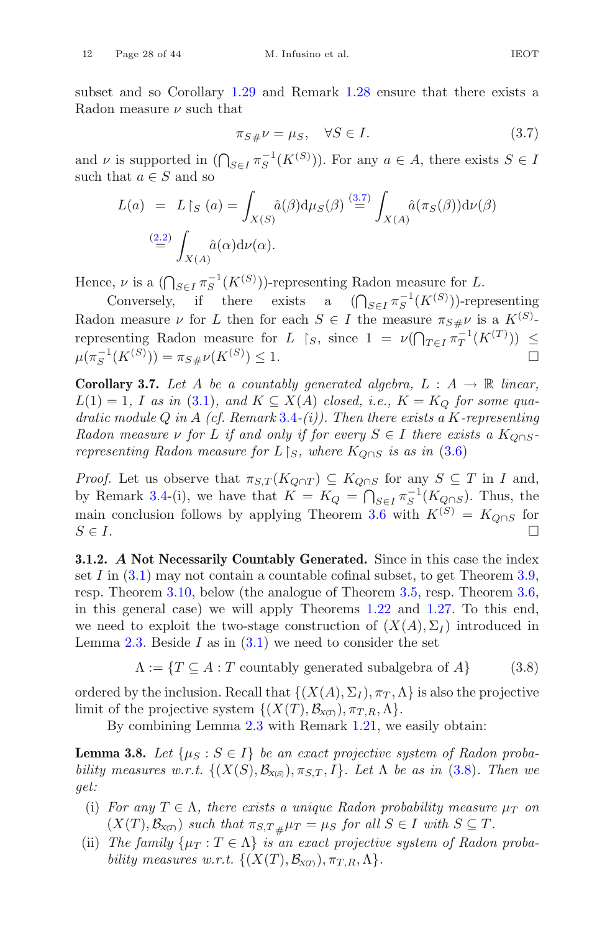subset and so Corollary [1.29](#page-16-0) and Remark [1.28](#page-16-1) ensure that there exists a Radon measure  $\nu$  such that

<span id="page-27-1"></span>
$$
\pi_{S\#}\nu = \mu_S, \quad \forall S \in I. \tag{3.7}
$$

and  $\nu$  is supported in  $(\bigcap_{S \in I} \pi_S^{-1}(K^{(S)}))$ . For any  $a \in A$ , there exists  $S \in I$ such that  $a \in S$  and so

$$
L(a) = L\upharpoonright_{S}(a) = \int_{X(S)} \hat{a}(\beta) d\mu_{S}(\beta) \stackrel{(3.7)}{=} \int_{X(A)} \hat{a}(\pi_{S}(\beta)) d\nu(\beta)
$$

$$
\stackrel{(2.2)}{=} \int_{X(A)} \hat{a}(\alpha) d\nu(\alpha).
$$

Hence,  $\nu$  is a  $(\bigcap_{S \in I} \pi_S^{-1}(K^{(S)})\)$ -representing Radon measure for L.

Conversely, if there exists a  $(\bigcap_{S \in I} \pi_S^{-1}(K^{(S)})\)$ -representing Radon measure  $\nu$  for L then for each  $S \in I$  the measure  $\pi_{S\#}\nu$  is a  $K^{(S)}$ -<br>nonnegating Radon measure for L is since  $1 - \nu(\Omega - \frac{1}{\nu}(K(T)))$ representing Radon measure for  $L \restriction_S$ , since  $1 = \nu(\bigcap_{T \in I} \pi_T^{-1}(K^{(T)}) ) \le$  $\mu(\pi_S^{-1}(K^{(S)})) = \pi_{S\#}\nu(K^{(S)})$  $) \leq 1.$ 

**Corollary 3.7.** Let A be a countably generated algebra,  $L : A \rightarrow \mathbb{R}$  linear,  $L(1) = 1$ , I as in [\(3.1\)](#page-22-1), and  $K \subseteq X(A)$  *closed, i.e.,*  $K = K_O$  for some qua*dratic module* Q *in* A *(cf. Remark* [3.4](#page-26-3)*-(i)). Then there exists a* K*-representing Radon measure*  $\nu$  *for* L *if and only if for every*  $S \in I$  *there exists a*  $K_{\text{O} \cap S}$ *representing Radon measure for*  $L \restriction_S$ , where  $K_{Q \cap S}$  *is as in*  $(3.6)$ 

*Proof.* Let us observe that  $\pi_{S,T}(K_{Q\cap T}) \subseteq K_{Q\cap S}$  for any  $S \subseteq T$  in I and, by Remark [3.4-](#page-26-3)(i), we have that  $K = K_Q = \bigcap_{S \in I} \pi_S^{-1}(K_{Q \cap S})$ . Thus, the main conclusion follows by applying Theorem [3.6](#page-26-1) with  $K^{(S)} = K_{Q \cap S}$  for  $S \in I$ .  $S \in I$ .

<span id="page-27-0"></span>**3.1.2.** *A* **Not Necessarily Countably Generated.** Since in this case the index set I in  $(3.1)$  may not contain a countable cofinal subset, to get Theorem [3.9,](#page-28-0) resp. Theorem [3.10,](#page-28-1) below (the analogue of Theorem [3.5,](#page-26-2) resp. Theorem [3.6,](#page-26-1) in this general case) we will apply Theorems [1.22](#page-13-0) and [1.27.](#page-15-1) To this end, we need to exploit the two-stage construction of  $(X(A), \Sigma_I)$  introduced in Lemma [2.3.](#page-20-2) Beside I as in  $(3.1)$  we need to consider the set

<span id="page-27-2"></span>
$$
\Lambda := \{ T \subseteq A : T \text{ countably generated subalgebra of } A \}
$$
 (3.8)

ordered by the inclusion. Recall that  $\{(X(A), \Sigma_I), \pi_T, \Lambda\}$  is also the projective limit of the projective system  $\{(X(T), \mathcal{B}_{X(T)}), \pi_{T,R}, \Lambda\}.$ 

By combining Lemma [2.3](#page-20-2) with Remark [1.21,](#page-13-1) we easily obtain:

<span id="page-27-3"></span>**Lemma 3.8.** Let  $\{\mu_S : S \in I\}$  be an exact projective system of Radon proba*bility measures w.r.t.*  $\{(X(S), \mathcal{B}_{X(S)})$ ,  $\pi_{S,T}, I\}$ *. Let*  $\Lambda$  *be as in* [\(3.8\)](#page-27-2)*. Then we get:*

- (i) *For any*  $T \in \Lambda$ *, there exists a unique Radon probability measure*  $\mu_T$  *on*  $(X(T), \mathcal{B}_{X(T)})$  *such that*  $\pi_{S,T\#}\mu_T = \mu_S$  *for all*  $S \in I$  *with*  $S \subseteq T$ *.*
- (ii) *The family*  $\{\mu_T : T \in \Lambda\}$  *is an exact projective system of Radon probability measures w.r.t.*  $\{(X(T), \mathcal{B}_{X(T)}), \pi_{T,R}, \Lambda\}.$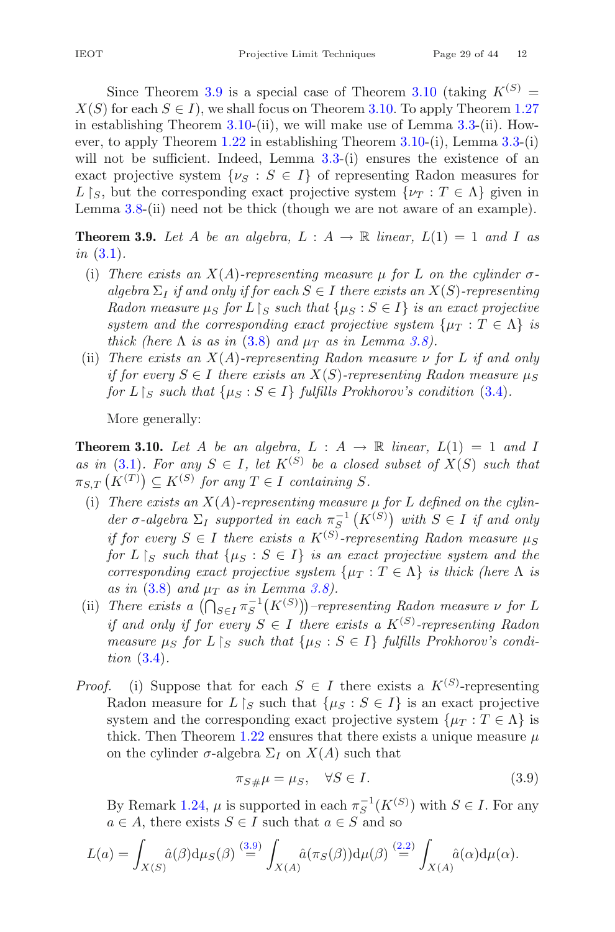Since Theorem [3.9](#page-28-0) is a special case of Theorem [3.10](#page-28-1) (taking  $K^{(S)}$  =  $X(S)$  for each  $S \in I$ , we shall focus on Theorem [3.10.](#page-28-1) To apply Theorem [1.27](#page-15-1) in establishing Theorem [3.10-](#page-28-1)(ii), we will make use of Lemma [3.3-](#page-25-1)(ii). However, to apply Theorem [1.22](#page-13-0) in establishing Theorem [3.10-](#page-28-1)(i), Lemma [3.3-](#page-25-1)(i) will not be sufficient. Indeed, Lemma [3.3-](#page-25-1)(i) ensures the existence of an exact projective system  $\{\nu_S : S \in I\}$  of representing Radon measures for L  $[s, b$ ut the corresponding exact projective system  $\{\nu_T : T \in \Lambda\}$  given in Lemma [3.8-](#page-27-3)(ii) need not be thick (though we are not aware of an example).

<span id="page-28-0"></span>**Theorem 3.9.** Let A be an algebra,  $L : A \rightarrow \mathbb{R}$  linear,  $L(1) = 1$  and I as *in* [\(3.1\)](#page-22-1)*.*

- (i) *There exists an*  $X(A)$ -representing measure  $\mu$  for L on the cylinder  $\sigma$  $a$ *lgebra*  $\Sigma_I$  *if and only if for each*  $S \in I$  *there exists an*  $X(S)$ *-representing Radon measure*  $\mu_S$  *for*  $L \mid_S$  *such that*  $\{\mu_S : S \in I\}$  *is an exact projective system and the corresponding exact projective system*  $\{\mu_T : T \in \Lambda\}$  *is thick (here*  $\Lambda$  *is as in* [\(3.8\)](#page-27-2) *and*  $\mu_T$  *as in Lemma [3.8\)](#page-27-3)*.
- (ii) *There exists an* X(A)*-representing Radon measure* ν *for* L *if and only if for every*  $S \in I$  *there exists an*  $X(S)$ *-representing Radon measure*  $\mu_S$ *for*  $L \upharpoonright_S$  *such that*  $\{\mu_S : S \in I\}$  *fulfills Prokhorov's condition* [\(3.4\)](#page-25-0)*.*

More generally:

<span id="page-28-1"></span>**Theorem 3.10.** Let A be an algebra,  $L : A \rightarrow \mathbb{R}$  linear,  $L(1) = 1$  and I *as in* [\(3.1\)](#page-22-1)*. For any*  $S \in I$ *, let*  $K^{(S)}$  *be a closed subset of*  $X(S)$  *such that*  $\pi_{S,T}\left(K^{(T)}\right) \subseteq K^{(S)}$  for any  $T \in I$  containing S.

- (i) *There exists an* X(A)*-representing measure* μ *for* L *defined on the cylin*der  $\sigma$ -algebra  $\Sigma_I$  supported in each  $\pi_S^{-1}(K^{(S)})$  with  $S \in I$  if and only *if for every*  $S \in I$  *there exists a*  $K^{(S)}$ -representing Radon measure  $\mu_S$ *for*  $L \upharpoonright_S$  *such that*  $\{ \mu_S : S \in I \}$  *is an exact projective system and the corresponding exact projective system*  $\{\mu_T : T \in \Lambda\}$  *is thick (here*  $\Lambda$  *is*  $as in (3.8) and \mu<sub>T</sub> as in Lemma 3.8$  $as in (3.8) and \mu<sub>T</sub> as in Lemma 3.8$  $as in (3.8) and \mu<sub>T</sub> as in Lemma 3.8$ *.*
- (ii) *There exists a*  $(\bigcap_{S \in I} \pi_S^{-1}(K^{(S)})$ *–representing Radon measure*  $\nu$  *for* L *if and only if for every*  $S \in I$  *there exists a*  $K^{(S)}$ -representing Radon *measure*  $\mu_S$  *for*  $L \rvert_S$  *such that*  $\{\mu_S : S \in I\}$  *fulfills Prokhorov's condition* [\(3.4\)](#page-25-0)*.*
- *Proof.* (i) Suppose that for each  $S \in I$  there exists a  $K^{(S)}$ -representing Radon measure for  $L \upharpoonright_S$  such that  $\{\mu_S : S \in I\}$  is an exact projective system and the corresponding exact projective system  $\{\mu_T : T \in \Lambda\}$  is thick. Then Theorem [1.22](#page-13-0) ensures that there exists a unique measure  $\mu$ on the cylinder  $\sigma$ -algebra  $\Sigma_I$  on  $X(A)$  such that

<span id="page-28-2"></span>
$$
\pi_{S\#}\mu = \mu_S, \quad \forall S \in I. \tag{3.9}
$$

By Remark [1.24,](#page-15-4)  $\mu$  is supported in each  $\pi_S^{-1}(K^{(S)})$  with  $S \in I$ . For any  $a \in A$ , there exists  $S \in I$  such that  $a \in S$  and so

$$
L(a) = \int_{X(S)} \hat{a}(\beta) d\mu_S(\beta) \stackrel{(3.9)}{=} \int_{X(A)} \hat{a}(\pi_S(\beta)) d\mu(\beta) \stackrel{(2.2)}{=} \int_{X(A)} \hat{a}(\alpha) d\mu(\alpha).
$$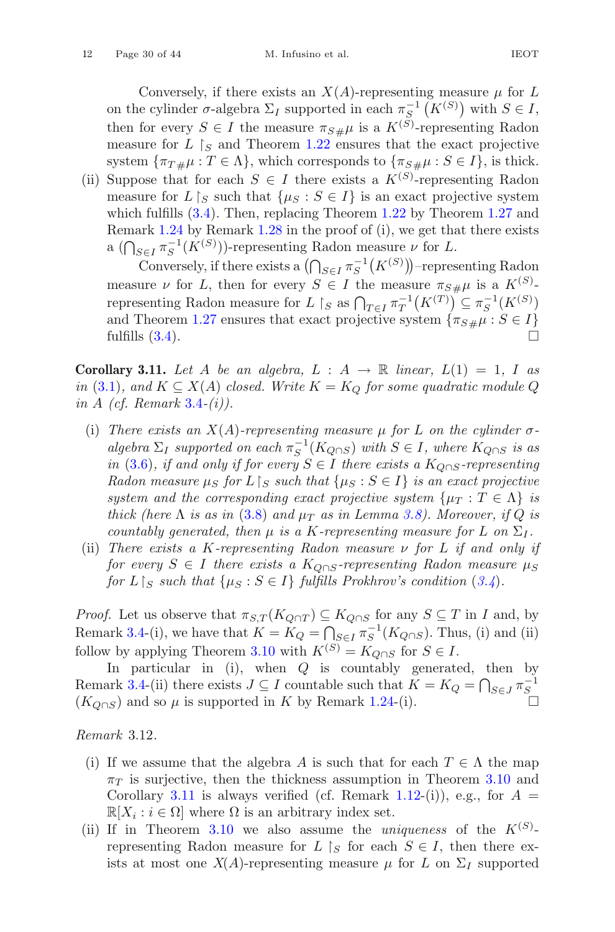Conversely, if there exists an  $X(A)$ -representing measure  $\mu$  for L on the cylinder  $\sigma$ -algebra  $\Sigma_I$  supported in each  $\pi_{S}^{-1}(K^{(S)})$  with  $S \in I$ , then for every  $S \in I$  the measure  $\pi_{S\#}\mu$  is a  $K^{(S)}$ -representing Radon<br>measure for L Ls and Theorem 1.22 ensures that the exact projective measure for  $L \upharpoonright_S$  and Theorem [1.22](#page-13-0) ensures that the exact projective system  $\{\pi_{T\#\mu} : T \in \Lambda\}$ , which corresponds to  $\{\pi_{S\#\mu} : S \in I\}$ , is thick.

(ii) Suppose that for each  $S \in I$  there exists a  $K^{(S)}$ -representing Radon measure for  $L \upharpoonright_S$  such that  $\{ \mu_S : S \in I \}$  is an exact projective system which fulfills [\(3.4\)](#page-25-0). Then, replacing Theorem [1.22](#page-13-0) by Theorem [1.27](#page-15-1) and Remark [1.24](#page-15-4) by Remark [1.28](#page-16-1) in the proof of (i), we get that there exists a  $(\bigcap_{S \in I} \pi_S^{-1}(K^{(S)})\)$ -representing Radon measure  $\nu$  for L.

Conversely, if there exists a  $\left(\bigcap_{S\in I}\pi_S^{-1}\left(K^{(S)}\right)\right)$ -representing Radon measure  $\nu$  for L, then for every  $S \in I$  the measure  $\pi_{S\#}\mu$  is a  $K^{(S)}$ representing Radon measure for L |s as  $\bigcap_{T\in I} \pi_T^{-1}(K^{(T)}) \subseteq \pi_S^{-1}(K^{(S)})$ and Theorem [1.27](#page-15-1) ensures that exact projective system  $\{\pi_{S\#}\mu : S \in I\}$ fulfills  $(3.4)$ .

<span id="page-29-1"></span>**Corollary 3.11.** Let A be an algebra,  $L : A \rightarrow \mathbb{R}$  linear,  $L(1) = 1$ , I as *in* [\(3.1\)](#page-22-1), and  $K \subseteq X(A)$  *closed.* Write  $K = K_O$  for some quadratic module Q. *in* A *(cf. Remark* [3.4](#page-26-3)*-(i)).*

- (i) *There exists an*  $X(A)$ -representing measure  $\mu$  for L on the cylinder  $\sigma$  $a$ *lgebra*  $\Sigma_I$  *supported on each*  $\pi_S^{-1}(K_{Q\cap S})$  *with*  $S \in I$ *, where*  $K_{Q\cap S}$  *is as in* [\(3.6\)](#page-26-4)*, if and only if for every*  $S \text{ ∈ } I$  *there exists a*  $K_{O \cap S}$ -representing *Radon measure*  $\mu_S$  *for*  $L \restriction_S$  *such that*  $\{\mu_S : S \in I\}$  *is an exact projective system and the corresponding exact projective system*  $\{\mu_T : T \in \Lambda\}$  *is thick (here*  $\Lambda$  *is as in* [\(3.8\)](#page-27-2) *and*  $\mu_T$  *as in Lemma [3.8\)](#page-27-3). Moreover, if*  $Q$  *is countably generated, then*  $\mu$  *is a K-representing measure for* L *on*  $\Sigma_I$ .
- (ii) *There exists a* K*-representing Radon measure* ν *for* L *if and only if for every*  $S \in I$  *there exists a*  $K_{\text{O} \cap S}$ -representing Radon measure  $\mu_S$ *for*  $L \upharpoonright_S$  *such that*  $\{\mu_S : S \in I\}$  *fulfills Prokhrov's condition*  $(3.4)$  $(3.4)$  $(3.4)$ *.*

*Proof.* Let us observe that  $\pi_{S,T}(K_{Q\cap T}) \subseteq K_{Q\cap S}$  for any  $S \subseteq T$  in I and, by Remark [3.4-](#page-26-3)(i), we have that  $K = K_Q = \bigcap_{S \in I} \pi_S^{-1}(K_{Q \cap S})$ . Thus, (i) and (ii) follow by applying Theorem [3.10](#page-28-1) with  $K^{(S)} = K_{Q \cap S}$  for  $S \in I$ .

In particular in (i), when  $Q$  is countably generated, then by Remark [3.4-](#page-26-3)(ii) there exists  $J \subseteq I$  countable such that  $K = K_Q = \bigcap_{S \in J} \pi_S^{-1}$  $(K_{Q\cap S})$  and so  $\mu$  is supported in K by Remark [1.24-](#page-15-4)(i).

<span id="page-29-0"></span>*Remark* 3.12*.*

- (i) If we assume that the algebra A is such that for each  $T \in \Lambda$  the map  $\pi$  is surjective, then the thickness assumption in Theorem [3.10](#page-28-1) and Corollary [3.11](#page-29-1) is always verified (cf. Remark [1.12-](#page-8-0)(i)), e.g., for  $A =$  $\mathbb{R}[X_i : i \in \Omega]$  where  $\Omega$  is an arbitrary index set.
- (ii) If in Theorem [3.10](#page-28-1) we also assume the *uniqueness* of the  $K^{(S)}$ representing Radon measure for  $L \upharpoonright_S$  for each  $S \in I$ , then there exists at most one  $X(A)$ -representing measure  $\mu$  for L on  $\Sigma_I$  supported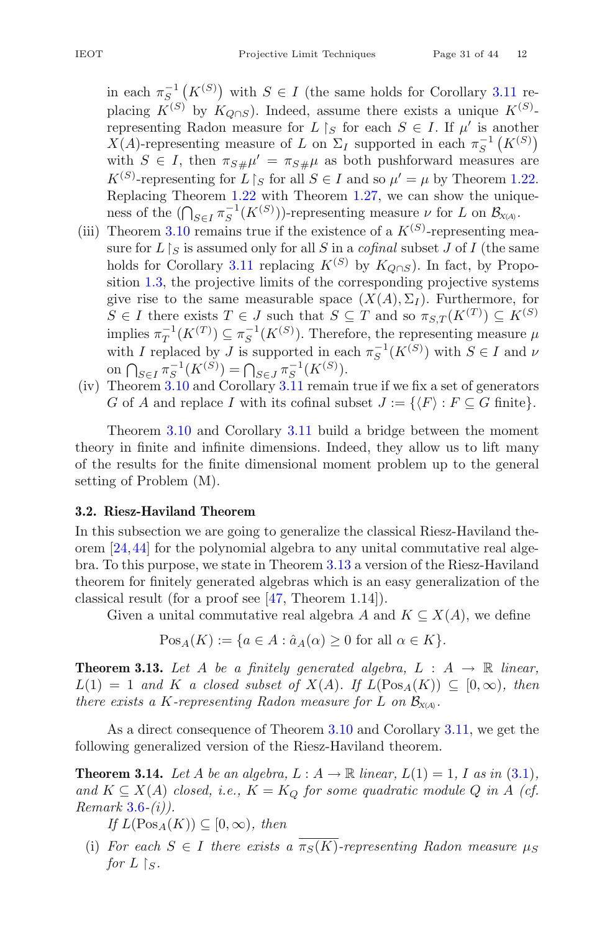in each  $\pi_{S}^{-1}(K^{(S)})$  with  $S \in I$  (the same holds for Corollary [3.11](#page-29-1) replacing  $K^{(S)}$  by  $K_{\mathcal{O}\cap S}$ ). Indeed, assume there exists a unique  $K^{(S)}$ representing Radon measure for  $L \upharpoonright_S$  for each  $S \in I$ . If  $\mu'$  is another  $X(A)$ -representing measure of L on  $\Sigma_I$  supported in each  $\pi_S^{-1}(K^{(S)})$ with  $S \in I$ , then  $\pi_{S\#}\mu' = \pi_{S\#}\mu$  as both pushforward measures are  $K^{(S)}$ -representing for  $L \upharpoonright_S$  for all  $S \in I$  and so  $\mu' = \mu$  by Theorem [1.22.](#page-13-0) Replacing Theorem [1.22](#page-13-0) with Theorem [1.27,](#page-15-1) we can show the uniqueness of the  $(\bigcap_{S \in I} \pi_S^{-1}(K^{(S)}))$ -representing measure  $\nu$  for L on  $\mathcal{B}_{X(A)}$ .

- (iii) Theorem [3.10](#page-28-1) remains true if the existence of a  $K^{(S)}$ -representing measure for  $L \upharpoonright_S$  is assumed only for all S in a *cofinal* subset J of I (the same holds for Corollary [3.11](#page-29-1) replacing  $K^{(S)}$  by  $K_{O\cap S}$ ). In fact, by Proposition [1.3,](#page-5-1) the projective limits of the corresponding projective systems give rise to the same measurable space  $(X(A), \Sigma_I)$ . Furthermore, for  $S \in I$  there exists  $T \in J$  such that  $S \subseteq T$  and so  $\pi_{S,T}(K^{(T)}) \subseteq K^{(S)}$ implies  $\pi_T^{-1}(K^{(T)}) \subseteq \pi_S^{-1}(K^{(S)})$ . Therefore, the representing measure  $\mu$ with I replaced by J is supported in each  $\pi_S^{-1}(K^{(S)})$  with  $S \in I$  and  $\nu$ on  $\bigcap_{S \in I} \pi_S^{-1}(K^{(S)}) = \bigcap_{S \in J} \pi_S^{-1}(K^{(S)})$ .
- (iv) Theorem [3.10](#page-28-1) and Corollary [3.11](#page-29-1) remain true if we fix a set of generators G of A and replace I with its cofinal subset  $J := \{ \langle F \rangle : F \subseteq G \text{ finite} \}.$

Theorem [3.10](#page-28-1) and Corollary [3.11](#page-29-1) build a bridge between the moment theory in finite and infinite dimensions. Indeed, they allow us to lift many of the results for the finite dimensional moment problem up to the general setting of Problem (M).

# <span id="page-30-1"></span>**3.2. Riesz-Haviland Theorem**

In this subsection we are going to generalize the classical Riesz-Haviland theorem  $[24, 44]$  $[24, 44]$  $[24, 44]$  for the polynomial algebra to any unital commutative real algebra. To this purpose, we state in Theorem [3.13](#page-30-2) a version of the Riesz-Haviland theorem for finitely generated algebras which is an easy generalization of the classical result (for a proof see [\[47](#page-42-10), Theorem 1.14]).

Given a unital commutative real algebra A and  $K \subseteq X(A)$ , we define

$$
Pos_A(K) := \{a \in A : \hat{a}_A(\alpha) \ge 0 \text{ for all } \alpha \in K\}.
$$

<span id="page-30-2"></span>**Theorem 3.13.** Let A be a finitely generated algebra,  $L : A \rightarrow \mathbb{R}$  linear,  $L(1) = 1$  *and* K *a closed subset of*  $X(A)$ *. If*  $L(Pos_A(K)) \subseteq [0, \infty)$ *, then there exists a K-representing Radon measure for L on*  $\mathcal{B}_{X(A)}$ .

<span id="page-30-0"></span>As a direct consequence of Theorem [3.10](#page-28-1) and Corollary [3.11,](#page-29-1) we get the following generalized version of the Riesz-Haviland theorem.

**Theorem 3.14.** Let A be an algebra,  $L : A \rightarrow \mathbb{R}$  linear,  $L(1) = 1$ , I as in [\(3.1\)](#page-22-1), and  $K \subseteq X(A)$  *closed, i.e.,*  $K = K_O$  *for some quadratic module* Q *in* A *(cf.*) *Remark* [3.6](#page-26-4)*-(i)).*

*If*  $L(Pos_A(K)) \subseteq [0, \infty)$ *, then* 

(i) *For each*  $S \in I$  *there exists a*  $\overline{\pi_S(K)}$ -representing Radon measure  $\mu_S$ for  $L \restriction_S$ .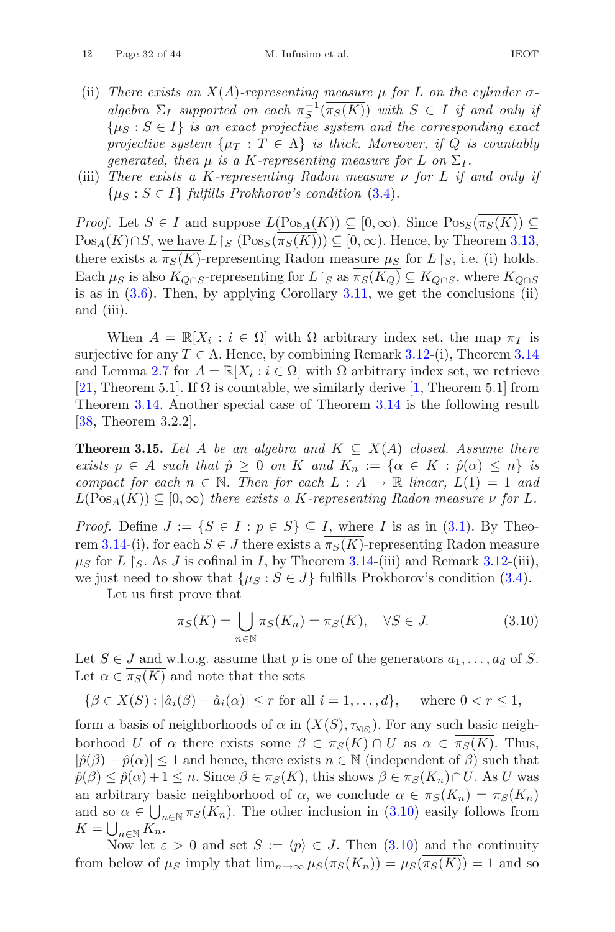- (ii) *There exists an*  $X(A)$ -representing measure  $\mu$  for L on the cylinder  $\sigma$ *algebra*  $\Sigma_I$  *supported on each*  $\pi_S^{-1}(\pi_S(K))$  *with*  $S \in I$  *if and only if*  $\{\mu_S : S \in I\}$  *is an exact projective system and the corresponding exact projective system*  $\{\mu_T : T \in \Lambda\}$  *is thick. Moreover, if* Q *is countably generated, then*  $\mu$  *is a K-representing measure for* L *on*  $\Sigma_I$ .
- (iii) *There exists a* K*-representing Radon measure* ν *for* L *if and only if*  $\{\mu_S : S \in I\}$  *fulfills Prokhorov's condition* [\(3.4\)](#page-25-0).

*Proof.* Let  $S \in I$  and suppose  $L(Pos_A(K)) \subseteq [0, \infty)$ . Since  $Pos_S(\overline{\pi_S(K)}) \subseteq$  $Pos_A(K) \cap S$ , we have  $L \upharpoonright_S (Pos_S(\pi_S(K))) \subseteq [0, \infty)$ . Hence, by Theorem [3.13,](#page-30-2) there exists a  $\pi_S(K)$ -representing Radon measure  $\mu_S$  for  $L\restriction_S$ , i.e. (i) holds. Each  $\mu_S$  is also  $K_{Q \cap S}$ -representing for  $L \upharpoonright_S$  as  $\pi_S(K_Q) \subseteq K_{Q \cap S}$ , where  $K_{Q \cap S}$ is as in  $(3.6)$ . Then, by applying Corollary [3.11,](#page-29-1) we get the conclusions (ii) and (iii).

When  $A = \mathbb{R}[X_i : i \in \Omega]$  with  $\Omega$  arbitrary index set, the map  $\pi_T$  is surjective for any  $T \in \Lambda$ . Hence, by combining Remark [3.12-](#page-29-0)(i), Theorem [3.14](#page-30-0) and Lemma [2.7](#page-22-2) for  $A = \mathbb{R}[X_i : i \in \Omega]$  with  $\Omega$  arbitrary index set, we retrieve [\[21](#page-41-0), Theorem 5.1]. If  $\Omega$  is countable, we similarly derive [\[1](#page-40-1), Theorem 5.1] from Theorem [3.14.](#page-30-0) Another special case of Theorem [3.14](#page-30-0) is the following result [\[38](#page-42-0), Theorem 3.2.2].

**Theorem 3.15.** Let A be an algebra and  $K \subseteq X(A)$  closed. Assume there *exists*  $p \in A$  *such that*  $\hat{p} \geq 0$  *on* K *and*  $K_n := \{ \alpha \in K : \hat{p}(\alpha) \leq n \}$  *is compact for each*  $n \in \mathbb{N}$ *. Then for each*  $L : A \rightarrow \mathbb{R}$  *linear,*  $L(1) = 1$  *and*  $L(Pos_A(K)) \subseteq [0, \infty)$  *there exists a K-representing Radon measure*  $\nu$  *for* L.

*Proof.* Define  $J := \{S \in I : p \in S\} \subseteq I$ , where I is as in [\(3.1\)](#page-22-1). By Theo-rem [3.14-](#page-30-0)(i), for each  $S \in J$  there exists a  $\pi_S(K)$ -representing Radon measure  $\mu_S$  for L  $\restriction_S$ . As J is cofinal in I, by Theorem [3.14-](#page-30-0)(iii) and Remark [3.12-](#page-29-0)(iii), we just need to show that  $\{\mu_S : S \in J\}$  fulfills Prokhorov's condition [\(3.4\)](#page-25-0).

Let us first prove that

<span id="page-31-0"></span>
$$
\overline{\pi_S(K)} = \bigcup_{n \in \mathbb{N}} \pi_S(K_n) = \pi_S(K), \quad \forall S \in J.
$$
\n(3.10)

Let  $S \in J$  and w.l.o.g. assume that p is one of the generators  $a_1, \ldots, a_d$  of S. Let  $\alpha \in \pi_S(K)$  and note that the sets

$$
\{\beta \in X(S) : |\hat{a}_i(\beta) - \hat{a}_i(\alpha)| \le r \text{ for all } i = 1,\dots, d\}, \text{ where } 0 < r \le 1,
$$

form a basis of neighborhoods of  $\alpha$  in  $(X(S), \tau_{X(S)})$ . For any such basic neighborhood U of  $\alpha$  there exists some  $\beta \in \pi_S(K) \cap U$  as  $\alpha \in \pi_S(K)$ . Thus,  $|\hat{p}(\beta) - \hat{p}(\alpha)| \leq 1$  and hence, there exists  $n \in \mathbb{N}$  (independent of  $\beta$ ) such that  $\hat{p}(\beta) \leq \hat{p}(\alpha) + 1 \leq n$ . Since  $\beta \in \pi_S(K)$ , this shows  $\beta \in \pi_S(K_n) \cap U$ . As U was an arbitrary basic neighborhood of  $\alpha$ , we conclude  $\alpha \in \overline{\pi_S(K_n)} = \pi_S(K_n)$ and so  $\alpha \in \bigcup_{n \in \mathbb{N}} \pi_S(K_n)$ . The other inclusion in  $(3.10)$  easily follows from  $K = \bigcup_{n \in \mathbb{N}} K_n.$ 

Now let  $\varepsilon > 0$  and set  $S := \langle p \rangle \in J$ . Then  $(3.10)$  and the continuity from below of  $\mu_S$  imply that  $\lim_{n\to\infty} \mu_S(\pi_S(K_n)) = \mu_S(\pi_S(K)) = 1$  and so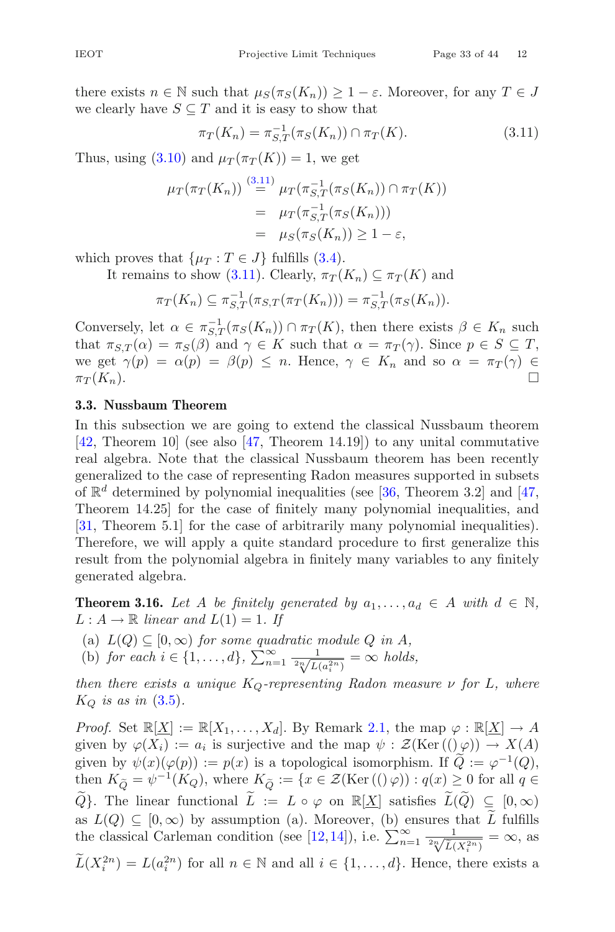there exists  $n \in \mathbb{N}$  such that  $\mu_S(\pi_S(K_n)) \geq 1 - \varepsilon$ . Moreover, for any  $T \in J$ we clearly have  $S \subseteq T$  and it is easy to show that

<span id="page-32-1"></span>
$$
\pi_T(K_n) = \pi_{S,T}^{-1}(\pi_S(K_n)) \cap \pi_T(K). \tag{3.11}
$$

Thus, using [\(3.10\)](#page-31-0) and  $\mu_T(\pi_T(K)) = 1$ , we get

$$
\mu_T(\pi_T(K_n)) \stackrel{(3.11)}{=} \mu_T(\pi_{S,T}^{-1}(\pi_S(K_n)) \cap \pi_T(K))
$$
  
= 
$$
\mu_T(\pi_{S,T}^{-1}(\pi_S(K_n)))
$$
  
= 
$$
\mu_S(\pi_S(K_n)) \ge 1 - \varepsilon,
$$

which proves that  $\{\mu_T : T \in J\}$  fulfills [\(3.4\)](#page-25-0).

It remains to show [\(3.11\)](#page-32-1). Clearly,  $\pi_T(K_n) \subseteq \pi_T(K)$  and

$$
\pi_T(K_n) \subseteq \pi_{S,T}^{-1}(\pi_{S,T}(\pi_T(K_n))) = \pi_{S,T}^{-1}(\pi_S(K_n)).
$$

Conversely, let  $\alpha \in \pi_{S,T}^{-1}(\pi_S(K_n)) \cap \pi_T(K)$ , then there exists  $\beta \in K_n$  such that  $\pi_{S,T}(\alpha) = \pi_S(\beta)$  and  $\gamma \in K$  such that  $\alpha = \pi_T(\gamma)$ . Since  $p \in S \subseteq T$ , we get  $\gamma(p) = \alpha(p) = \beta(p) \leq n$ . Hence,  $\gamma \in K_n$  and so  $\alpha = \pi_T(\gamma) \in \pi_T(K_n)$ .  $\pi_T(K_n).$ 

# <span id="page-32-0"></span>**3.3. Nussbaum Theorem**

In this subsection we are going to extend the classical Nussbaum theorem [\[42](#page-42-12), Theorem 10] (see also [\[47,](#page-42-10) Theorem 14.19]) to any unital commutative real algebra. Note that the classical Nussbaum theorem has been recently generalized to the case of representing Radon measures supported in subsets of  $\mathbb{R}^d$  determined by polynomial inequalities (see [\[36](#page-42-2), Theorem 3.2] and [\[47,](#page-42-10) Theorem 14.25] for the case of finitely many polynomial inequalities, and [\[31](#page-41-11), Theorem 5.1] for the case of arbitrarily many polynomial inequalities). Therefore, we will apply a quite standard procedure to first generalize this result from the polynomial algebra in finitely many variables to any finitely generated algebra.

<span id="page-32-2"></span>**Theorem 3.16.** Let A be finitely generated by  $a_1, \ldots, a_d \in A$  with  $d \in \mathbb{N}$ ,  $L : A \rightarrow \mathbb{R}$  *linear and*  $L(1) = 1$ *. If* 

 $(L(Q) \subseteq [0, \infty)$  *for some quadratic module Q in A,* 

(b) *for each*  $i \in \{1, ..., d\}$ ,  $\sum_{n=1}^{\infty} \frac{1}{2\sqrt[n]{L(a_i^{2n})}} = \infty$  *holds,* 

*then there exists a unique* KQ*-representing Radon measure* ν *for* L*, where*  $K_Q$  *is as in*  $(3.5)$ *.* 

*Proof.* Set  $\mathbb{R}[X] := \mathbb{R}[X_1,\ldots,X_d]$ . By Remark [2.1,](#page-20-4) the map  $\varphi : \mathbb{R}[X] \to A$ given by  $\varphi(X_i) := a_i$  is surjective and the map  $\psi : \mathcal{Z}(\text{Ker}((\psi))) \to X(A)$ given by  $\psi(x)(\varphi(p)) := p(x)$  is a topological isomorphism. If  $\widetilde{Q} := \varphi^{-1}(Q)$ , then  $K_{\tilde{O}} = \psi^{-1}(K_Q)$ , where  $K_{\tilde{O}} := \{x \in \mathcal{Z}(\text{Ker}((\varphi)) : q(x) \geq 0 \text{ for all } q \in \mathcal{Z}(\text{Ker}((\varphi)) : q(x) \geq 0 \text{ for all } x \in \mathcal{Z}(\text{Ker}((\varphi)) \}$  $\widetilde{Q}$ . The linear functional  $\widetilde{L} := L \circ \varphi$  on  $\mathbb{R}[\underline{X}]$  satisfies  $\widetilde{L}(\widetilde{Q}) \subseteq [0,\infty)$ as  $L(Q) \subseteq [0,\infty)$  by assumption (a). Moreover, (b) ensures that  $\widetilde{L}$  fulfills the classical Carleman condition (see [\[12](#page-40-15),[14\]](#page-40-16)), i.e.  $\sum_{n=1}^{\infty} \frac{1}{\sqrt[n]{\tilde{L}(X_i^{2n})}} = \infty$ , as  $\widetilde{L}(X_i^{2n}) = L(a_i^{2n})$  for all  $n \in \mathbb{N}$  and all  $i \in \{1, ..., d\}$ . Hence, there exists a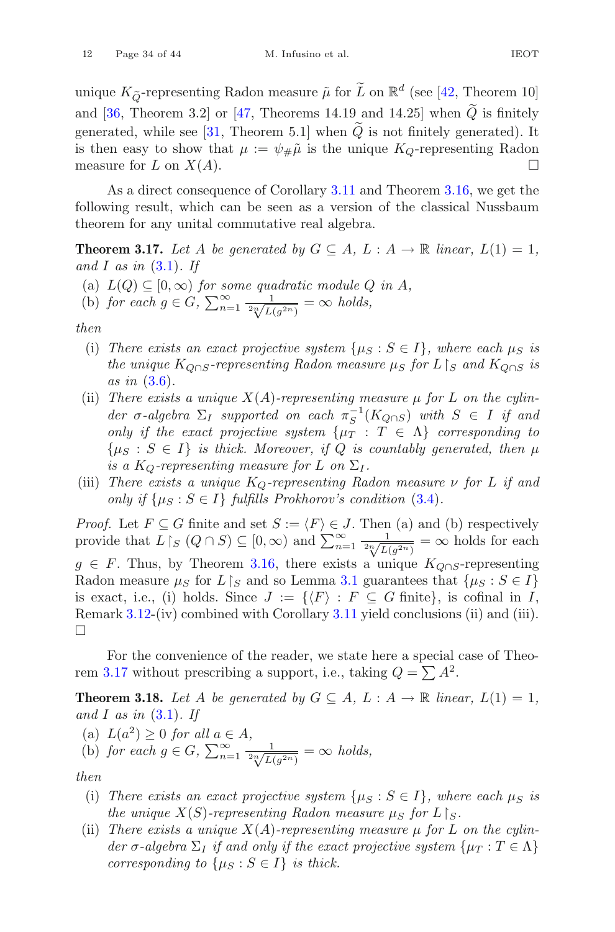unique  $K_{\tilde{Q}}$ -representing Radon measure  $\tilde{\mu}$  for  $\tilde{L}$  on  $\mathbb{R}^d$  (see [\[42](#page-42-12), Theorem 10] and [\[36](#page-42-2), Theorem 3.2] or [\[47](#page-42-10), Theorems 14.19 and 14.25] when  $\tilde{Q}$  is finitely generated, while see  $[31,$  Theorem 5.1] when  $Q$  is not finitely generated). It is then easy to show that  $\mu := \psi_{\#}\tilde{\mu}$  is the unique  $K_Q$ -representing Radon measure for  $L$  on  $X(A)$ measure for L on  $X(A)$ .

As a direct consequence of Corollary [3.11](#page-29-1) and Theorem [3.16,](#page-32-2) we get the following result, which can be seen as a version of the classical Nussbaum theorem for any unital commutative real algebra.

<span id="page-33-1"></span>**Theorem 3.17.** Let A be generated by  $G \subseteq A$ ,  $L : A \rightarrow \mathbb{R}$  linear,  $L(1) = 1$ , *and* I *as in* [\(3.1\)](#page-22-1)*. If*

- $L(Q) \subseteq [0, \infty)$  *for some quadratic module Q in A,*
- (b) for each  $g \in G$ ,  $\sum_{n=1}^{\infty} \frac{1}{2\sqrt[n]{L(g^{2n})}} = \infty$  holds,

*then*

- (i) There exists an exact projective system  $\{\mu_S : S \in I\}$ , where each  $\mu_S$  is *the unique*  $K_{Q \cap S}$ -representing Radon measure  $\mu_S$  for  $L \restriction_S$  and  $K_{Q \cap S}$  is *as in* [\(3.6\)](#page-26-4)*.*
- (ii) *There exists a unique*  $X(A)$ -representing measure  $\mu$  for  $L$  on the cylinder  $\sigma$ -algebra  $\Sigma_I$  supported on each  $\pi_S^{-1}(K_{Q\cap S})$  with  $S \in I$  if and *only if the exact projective system*  $\{\mu_T : T \in \Lambda\}$  *corresponding to*  $\{\mu_S : S \in I\}$  *is thick. Moreover, if* Q *is countably generated, then*  $\mu$ *is a*  $K_Q$ -representing measure for L on  $\Sigma_I$ .
- (iii) *There exists a unique*  $K_Q$ -representing Radon measure  $\nu$  for L if and *only if*  $\{\mu_S : S \in I\}$  *fulfills Prokhorov's condition* [\(3.4\)](#page-25-0)*.*

*Proof.* Let  $F \subseteq G$  finite and set  $S := \langle F \rangle \in J$ . Then (a) and (b) respectively provide that  $L\upharpoonright_S (Q\cap S) \subseteq [0,\infty)$  and  $\sum_{n=1}^{\infty} \frac{1}{2^n \sqrt{L(g^{2n})}} = \infty$  holds for each  $g \in F$ . Thus, by Theorem [3.16,](#page-32-2) there exists a unique  $K_{Q \cap S}$ -representing Radon measure  $\mu_S$  for  $L\upharpoonright_S$  and so Lemma [3.1](#page-23-1) guarantees that  $\{\mu_S : S \in I\}$ is exact, i.e., (i) holds. Since  $J := \{ \langle F \rangle : F \subseteq G \text{ finite} \},\$ is cofinal in I, Remark [3.12-](#page-29-0)(iv) combined with Corollary [3.11](#page-29-1) yield conclusions (ii) and (iii).  $\Box$ 

<span id="page-33-0"></span>For the convenience of the reader, we state here a special case of Theo-rem [3.17](#page-33-1) without prescribing a support, i.e., taking  $Q = \sum A^2$ .

**Theorem 3.18.** Let A be generated by  $G \subseteq A$ ,  $L : A \rightarrow \mathbb{R}$  linear,  $L(1) = 1$ , *and* I *as in* [\(3.1\)](#page-22-1)*. If*

(a)  $L(a^2) \geq 0$  *for all*  $a \in A$ ,

(b) for each  $g \in G$ ,  $\sum_{n=1}^{\infty} \frac{1}{2\sqrt[n]{L(g^{2n})}} = \infty$  holds,

*then*

- (i) There exists an exact projective system  $\{\mu_S : S \in I\}$ , where each  $\mu_S$  is *the unique*  $X(S)$ -representing Radon measure  $\mu_S$  for  $L\, \mid_S$ .
- (ii) *There exists a unique*  $X(A)$ -representing measure  $\mu$  for L on the cylin $der \sigma$ *-algebra*  $\Sigma_I$  *if and only if the exact projective system*  $\{\mu_T : T \in \Lambda\}$ *corresponding to*  $\{\mu_S : S \in I\}$  *is thick.*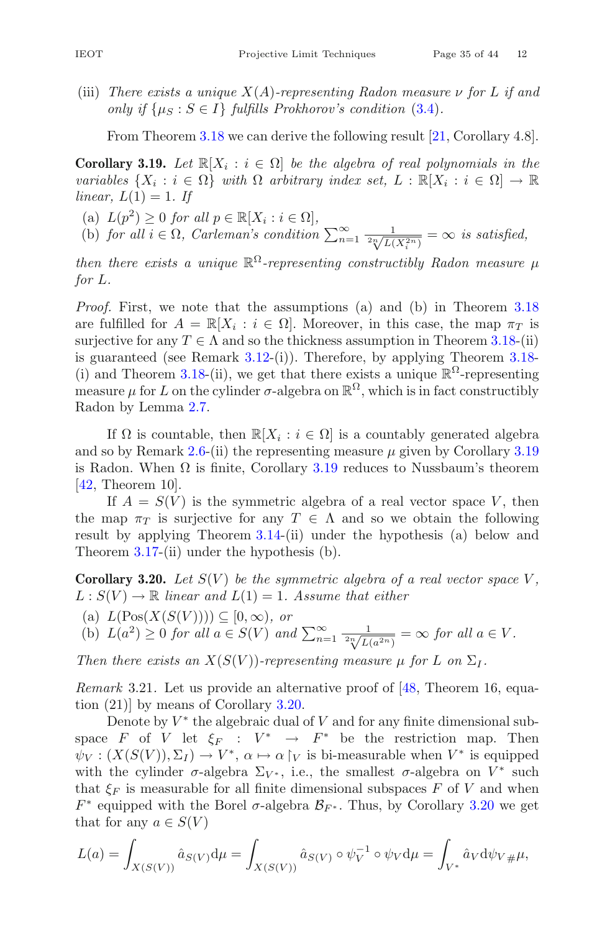(iii) *There exists a unique* X(A)*-representing Radon measure* ν *for* L *if and only if*  $\{\mu_S : S \in I\}$  *fulfills Prokhorov's condition* [\(3.4\)](#page-25-0).

From Theorem [3.18](#page-33-0) we can derive the following result [\[21,](#page-41-0) Corollary 4.8].

<span id="page-34-0"></span>**Corollary 3.19.** *Let*  $\mathbb{R}[X_i : i \in \Omega]$  *be the algebra of real polynomials in the variables*  $\{X_i : i \in \Omega\}$  *with*  $\Omega$  *arbitrary index set,*  $L : \mathbb{R}[X_i : i \in \Omega] \to \mathbb{R}$ *linear,*  $L(1) = 1$ *. If* 

- (a)  $L(p^2) \geq 0$  *for all*  $p \in \mathbb{R}[X_i : i \in \Omega]$ ,
- (b) *for all*  $i \in \Omega$ , *Carleman's condition*  $\sum_{n=1}^{\infty} \frac{1}{2\sqrt[n]{L(X_i^{2n})}} = \infty$  *is satisfied,*

*then there exists a unique*  $\mathbb{R}^{\Omega}$ -representing constructibly Radon measure  $\mu$ *for* L*.*

*Proof.* First, we note that the assumptions (a) and (b) in Theorem [3.18](#page-33-0) are fulfilled for  $A = \mathbb{R}[X_i : i \in \Omega]$ . Moreover, in this case, the map  $\pi_T$  is surjective for any  $T \in \Lambda$  and so the thickness assumption in Theorem [3.18-](#page-33-0)(ii) is guaranteed (see Remark  $3.12$ -(i)). Therefore, by applying Theorem  $3.18$ -(i) and Theorem [3.18-](#page-33-0)(ii), we get that there exists a unique  $\mathbb{R}^{\Omega}$ -representing measure  $\mu$  for L on the cylinder  $\sigma$ -algebra on  $\mathbb{R}^{\Omega}$ , which is in fact constructibly Radon by Lemma [2.7.](#page-22-2)

If  $\Omega$  is countable, then  $\mathbb{R}[X_i : i \in \Omega]$  is a countably generated algebra and so by Remark [2.6-](#page-21-3)(ii) the representing measure  $\mu$  given by Corollary [3.19](#page-34-0) is Radon. When  $\Omega$  is finite, Corollary [3.19](#page-34-0) reduces to Nussbaum's theorem [\[42](#page-42-12), Theorem 10].

If  $A = S(V)$  is the symmetric algebra of a real vector space V, then the map  $\pi_T$  is surjective for any  $T \in \Lambda$  and so we obtain the following result by applying Theorem [3.14-](#page-30-0)(ii) under the hypothesis (a) below and Theorem [3.17-](#page-33-1)(ii) under the hypothesis (b).

<span id="page-34-1"></span>**Corollary 3.20.** Let  $S(V)$  be the symmetric algebra of a real vector space V,  $L: S(V) \to \mathbb{R}$  *linear and*  $L(1) = 1$ *. Assume that either* 

- $(a) L(Pos(X(S(V)))) \subseteq [0, \infty)$ , or
- (b)  $L(a^2) \ge 0$  *for all*  $a \in S(V)$  *and*  $\sum_{n=1}^{\infty} \frac{1}{\sqrt[n]{L(a^{2n})}} = \infty$  *for all*  $a \in V$ *.*

*Then there exists an*  $X(S(V))$ *-representing measure*  $\mu$  *for*  $L$  *on*  $\Sigma_I$ *.* 

*Remark* 3.21*.* Let us provide an alternative proof of [\[48,](#page-42-1) Theorem 16, equation (21)] by means of Corollary [3.20.](#page-34-1)

Denote by  $V^*$  the algebraic dual of V and for any finite dimensional subspace F of V let  $\xi_F : V^* \to F^*$  be the restriction map. Then  $\psi_V: (X(S(V)), \Sigma_I) \to V^*, \ \alpha \mapsto \alpha \upharpoonright_V$  is bi-measurable when  $V^*$  is equipped with the cylinder  $\sigma$ -algebra  $\Sigma_{V^*}$ , i.e., the smallest  $\sigma$ -algebra on  $V^*$  such that  $\xi_F$  is measurable for all finite dimensional subspaces F of V and when  $F^*$  equipped with the Borel  $\sigma$ -algebra  $\mathcal{B}_{F^*}$ . Thus, by Corollary [3.20](#page-34-1) we get that for any  $a \in S(V)$ 

$$
L(a) = \int_{X(S(V))} \hat{a}_{S(V)} d\mu = \int_{X(S(V))} \hat{a}_{S(V)} \circ \psi_V^{-1} \circ \psi_V d\mu = \int_{V^*} \hat{a}_V d\psi_{V} \# \mu,
$$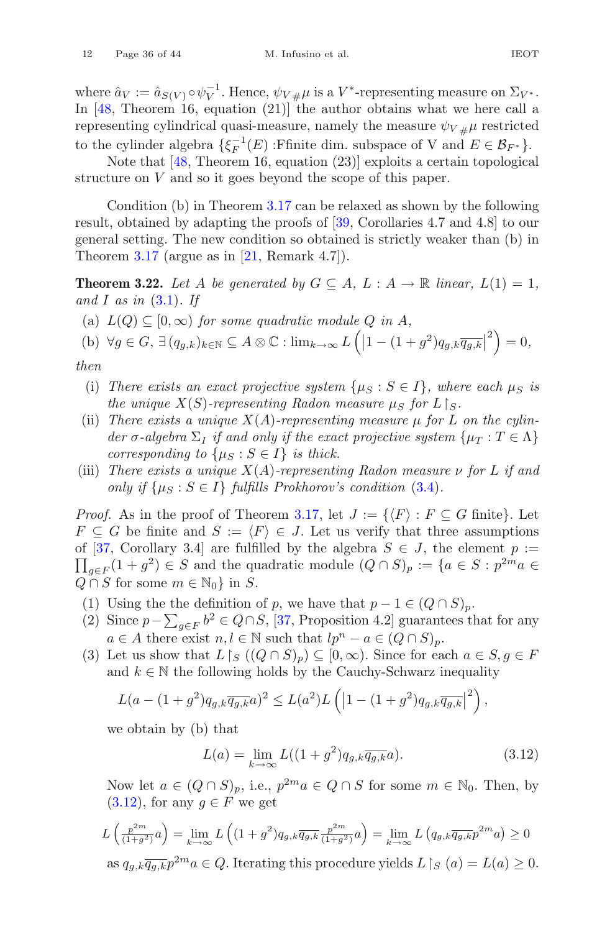where  $\hat{a}_V := \hat{a}_{S(V)} \circ \psi_V^{-1}$ . Hence,  $\psi_V \# \mu$  is a  $V^*$ -representing measure on  $\Sigma_{V^*}$ .<br>In [48] Theorem 16, equation (21)] the author obtains what we here call a In [\[48,](#page-42-1) Theorem 16, equation (21)] the author obtains what we here call a representing cylindrical quasi-measure, namely the measure  $\psi_{V\mu\mu}$  restricted to the cylinder algebra  $\{\xi_F^{-1}(E) : \text{Ffinite dim. subspace of V and } E \in \mathcal{B}_{F^*}\}.$ 

Note that [\[48](#page-42-1), Theorem 16, equation (23)] exploits a certain topological structure on V and so it goes beyond the scope of this paper.

Condition (b) in Theorem [3.17](#page-33-1) can be relaxed as shown by the following result, obtained by adapting the proofs of [\[39](#page-42-13), Corollaries 4.7 and 4.8] to our general setting. The new condition so obtained is strictly weaker than (b) in Theorem  $3.17$  (argue as in [\[21](#page-41-0), Remark 4.7]).

<span id="page-35-1"></span>**Theorem 3.22.** Let A be generated by  $G \subseteq A$ ,  $L : A \rightarrow \mathbb{R}$  linear,  $L(1) = 1$ , *and* I *as in* [\(3.1\)](#page-22-1)*. If*

(a)  $L(Q) \subset [0, \infty)$  *for some quadratic module Q in A,* 

(b) 
$$
\forall g \in G, \exists (q_{g,k})_{k \in \mathbb{N}} \subseteq A \otimes \mathbb{C} : \lim_{k \to \infty} L\left( \left| 1 - (1+g^2) q_{g,k} \overline{q_{g,k}} \right|^2 \right) = 0,
$$

*then*

- (i) There exists an exact projective system  $\{\mu_S : S \in I\}$ , where each  $\mu_S$  is *the unique*  $X(S)$ -representing Radon measure  $\mu_S$  for  $L\, \mid_S$ .
- (ii) *There exists a unique*  $X(A)$ -representing measure  $\mu$  for  $L$  on the cylin*der*  $\sigma$ -algebra  $\Sigma_I$  *if and only if the exact projective system*  $\{\mu_T : T \in \Lambda\}$ *corresponding to*  $\{\mu_S : S \in I\}$  *is thick.*
- (iii) *There exists a unique* X(A)*-representing Radon measure* ν *for* L *if and only if*  $\{\mu_S : S \in I\}$  *fulfills Prokhorov's condition* [\(3.4\)](#page-25-0).

*Proof.* As in the proof of Theorem [3.17,](#page-33-1) let  $J := \{ \langle F \rangle : F \subseteq G \text{ finite} \}.$  Let  $F \subseteq G$  be finite and  $S := \langle F \rangle \in J$ . Let us verify that three assumptions of [[37,](#page-42-14) Corollary 3.4] are fulfilled by the algebra  $S \in J$ , the element  $p :=$  $\prod_{g \in F} (1 + g^2) \in S$  and the quadratic module  $(Q \cap S)_p := \{a \in S : p^{2m}a \in S\}$  $Q \cap S$  for some  $m \in \mathbb{N}_0$  in S.

- (1) Using the the definition of p, we have that  $p 1 \in (Q \cap S)_p$ .
- (2) Since  $p \sum_{g \in F} b^2 \in Q \cap S$ , [\[37](#page-42-14), Proposition 4.2] guarantees that for any  $a \in A$  there exist  $n, l \in \mathbb{N}$  such that  $lp^n - a \in (Q \cap S)_p$ .
- (3) Let us show that  $L\upharpoonright_S ((Q\cap S)_p) \subseteq [0,\infty)$ . Since for each  $a\in S, g\in F$ and  $k \in \mathbb{N}$  the following holds by the Cauchy-Schwarz inequality

$$
L(a - (1 + g^2)q_{g,k}\overline{q_{g,k}}a)^2 \le L(a^2)L\left(|1 - (1 + g^2)q_{g,k}\overline{q_{g,k}}|^2\right),
$$

we obtain by (b) that

<span id="page-35-0"></span>
$$
L(a) = \lim_{k \to \infty} L((1+g^2)q_{g,k}\overline{q_{g,k}}a). \tag{3.12}
$$

Now let  $a \in (Q \cap S)_p$ , i.e.,  $p^{2m}a \in Q \cap S$  for some  $m \in \mathbb{N}_0$ . Then, by  $(3.12)$ , for any  $g \in F$  we get

$$
L\left(\frac{p^{2m}}{(1+g^2)}a\right) = \lim_{k \to \infty} L\left((1+g^2)q_{g,k}\overline{q_{g,k}}\frac{p^{2m}}{(1+g^2)}a\right) = \lim_{k \to \infty} L\left(q_{g,k}\overline{q_{g,k}}p^{2m}a\right) \ge 0
$$
  
as  $q_{g,k}\overline{q_{g,k}}p^{2m}a \in Q$ . Iterating this procedure yields  $L\restriction_{S}(a) = L(a) \ge 0$ .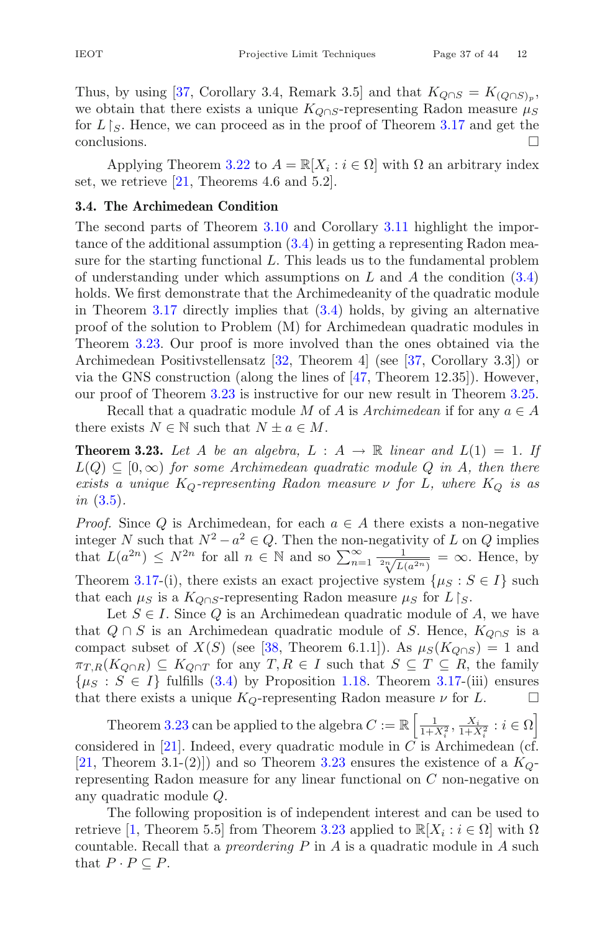we obtain that there exists a unique  $K_{Q\cap S}$ -representing Radon measure  $\mu_S$ for  $L \upharpoonright_S$ . Hence, we can proceed as in the proof of Theorem [3.17](#page-33-1) and get the conclusions.

Applying Theorem [3.22](#page-35-1) to  $A = \mathbb{R}[X_i : i \in \Omega]$  with  $\Omega$  an arbitrary index set, we retrieve [\[21](#page-41-0), Theorems 4.6 and 5.2].

# <span id="page-36-1"></span>**3.4. The Archimedean Condition**

The second parts of Theorem [3.10](#page-28-1) and Corollary [3.11](#page-29-1) highlight the importance of the additional assumption [\(3.4\)](#page-25-0) in getting a representing Radon measure for the starting functional L. This leads us to the fundamental problem of understanding under which assumptions on  $L$  and  $A$  the condition  $(3.4)$ holds. We first demonstrate that the Archimedeanity of the quadratic module in Theorem [3.17](#page-33-1) directly implies that [\(3.4\)](#page-25-0) holds, by giving an alternative proof of the solution to Problem (M) for Archimedean quadratic modules in Theorem [3.23.](#page-36-0) Our proof is more involved than the ones obtained via the Archimedean Positivstellensatz [\[32,](#page-41-5) Theorem 4] (see [\[37](#page-42-14), Corollary 3.3]) or via the GNS construction (along the lines of [\[47](#page-42-10), Theorem 12.35]). However, our proof of Theorem [3.23](#page-36-0) is instructive for our new result in Theorem [3.25.](#page-37-0)

<span id="page-36-0"></span>Recall that a quadratic module M of A is  $Archimedean$  if for any  $a \in A$ there exists  $N \in \mathbb{N}$  such that  $N \pm a \in M$ .

**Theorem 3.23.** Let A be an algebra,  $L : A \rightarrow \mathbb{R}$  linear and  $L(1) = 1$ . If  $L(Q) \subseteq [0, \infty)$  *for some Archimedean quadratic module* Q *in* A, then there *exists a unique*  $K_Q$ -representing Radon measure  $\nu$  for L, where  $K_Q$  is as *in* [\(3.5\)](#page-25-2)*.*

*Proof.* Since Q is Archimedean, for each  $a \in A$  there exists a non-negative integer N such that  $N^2 - a^2 \in Q$ . Then the non-negativity of L on Q implies that  $L(a^{2n}) \leq N^{2n}$  for all  $n \in \mathbb{N}$  and so  $\sum_{n=1}^{\infty} \frac{1}{\sqrt[n]{L(a^{2n})}} = \infty$ . Hence, by Theorem [3.17-](#page-33-1)(i), there exists an exact projective system  $\{\mu_S : S \in I\}$  such that each  $\mu_S$  is a  $K_{Q \cap S}$ -representing Radon measure  $\mu_S$  for  $L \upharpoonright_S$ .

Let  $S \in I$ . Since Q is an Archimedean quadratic module of A, we have that  $Q \cap S$  is an Archimedean quadratic module of S. Hence,  $K_{Q \cap S}$  is a compact subset of  $X(S)$  (see [\[38](#page-42-0), Theorem 6.1.1]). As  $\mu_S(K_{Q \cap S}) = 1$  and  $\pi_{T,R}(K_{Q\cap R}) \subseteq K_{Q\cap T}$  for any  $T, R \in I$  such that  $S \subseteq T \subseteq R$ , the family  $\{\mu_S : S \in I\}$  fulfills [\(3.4\)](#page-25-0) by Proposition [1.18.](#page-10-2) Theorem [3.17-](#page-33-1)(iii) ensures that there exists a unique  $K_O$ -representing Radon measure  $\nu$  for  $L$ . that there exists a unique  $K_Q$ -representing Radon measure  $\nu$  for L.

Theorem [3.23](#page-36-0) can be applied to the algebra  $C := \mathbb{R} \left[ \frac{1}{1 + X_i^2}, \frac{X_i}{1 + X_i^2} : i \in \Omega \right]$ considered in  $[21]$  $[21]$ . Indeed, every quadratic module in C is Archimedean (cf. [\[21](#page-41-0), Theorem 3.1-(2)]) and so Theorem [3.23](#page-36-0) ensures the existence of a  $K_Q$ representing Radon measure for any linear functional on C non-negative on any quadratic module Q.

The following proposition is of independent interest and can be used to retrieve [\[1](#page-40-1), Theorem 5.5] from Theorem [3.23](#page-36-0) applied to  $\mathbb{R}[X_i : i \in \Omega]$  with  $\Omega$ countable. Recall that a *preordering* P in A is a quadratic module in A such that  $P \cdot P \subseteq P$ .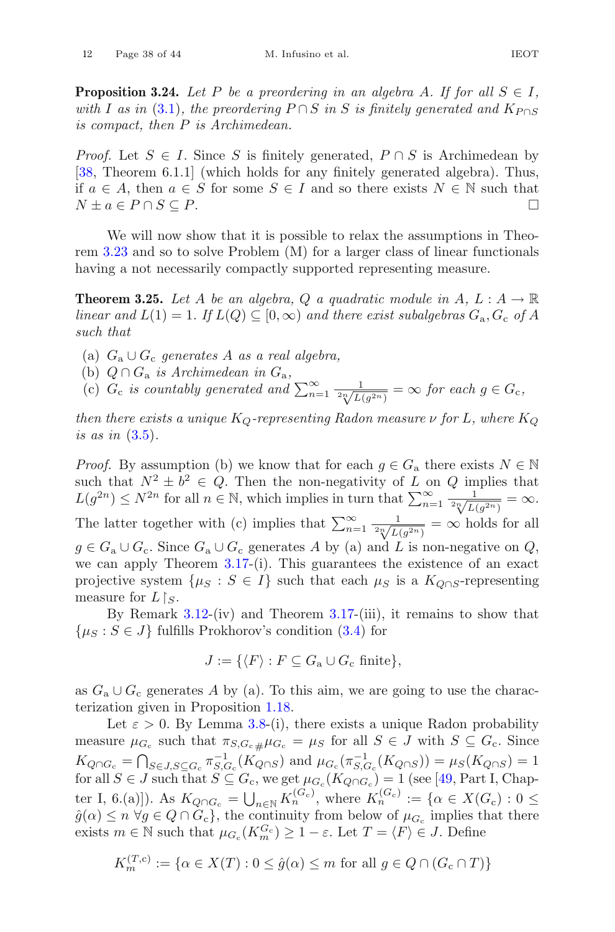**Proposition 3.24.** *Let* P *be a preordering in an algebra A. If for all*  $S \in I$ *, with* I as in [\(3.1\)](#page-22-1), the preordering  $P \cap S$  in S is finitely generated and  $K_{P \cap S}$ *is compact, then* P *is Archimedean.*

*Proof.* Let  $S \in I$ . Since S is finitely generated,  $P \cap S$  is Archimedean by [\[38](#page-42-0), Theorem 6.1.1] (which holds for any finitely generated algebra). Thus, if  $a \in A$ , then  $a \in S$  for some  $S \in I$  and so there exists  $N \in \mathbb{N}$  such that  $N + a \in P \cap S \subseteq P$ . □  $N \pm a \in P \cap S \subseteq P$ .

We will now show that it is possible to relax the assumptions in Theorem [3.23](#page-36-0) and so to solve Problem (M) for a larger class of linear functionals having a not necessarily compactly supported representing measure.

<span id="page-37-0"></span>**Theorem 3.25.** Let A be an algebra, Q a quadratic module in A,  $L: A \rightarrow \mathbb{R}$ *linear and*  $L(1) = 1$ *. If*  $L(Q) \subseteq [0, \infty)$  *and there exist subalgebras*  $G_a$ ,  $G_c$  *of* A *such that*

(a) <sup>G</sup>a <sup>∪</sup> <sup>G</sup>c *generates* <sup>A</sup> *as a real algebra,*

(b)  $Q \cap G_a$  *is Archimedean in*  $G_a$ *,* 

(c)  $G_c$  *is countably generated and*  $\sum_{n=1}^{\infty} \frac{1}{\sqrt[n]{L(g^{2n})}} = \infty$  *for each*  $g \in G_c$ *,* 

*then there exists a unique*  $K_{\mathcal{O}}$ -representing Radon measure  $\nu$  for L, where  $K_{\mathcal{O}}$ *is as in* [\(3.5\)](#page-25-2)*.*

*Proof.* By assumption (b) we know that for each  $g \in G_a$  there exists  $N \in \mathbb{N}$ such that  $N^2 \pm \tilde{b}^2 \in \tilde{Q}$ . Then the non-negativity of L on Q implies that  $L(g^{2n}) \leq N^{2n}$  for all  $n \in \mathbb{N}$ , which implies in turn that  $\sum_{n=1}^{\infty} \frac{1}{\sqrt[n]{L(g^{2n})}} = \infty$ . The latter together with (c) implies that  $\sum_{n=1}^{\infty} \frac{1}{2^n L(g^{2n})} = \infty$  holds for all<br> $\sum_{n=1}^{\infty} \frac{1}{2^n L(g^{2n})} = \infty$  holds for all  $g \in G_a \cup G_c$ . Since  $G_a \cup G_c$  generates A by (a) and L is non-negative on Q, we can apply Theorem [3.17-](#page-33-1)(i). This guarantees the existence of an exact projective system  $\{\mu_S : S \in I\}$  such that each  $\mu_S$  is a  $K_{O \cap S}$ -representing measure for  $L \upharpoonright_S$ .

By Remark [3.12-](#page-29-0)(iv) and Theorem [3.17-](#page-33-1)(iii), it remains to show that  $\{\mu_S : S \in J\}$  fulfills Prokhorov's condition [\(3.4\)](#page-25-0) for

$$
J := \{ \langle F \rangle : F \subseteq G_{\mathbf{a}} \cup G_{\mathbf{c}} \text{ finite} \},
$$

as  $G_a \cup G_c$  generates A by (a). To this aim, we are going to use the characterization given in Proposition [1.18.](#page-10-2)

Let  $\varepsilon > 0$ . By Lemma [3.8-](#page-27-3)(i), there exists a unique Radon probability measure  $\mu_{G_c}$  such that  $\pi_{S,G_c\mu}\mu_{G_c} = \mu_S$  for all  $S \in J$  with  $S \subseteq G_c$ . Since  $K_{Q\cap G_c} = \bigcap_{S \in J, S \subseteq G_c} \pi_{S, G_c}^{-1}(K_{Q\cap S})$  and  $\mu_{G_c}(\pi_{S, G_c}^{-1}(K_{Q\cap S})) = \mu_S(K_{Q\cap S}) = 1$ for all  $S \in J$  such that  $S \subseteq G_c$ , we get  $\mu_{G_c}(K_{Q \cap G_c}) = 1$  (see [\[49](#page-42-5), Part I, Chapter I, 6.(a)]). As  $K_{Q \cap G_c} = \bigcup_{n \in \mathbb{N}} K_n^{(G_c)}$ , where  $K_n^{(G_c)} := \{ \alpha \in X(G_c) : 0 \leq$  $\hat{g}(\alpha) \leq n \,\forall g \in Q \cap G_c$ , the continuity from below of  $\mu_{G_c}$  implies that there exists  $m \in \mathbb{N}$  such that  $\mu_{G_c}(K_m^{G_c}) \geq 1 - \varepsilon$ . Let  $T = \langle F \rangle \in J$ . Define

$$
K_m^{(T,c)} := \{ \alpha \in X(T) : 0 \le \hat{g}(\alpha) \le m \text{ for all } g \in Q \cap (G_c \cap T) \}
$$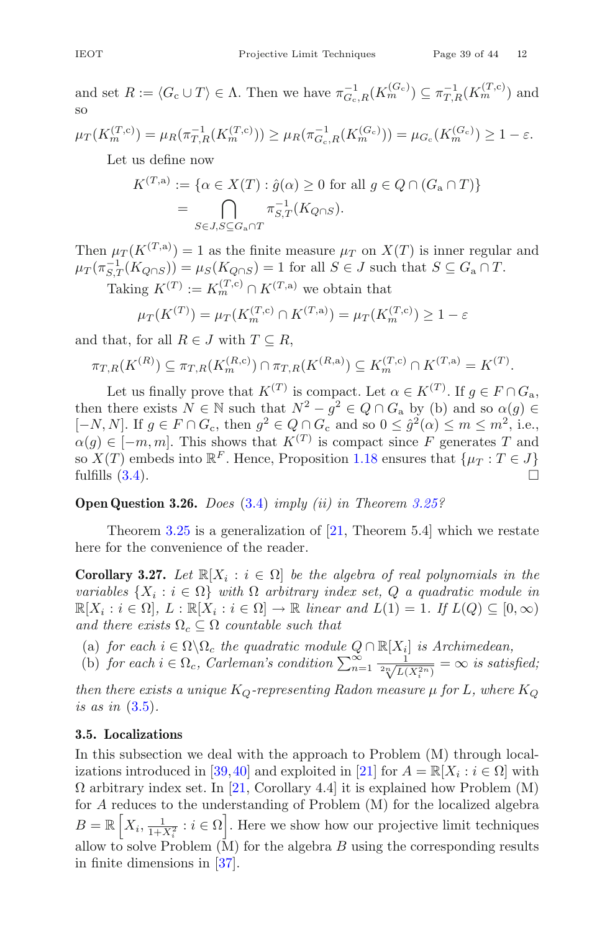and set  $R := \langle G_c \cup T \rangle \in \Lambda$ . Then we have  $\pi_{G_c,R}^{-1}(K_m^{(G_c)}) \subseteq \pi_{T,R}^{-1}(K_m^{(T,c)})$  and so

$$
\mu_T(K_m^{(T,c)}) = \mu_R(\pi_{T,R}^{-1}(K_m^{(T,c)})) \ge \mu_R(\pi_{G_c,R}^{-1}(K_m^{(G_c)})) = \mu_{G_c}(K_m^{(G_c)}) \ge 1 - \varepsilon.
$$

Let us define now

$$
K^{(T,a)} := \{ \alpha \in X(T) : \hat{g}(\alpha) \ge 0 \text{ for all } g \in Q \cap (G_a \cap T) \}
$$

$$
= \bigcap_{S \in J, S \subseteq G_a \cap T} \pi_{S,T}^{-1}(K_{Q \cap S}).
$$

Then  $\mu_T(K^{(T,a)}) = 1$  as the finite measure  $\mu_T$  on  $X(T)$  is inner regular and  $\mu_T(\pi_{S,T}^{-1}(K_{Q\cap S})) = \mu_S(K_{Q\cap S}) = 1$  for all  $S \in J$  such that  $S \subseteq G_a \cap T$ .

Taking  $K^{(T)} := K_m^{(T,c)} \cap K^{(T,a)}$  we obtain that

$$
\mu_T(K^{(T)}) = \mu_T(K_m^{(T,c)} \cap K^{(T,a)}) = \mu_T(K_m^{(T,c)}) \ge 1 - \varepsilon
$$

and that, for all  $R \in J$  with  $T \subseteq R$ ,

$$
\pi_{T,R}(K^{(R)}) \subseteq \pi_{T,R}(K_m^{(R,c)}) \cap \pi_{T,R}(K^{(R,a)}) \subseteq K_m^{(T,c)} \cap K^{(T,a)} = K^{(T)}.
$$

Let us finally prove that  $K^{(T)}$  is compact. Let  $\alpha \in K^{(T)}$ . If  $g \in F \cap G_{\mathbf{a}}$ , then there exists  $N \in \mathbb{N}$  such that  $N^2 - g^2 \in Q \cap G_a$  by (b) and so  $\alpha(g) \in$  $[-N, N]$ . If  $g \in F \cap G_c$ , then  $g^2 \in Q \cap G_c$  and so  $0 \leq \hat{g}^2(\alpha) \leq m \leq m^2$ , i.e.,  $\alpha(q) \in [-m, m]$ . This shows that  $K^{(T)}$  is compact since F generates T and so  $X(T)$  embeds into  $\mathbb{R}^F$ . Hence, Proposition [1.18](#page-10-2) ensures that  $\{\mu_T : T \in J\}$  fulfills (3.4). fulfills  $(3.4)$ .

### **Open Question 3.26.** *Does* [\(3.4\)](#page-25-0) *imply (ii) in Theorem [3.25?](#page-37-0)*

Theorem  $3.25$  is a generalization of  $[21,$  Theorem  $5.4]$  which we restate here for the convenience of the reader.

**Corollary 3.27.** *Let*  $\mathbb{R}[X_i : i \in \Omega]$  *be the algebra of real polynomials in the variables*  $\{X_i : i \in \Omega\}$  *with*  $\Omega$  *arbitrary index set,*  $Q$  *a quadratic module in*  $\mathbb{R}[X_i : i \in \Omega], L : \mathbb{R}[X_i : i \in \Omega] \to \mathbb{R}$  *linear and*  $L(1) = 1$ *. If*  $L(Q) \subseteq [0, \infty)$ *and there exists*  $\Omega_c \subseteq \Omega$  *countable such that* 

- (a) *for each*  $i \in \Omega \backslash \Omega_c$  *the quadratic module*  $Q \cap \mathbb{R}[X_i]$  *is Archimedean,*
- (b) *for each*  $i \in \Omega_c$ , *Carleman's condition*  $\sum_{n=1}^{\infty} \frac{1}{2\sqrt[n]{L(X_i^{2n})}} = \infty$  *is satisfied*;

*then there exists a unique*  $K_Q$ -representing Radon measure  $\mu$  for L, where  $K_Q$ *is as in* [\(3.5\)](#page-25-2)*.*

#### <span id="page-38-0"></span>**3.5. Localizations**

<span id="page-38-1"></span>In this subsection we deal with the approach to Problem (M) through local-izations introduced in [\[39,](#page-42-13)[40](#page-42-15)] and exploited in [\[21\]](#page-41-0) for  $A = \mathbb{R}[X_i : i \in \Omega]$  with  $\Omega$  arbitrary index set. In [\[21,](#page-41-0) Corollary 4.4] it is explained how Problem (M) for A reduces to the understanding of Problem (M) for the localized algebra  $B = \mathbb{R} \left[ X_i, \frac{1}{1+X_i^2} : i \in \Omega \right]$ . Here we show how our projective limit techniques allow to solve Problem  $(M)$  for the algebra  $B$  using the corresponding results in finite dimensions in [\[37](#page-42-14)].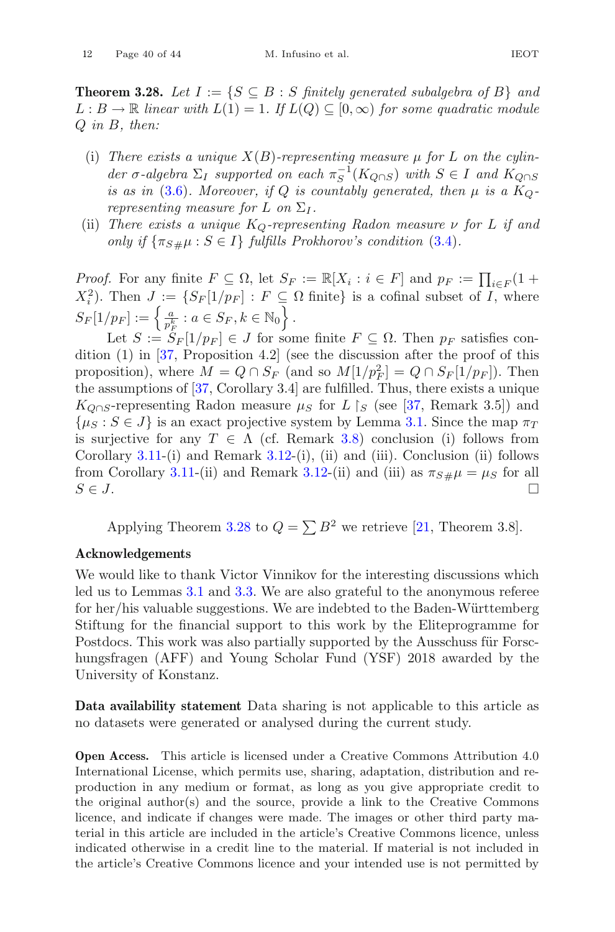**Theorem 3.28.** *Let*  $I := \{ S \subseteq B : S \text{ finitely generated subalgebra of } B \}$  and  $L : B \to \mathbb{R}$  *linear with*  $L(1) = 1$ *. If*  $L(Q) ⊆ [0, ∞)$  *for some quadratic module* Q *in* B*, then:*

- (i) *There exists a unique*  $X(B)$ -representing measure  $\mu$  for L on the cylin $der \sigma$ -algebra  $\Sigma_I$  *supported on each*  $\pi_S^{-1}(K_{Q\cap S})$  *with*  $S \in I$  *and*  $K_{Q\cap S}$ *is as in* [\(3.6\)](#page-26-4). Moreover, if Q *is countably generated, then*  $\mu$  *is a*  $K_Q$ *representing measure for* L *on*  $\Sigma_I$ .
- (ii) *There exists a unique*  $K_Q$ -representing Radon measure  $\nu$  for L if and *only if*  $\{\pi_{S\#}\mu : S \in I\}$  *fulfills Prokhorov's condition* [\(3.4\)](#page-25-0)*.*

*Proof.* For any finite  $F \subseteq \Omega$ , let  $S_F := \mathbb{R}[X_i : i \in F]$  and  $p_F := \prod_{i \in F} (1 + \sum_{i \in F}^2)$  $(X_i^2)$ . Then  $J := \{ S_F[1/p_F] : F \subseteq \Omega \text{ finite} \}$  is a cofinal subset of I, where  $S_F[1/p_F] := \left\{ \frac{a}{p_F^k} : a \in S_F, k \in \mathbb{N}_0 \right\}.$ 

Let  $S := S_F[1/p_F] \in J$  for some finite  $F \subseteq \Omega$ . Then  $p_F$  satisfies condition (1) in [\[37](#page-42-14), Proposition 4.2] (see the discussion after the proof of this proposition), where  $M = Q \cap S_F$  (and so  $M[1/p_F] = Q \cap S_F[1/p_F]$ ). Then the assumptions of [\[37](#page-42-14), Corollary 3.4] are fulfilled. Thus, there exists a unique  $K_{Q\cap S}$ -representing Radon measure  $\mu_S$  for  $L \restriction_S$  (see [\[37,](#page-42-14) Remark 3.5]) and  $\{\mu_S : S \in J\}$  is an exact projective system by Lemma [3.1.](#page-23-1) Since the map  $\pi_T$ is surjective for any  $T \in \Lambda$  (cf. Remark [3.8\)](#page-27-3) conclusion (i) follows from Corollary [3.11-](#page-29-1)(i) and Remark [3.12-](#page-29-0)(i), (ii) and (iii). Conclusion (ii) follows from Corollary [3.11-](#page-29-1)(ii) and Remark [3.12-](#page-29-0)(ii) and (iii) as  $\pi_{S\#}\mu = \mu_S$  for all  $S \in J$ .  $S \in J$ .

Applying Theorem [3.28](#page-38-1) to  $Q = \sum B^2$  we retrieve [\[21](#page-41-0), Theorem 3.8].

# **Acknowledgements**

We would like to thank Victor Vinnikov for the interesting discussions which led us to Lemmas [3.1](#page-23-1) and [3.3.](#page-25-1) We are also grateful to the anonymous referee for her/his valuable suggestions. We are indebted to the Baden-Württemberg Stiftung for the financial support to this work by the Eliteprogramme for Postdocs. This work was also partially supported by the Ausschuss für Forschungsfragen (AFF) and Young Scholar Fund (YSF) 2018 awarded by the University of Konstanz.

**Data availability statement** Data sharing is not applicable to this article as no datasets were generated or analysed during the current study.

**Open Access.** This article is licensed under a Creative Commons Attribution 4.0 International License, which permits use, sharing, adaptation, distribution and reproduction in any medium or format, as long as you give appropriate credit to the original author(s) and the source, provide a link to the Creative Commons licence, and indicate if changes were made. The images or other third party material in this article are included in the article's Creative Commons licence, unless indicated otherwise in a credit line to the material. If material is not included in the article's Creative Commons licence and your intended use is not permitted by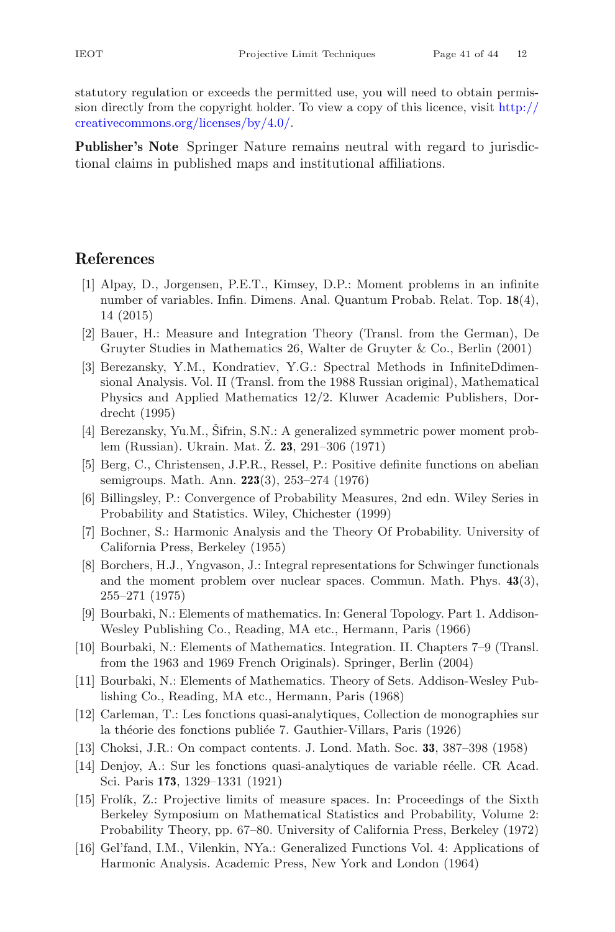statutory regulation or exceeds the permitted use, you will need to obtain permission directly from the copyright holder. To view a copy of this licence, visit [http://](http://creativecommons.org/licenses/by/4.0/) [creativecommons.org/licenses/by/4.0/.](http://creativecommons.org/licenses/by/4.0/)

**Publisher's Note** Springer Nature remains neutral with regard to jurisdictional claims in published maps and institutional affiliations.

# <span id="page-40-0"></span>**References**

- <span id="page-40-1"></span>[1] Alpay, D., Jorgensen, P.E.T., Kimsey, D.P.: Moment problems in an infinite number of variables. Infin. Dimens. Anal. Quantum Probab. Relat. Top. **18**(4), 14 (2015)
- <span id="page-40-13"></span>[2] Bauer, H.: Measure and Integration Theory (Transl. from the German), De Gruyter Studies in Mathematics 26, Walter de Gruyter & Co., Berlin (2001)
- <span id="page-40-3"></span>[3] Berezansky, Y.M., Kondratiev, Y.G.: Spectral Methods in InfiniteDdimensional Analysis. Vol. II (Transl. from the 1988 Russian original), Mathematical Physics and Applied Mathematics 12/2. Kluwer Academic Publishers, Dordrecht (1995)
- <span id="page-40-4"></span>[4] Berezansky, Yu.M., Šifrin, S.N.: A generalized symmetric power moment problem (Russian). Ukrain. Mat.  $\check{Z}$ . **23**, 291–306 (1971)
- <span id="page-40-2"></span>[5] Berg, C., Christensen, J.P.R., Ressel, P.: Positive definite functions on abelian semigroups. Math. Ann. **223**(3), 253–274 (1976)
- <span id="page-40-14"></span>[6] Billingsley, P.: Convergence of Probability Measures, 2nd edn. Wiley Series in Probability and Statistics. Wiley, Chichester (1999)
- <span id="page-40-7"></span>[7] Bochner, S.: Harmonic Analysis and the Theory Of Probability. University of California Press, Berkeley (1955)
- <span id="page-40-5"></span>[8] Borchers, H.J., Yngvason, J.: Integral representations for Schwinger functionals and the moment problem over nuclear spaces. Commun. Math. Phys. **43**(3), 255–271 (1975)
- <span id="page-40-11"></span>[9] Bourbaki, N.: Elements of mathematics. In: General Topology. Part 1. Addison-Wesley Publishing Co., Reading, MA etc., Hermann, Paris (1966)
- <span id="page-40-6"></span>[10] Bourbaki, N.: Elements of Mathematics. Integration. II. Chapters 7–9 (Transl. from the 1963 and 1969 French Originals). Springer, Berlin (2004)
- <span id="page-40-9"></span>[11] Bourbaki, N.: Elements of Mathematics. Theory of Sets. Addison-Wesley Publishing Co., Reading, MA etc., Hermann, Paris (1968)
- <span id="page-40-15"></span>[12] Carleman, T.: Les fonctions quasi-analytiques, Collection de monographies sur la théorie des fonctions publiée 7. Gauthier-Villars, Paris (1926)
- <span id="page-40-8"></span>[13] Choksi, J.R.: On compact contents. J. Lond. Math. Soc. **33**, 387–398 (1958)
- <span id="page-40-16"></span>[14] Denjoy, A.: Sur les fonctions quasi-analytiques de variable r´eelle. CR Acad. Sci. Paris **173**, 1329–1331 (1921)
- <span id="page-40-12"></span>[15] Frolík, Z.: Projective limits of measure spaces. In: Proceedings of the Sixth Berkeley Symposium on Mathematical Statistics and Probability, Volume 2: Probability Theory, pp. 67–80. University of California Press, Berkeley (1972)
- <span id="page-40-10"></span>[16] Gel'fand, I.M., Vilenkin, NYa.: Generalized Functions Vol. 4: Applications of Harmonic Analysis. Academic Press, New York and London (1964)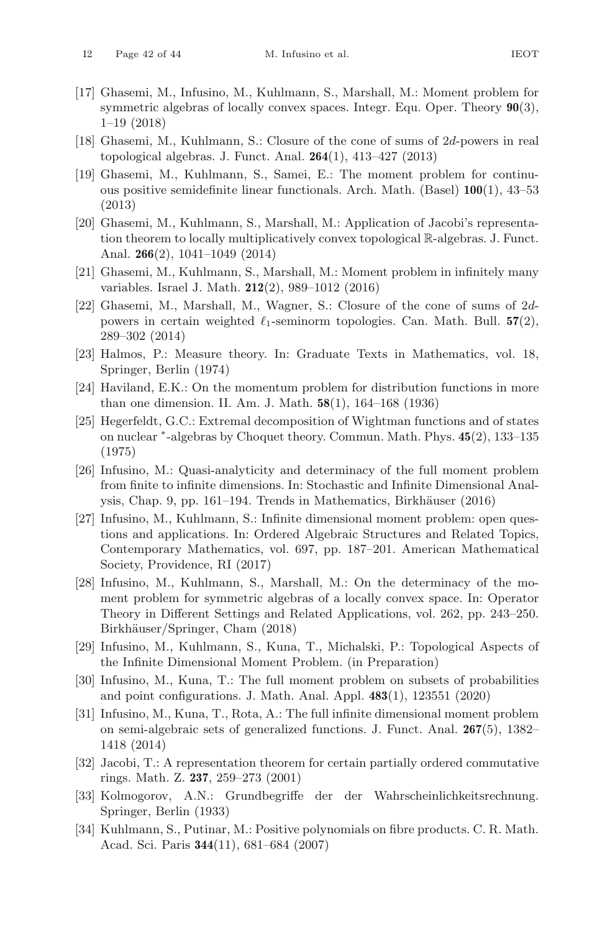- <span id="page-41-6"></span>[17] Ghasemi, M., Infusino, M., Kuhlmann, S., Marshall, M.: Moment problem for symmetric algebras of locally convex spaces. Integr. Equ. Oper. Theory **90**(3), 1–19 (2018)
- <span id="page-41-1"></span>[18] Ghasemi, M., Kuhlmann, S.: Closure of the cone of sums of 2d-powers in real topological algebras. J. Funct. Anal. **264**(1), 413–427 (2013)
- [19] Ghasemi, M., Kuhlmann, S., Samei, E.: The moment problem for continuous positive semidefinite linear functionals. Arch. Math. (Basel) **100**(1), 43–53 (2013)
- <span id="page-41-2"></span>[20] Ghasemi, M., Kuhlmann, S., Marshall, M.: Application of Jacobi's representation theorem to locally multiplicatively convex topological R-algebras. J. Funct. Anal. **266**(2), 1041–1049 (2014)
- <span id="page-41-0"></span>[21] Ghasemi, M., Kuhlmann, S., Marshall, M.: Moment problem in infinitely many variables. Israel J. Math. **212**(2), 989–1012 (2016)
- <span id="page-41-3"></span>[22] Ghasemi, M., Marshall, M., Wagner, S.: Closure of the cone of sums of 2dpowers in certain weighted  $\ell_1$ -seminorm topologies. Can. Math. Bull.  $57(2)$ , 289–302 (2014)
- <span id="page-41-15"></span>[23] Halmos, P.: Measure theory. In: Graduate Texts in Mathematics, vol. 18, Springer, Berlin (1974)
- <span id="page-41-16"></span>[24] Haviland, E.K.: On the momentum problem for distribution functions in more than one dimension. II. Am. J. Math. **58**(1), 164–168 (1936)
- <span id="page-41-7"></span>[25] Hegerfeldt, G.C.: Extremal decomposition of Wightman functions and of states on nuclear <sup>∗</sup>-algebras by Choquet theory. Commun. Math. Phys. **45**(2), 133–135 (1975)
- <span id="page-41-8"></span>[26] Infusino, M.: Quasi-analyticity and determinacy of the full moment problem from finite to infinite dimensions. In: Stochastic and Infinite Dimensional Analysis, Chap. 9, pp. 161–194. Trends in Mathematics, Birkhäuser (2016)
- <span id="page-41-4"></span>[27] Infusino, M., Kuhlmann, S.: Infinite dimensional moment problem: open questions and applications. In: Ordered Algebraic Structures and Related Topics, Contemporary Mathematics, vol. 697, pp. 187–201. American Mathematical Society, Providence, RI (2017)
- <span id="page-41-9"></span>[28] Infusino, M., Kuhlmann, S., Marshall, M.: On the determinacy of the moment problem for symmetric algebras of a locally convex space. In: Operator Theory in Different Settings and Related Applications, vol. 262, pp. 243–250. Birkhäuser/Springer, Cham (2018)
- <span id="page-41-13"></span>[29] Infusino, M., Kuhlmann, S., Kuna, T., Michalski, P.: Topological Aspects of the Infinite Dimensional Moment Problem. (in Preparation)
- <span id="page-41-10"></span>[30] Infusino, M., Kuna, T.: The full moment problem on subsets of probabilities and point configurations. J. Math. Anal. Appl. **483**(1), 123551 (2020)
- <span id="page-41-11"></span>[31] Infusino, M., Kuna, T., Rota, A.: The full infinite dimensional moment problem on semi-algebraic sets of generalized functions. J. Funct. Anal. **267**(5), 1382– 1418 (2014)
- <span id="page-41-5"></span>[32] Jacobi, T.: A representation theorem for certain partially ordered commutative rings. Math. Z. **237**, 259–273 (2001)
- <span id="page-41-14"></span>[33] Kolmogorov, A.N.: Grundbegriffe der der Wahrscheinlichkeitsrechnung. Springer, Berlin (1933)
- <span id="page-41-12"></span>[34] Kuhlmann, S., Putinar, M.: Positive polynomials on fibre products. C. R. Math. Acad. Sci. Paris **344**(11), 681–684 (2007)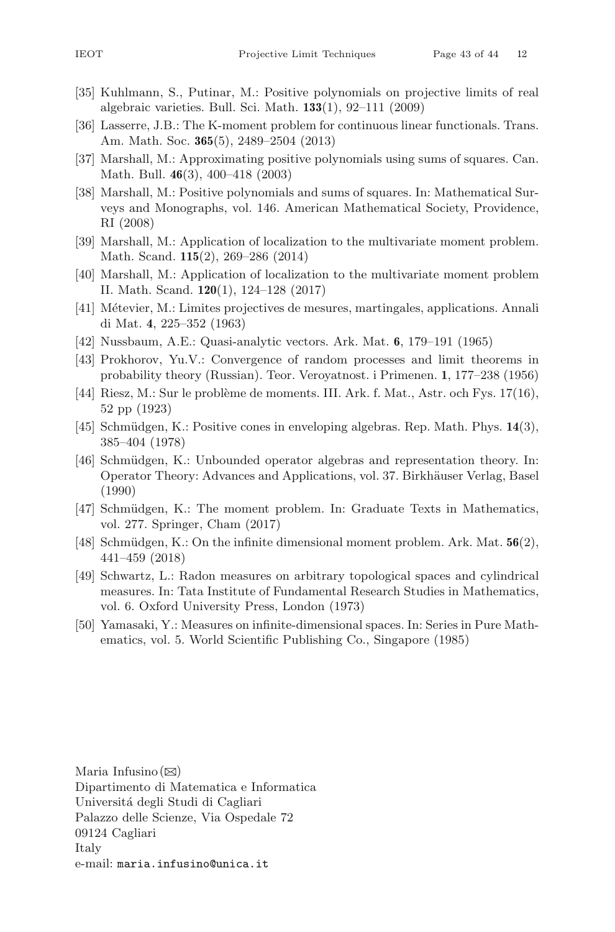- <span id="page-42-7"></span>[35] Kuhlmann, S., Putinar, M.: Positive polynomials on projective limits of real algebraic varieties. Bull. Sci. Math. **133**(1), 92–111 (2009)
- <span id="page-42-2"></span>[36] Lasserre, J.B.: The K-moment problem for continuous linear functionals. Trans. Am. Math. Soc. **365**(5), 2489–2504 (2013)
- <span id="page-42-14"></span>[37] Marshall, M.: Approximating positive polynomials using sums of squares. Can. Math. Bull. **46**(3), 400–418 (2003)
- <span id="page-42-0"></span>[38] Marshall, M.: Positive polynomials and sums of squares. In: Mathematical Surveys and Monographs, vol. 146. American Mathematical Society, Providence, RI (2008)
- <span id="page-42-13"></span>[39] Marshall, M.: Application of localization to the multivariate moment problem. Math. Scand. **115**(2), 269–286 (2014)
- <span id="page-42-15"></span>[40] Marshall, M.: Application of localization to the multivariate moment problem II. Math. Scand. **120**(1), 124–128 (2017)
- <span id="page-42-9"></span>[41] Métevier, M.: Limites projectives de mesures, martingales, applications. Annali di Mat. **4**, 225–352 (1963)
- <span id="page-42-12"></span>[42] Nussbaum, A.E.: Quasi-analytic vectors. Ark. Mat. **6**, 179–191 (1965)
- <span id="page-42-8"></span>[43] Prokhorov, Yu.V.: Convergence of random processes and limit theorems in probability theory (Russian). Teor. Veroyatnost. i Primenen. **1**, 177–238 (1956)
- <span id="page-42-11"></span>[44] Riesz, M.: Sur le problème de moments. III. Ark. f. Mat., Astr. och Fys.  $17(16)$ , 52 pp (1923)
- <span id="page-42-3"></span>[45] Schmüdgen, K.: Positive cones in enveloping algebras. Rep. Math. Phys. 14(3), 385–404 (1978)
- <span id="page-42-4"></span>[46] Schmüdgen, K.: Unbounded operator algebras and representation theory. In: Operator Theory: Advances and Applications, vol. 37. Birkh¨auser Verlag, Basel (1990)
- <span id="page-42-10"></span>[47] Schmüdgen, K.: The moment problem. In: Graduate Texts in Mathematics, vol. 277. Springer, Cham (2017)
- <span id="page-42-1"></span>[48] Schm¨udgen, K.: On the infinite dimensional moment problem. Ark. Mat. **56**(2), 441–459 (2018)
- <span id="page-42-5"></span>[49] Schwartz, L.: Radon measures on arbitrary topological spaces and cylindrical measures. In: Tata Institute of Fundamental Research Studies in Mathematics, vol. 6. Oxford University Press, London (1973)
- <span id="page-42-6"></span>[50] Yamasaki, Y.: Measures on infinite-dimensional spaces. In: Series in Pure Mathematics, vol. 5. World Scientific Publishing Co., Singapore (1985)

Maria Infusino $(\boxtimes)$ Dipartimento di Matematica e Informatica Universitá degli Studi di Cagliari Palazzo delle Scienze, Via Ospedale 72 09124 Cagliari Italy e-mail: maria.infusino@unica.it